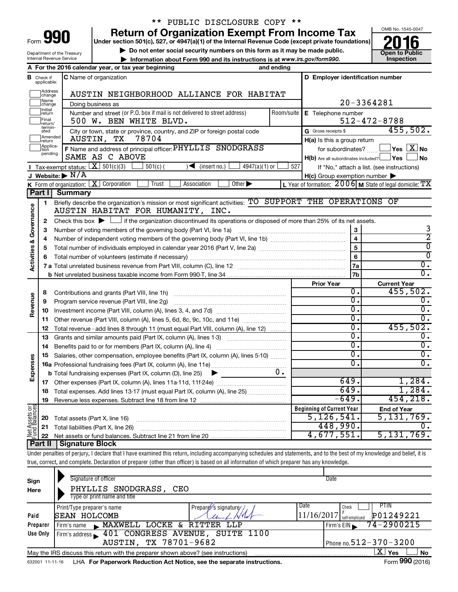| Form |  |
|------|--|

# \*\* PUBLIC DISCLOSURE COPY \*\*

**Return of Organization Exempt From Income Tax**<br>Under section 501(c), 527, or 4947(a)(1) of the Internal Revenue Code (except private foundations)<br> **2016** 

**Under section 501(c), 527, or 4947(a)(1) of the Internal Revenue Code (except private foundations) Example 10** Do not enter social security numbers on this form as it may be made public.<br> **Do not enter social security numbers on this form as it may be made public.**<br>
Information about Form 990 and its instructions is at

**• Information about Form 990 and its instructions is at www.irs.gov/form990. and inspection** 



Department of the Treasury Internal Revenue Service

|                                |                               | A For the 2016 calendar year, or tax year beginning<br>and ending                                                                                                          |            |                                                     |                                                           |
|--------------------------------|-------------------------------|----------------------------------------------------------------------------------------------------------------------------------------------------------------------------|------------|-----------------------------------------------------|-----------------------------------------------------------|
|                                | <b>B</b> Check if applicable: | C Name of organization                                                                                                                                                     |            | D Employer identification number                    |                                                           |
|                                | Address<br> change            | AUSTIN NEIGHBORHOOD ALLIANCE FOR HABITAT                                                                                                                                   |            |                                                     |                                                           |
|                                | Name<br>change                | Doing business as                                                                                                                                                          |            |                                                     | 20-3364281                                                |
|                                | Initial<br>return             | Number and street (or P.O. box if mail is not delivered to street address)                                                                                                 | Room/suite | E Telephone number                                  |                                                           |
|                                | Final<br>return/              | 500 W. BEN WHITE BLVD.                                                                                                                                                     |            |                                                     | $512 - 472 - 8788$                                        |
|                                | termin-<br>ated               | City or town, state or province, country, and ZIP or foreign postal code                                                                                                   |            | G Gross receipts \$                                 | 455,502.                                                  |
|                                | Amended<br>Ireturn            | 78704<br>AUSTIN, TX                                                                                                                                                        |            | H(a) Is this a group return                         |                                                           |
|                                | Applica-<br>Ition             | F Name and address of principal officer: PHYLLIS SNODGRASS                                                                                                                 |            |                                                     | for subordinates? $\Box$ Yes $X$ No                       |
|                                | pending                       | SAME AS C ABOVE                                                                                                                                                            |            | $H(b)$ Are all subordinates included? $\Box$ Yes    | No                                                        |
|                                |                               | Tax-exempt status: $X \mid 501(c)(3)$<br>$501(c)$ (<br>$\sqrt{\frac{1}{1}}$ (insert no.)<br>4947(a)(1) or                                                                  | 527        |                                                     | If "No," attach a list. (see instructions)                |
|                                |                               | J Website: $\blacktriangleright$ N/A                                                                                                                                       |            | $H(c)$ Group exemption number $\blacktriangleright$ |                                                           |
|                                |                               | K Form of organization: $X$ Corporation<br>Association<br>Other $\blacktriangleright$<br>Trust                                                                             |            |                                                     | L Year of formation: $2006$ M State of legal domicile: TX |
|                                | Part I                        | <b>Summary</b>                                                                                                                                                             |            |                                                     |                                                           |
|                                | 1                             | Briefly describe the organization's mission or most significant activities: TO SUPPORT THE OPERATIONS OF                                                                   |            |                                                     |                                                           |
| Governance                     |                               | AUSTIN HABITAT FOR HUMANITY, INC.                                                                                                                                          |            |                                                     |                                                           |
|                                | 2                             | Check this box $\blacktriangleright$ $\Box$ if the organization discontinued its operations or disposed of more than 25% of its net assets.                                |            |                                                     |                                                           |
|                                | 3                             |                                                                                                                                                                            |            |                                                     | 3                                                         |
|                                | 4                             |                                                                                                                                                                            |            | $\overline{\mathbf{4}}$                             | $\overline{2}$                                            |
|                                | 5                             |                                                                                                                                                                            | 5          | $\overline{\mathfrak{o}}$                           |                                                           |
|                                | 6                             |                                                                                                                                                                            | 6          | $\overline{0}$                                      |                                                           |
| <b>Activities &amp;</b>        |                               |                                                                                                                                                                            |            | 7a                                                  | $\overline{0}$ .                                          |
|                                |                               |                                                                                                                                                                            |            | 7b                                                  | $\overline{0}$ .                                          |
|                                |                               |                                                                                                                                                                            |            | <b>Prior Year</b>                                   | <b>Current Year</b>                                       |
|                                | 8                             |                                                                                                                                                                            |            | 0.                                                  | 455,502.                                                  |
| Revenue                        | 9                             | Program service revenue (Part VIII, line 2g)                                                                                                                               | σ.         | Ο.                                                  |                                                           |
|                                | 10                            |                                                                                                                                                                            |            | σ.                                                  | σ.                                                        |
|                                | 11                            | Other revenue (Part VIII, column (A), lines 5, 6d, 8c, 9c, 10c, and 11e)                                                                                                   | σ.         | σ.                                                  |                                                           |
|                                | 12                            | Total revenue - add lines 8 through 11 (must equal Part VIII, column (A), line 12)                                                                                         |            | σ.                                                  | 455,502.                                                  |
|                                | 13                            | Grants and similar amounts paid (Part IX, column (A), lines 1-3)                                                                                                           |            | $\overline{0}$ .                                    | Ο.                                                        |
|                                | 14                            |                                                                                                                                                                            | σ.         | σ.                                                  |                                                           |
|                                | 15                            | Salaries, other compensation, employee benefits (Part IX, column (A), lines 5-10)                                                                                          |            | σ.<br>$\overline{0}$ .                              | $\overline{0}$ .                                          |
| Expenses                       |                               |                                                                                                                                                                            |            |                                                     | $\overline{0}$ .                                          |
|                                |                               | <b>b</b> Total fundraising expenses (Part IX, column (D), line 25) $\rightarrow$                                                                                           | 0.         | 649.                                                | 1,284.                                                    |
|                                | 17                            |                                                                                                                                                                            |            | 649.                                                | 1,284.                                                    |
|                                |                               | 18 Total expenses. Add lines 13-17 (must equal Part IX, column (A), line 25)                                                                                               |            | 649.                                                | 454, 218.                                                 |
|                                | 19                            |                                                                                                                                                                            |            |                                                     |                                                           |
|                                |                               |                                                                                                                                                                            |            | <b>Beginning of Current Year</b><br>5,126,541.      | <b>End of Year</b><br>5,131,769.                          |
| Net Assets or<br>Fund Balances | 20                            | Total assets (Part X, line 16)                                                                                                                                             |            | 448,990.                                            | 0.                                                        |
|                                | 21                            | Total liabilities (Part X, line 26)                                                                                                                                        |            | 4,677,551.                                          | 5,131,769.                                                |
|                                | 22<br><b>Part II</b>          | <b>Signature Block</b>                                                                                                                                                     |            |                                                     |                                                           |
|                                |                               | Under penalties of perjury, I declare that I have examined this return, including accompanying schedules and statements, and to the best of my knowledge and belief, it is |            |                                                     |                                                           |
|                                |                               | true, correct, and complete. Declaration of preparer (other than officer) is based on all information of which preparer has any knowledge.                                 |            |                                                     |                                                           |
|                                |                               |                                                                                                                                                                            |            |                                                     |                                                           |

| Sign<br>Here | Signature of officer<br>PHYLLIS SNODGRASS, CEO                                                                     |                      | Date                        |                              |  |  |  |  |  |  |  |
|--------------|--------------------------------------------------------------------------------------------------------------------|----------------------|-----------------------------|------------------------------|--|--|--|--|--|--|--|
|              | Type or print name and title                                                                                       |                      |                             |                              |  |  |  |  |  |  |  |
|              | Print/Type preparer's name                                                                                         | Preparer's signature | Date<br>Check               | PIIN                         |  |  |  |  |  |  |  |
| Paid         | SEAN HOLCOMB                                                                                                       |                      | 11/16/2017<br>self-employed | P01249221                    |  |  |  |  |  |  |  |
| Preparer     | MAXWELL LOCKE &<br>Firm's name                                                                                     | RITTER<br>LLP        | Firm's $EIN$                | 74-2900215                   |  |  |  |  |  |  |  |
| Use Only     | 401 CONGRESS AVENUE, SUITE 1100<br>Firm's address                                                                  |                      |                             |                              |  |  |  |  |  |  |  |
|              | AUSTIN, TX 78701-9682                                                                                              |                      |                             | Phone no. $512 - 370 - 3200$ |  |  |  |  |  |  |  |
|              | x.<br><b>Yes</b><br><b>No</b><br>May the IRS discuss this return with the preparer shown above? (see instructions) |                      |                             |                              |  |  |  |  |  |  |  |
|              | Form 990 (2016)<br>LHA For Paperwork Reduction Act Notice, see the separate instructions.<br>632001 11-11-16       |                      |                             |                              |  |  |  |  |  |  |  |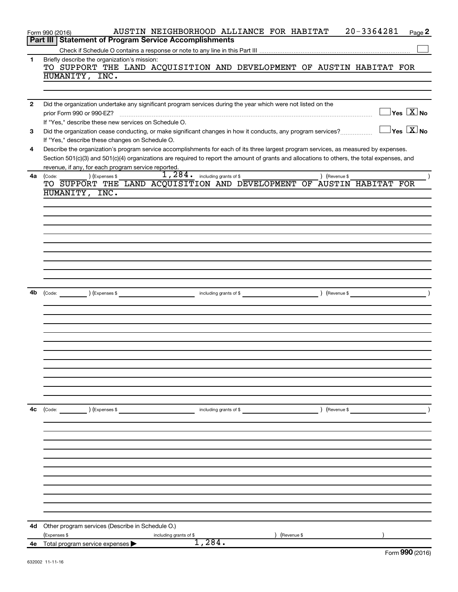| Part III   Statement of Program Service Accomplishments<br>Briefly describe the organization's mission:<br>1<br>TO SUPPORT THE LAND ACQUISITION AND DEVELOPMENT OF AUSTIN HABITAT FOR<br>HUMANITY, INC.<br>Did the organization undertake any significant program services during the year which were not listed on the<br>$\mathbf{2}$<br>$\exists$ Yes $\boxed{\text{X}}$ No<br>prior Form 990 or 990-EZ?<br>If "Yes," describe these new services on Schedule O.<br>$\exists$ Yes $\boxed{\text{X}}$ No<br>Did the organization cease conducting, or make significant changes in how it conducts, any program services?<br>3<br>If "Yes," describe these changes on Schedule O.<br>Describe the organization's program service accomplishments for each of its three largest program services, as measured by expenses.<br>4<br>Section 501(c)(3) and 501(c)(4) organizations are required to report the amount of grants and allocations to others, the total expenses, and<br>revenue, if any, for each program service reported.<br>$1,284.$ including grants of \$<br>4a<br>) (Expenses \$<br>) (Revenue \$<br>(Code:<br>TO SUPPORT THE LAND ACQUISITION AND DEVELOPMENT OF AUSTIN HABITAT FOR<br>HUMANITY, INC.<br>4b<br>(Expenses \$<br>(Revenue \$<br>(Code:<br>including grants of \$<br>4с<br>(Code: ) (Expenses \$<br>including grants of \$<br>) (Revenue \$<br>Other program services (Describe in Schedule O.)<br>4d<br>(Expenses \$<br>(Revenue \$<br>including grants of \$<br>1,284.<br>Total program service expenses<br>4е<br>$F_{\text{OCD}}$ 990 (2016) | 20-3364281<br>AUSTIN NEIGHBORHOOD ALLIANCE FOR HABITAT<br>Page 2<br>Form 990 (2016) |
|--------------------------------------------------------------------------------------------------------------------------------------------------------------------------------------------------------------------------------------------------------------------------------------------------------------------------------------------------------------------------------------------------------------------------------------------------------------------------------------------------------------------------------------------------------------------------------------------------------------------------------------------------------------------------------------------------------------------------------------------------------------------------------------------------------------------------------------------------------------------------------------------------------------------------------------------------------------------------------------------------------------------------------------------------------------------------------------------------------------------------------------------------------------------------------------------------------------------------------------------------------------------------------------------------------------------------------------------------------------------------------------------------------------------------------------------------------------------------------------------------------------------------------------------------------------------------------|-------------------------------------------------------------------------------------|
|                                                                                                                                                                                                                                                                                                                                                                                                                                                                                                                                                                                                                                                                                                                                                                                                                                                                                                                                                                                                                                                                                                                                                                                                                                                                                                                                                                                                                                                                                                                                                                                |                                                                                     |
|                                                                                                                                                                                                                                                                                                                                                                                                                                                                                                                                                                                                                                                                                                                                                                                                                                                                                                                                                                                                                                                                                                                                                                                                                                                                                                                                                                                                                                                                                                                                                                                |                                                                                     |
|                                                                                                                                                                                                                                                                                                                                                                                                                                                                                                                                                                                                                                                                                                                                                                                                                                                                                                                                                                                                                                                                                                                                                                                                                                                                                                                                                                                                                                                                                                                                                                                |                                                                                     |
|                                                                                                                                                                                                                                                                                                                                                                                                                                                                                                                                                                                                                                                                                                                                                                                                                                                                                                                                                                                                                                                                                                                                                                                                                                                                                                                                                                                                                                                                                                                                                                                |                                                                                     |
|                                                                                                                                                                                                                                                                                                                                                                                                                                                                                                                                                                                                                                                                                                                                                                                                                                                                                                                                                                                                                                                                                                                                                                                                                                                                                                                                                                                                                                                                                                                                                                                |                                                                                     |
|                                                                                                                                                                                                                                                                                                                                                                                                                                                                                                                                                                                                                                                                                                                                                                                                                                                                                                                                                                                                                                                                                                                                                                                                                                                                                                                                                                                                                                                                                                                                                                                |                                                                                     |
|                                                                                                                                                                                                                                                                                                                                                                                                                                                                                                                                                                                                                                                                                                                                                                                                                                                                                                                                                                                                                                                                                                                                                                                                                                                                                                                                                                                                                                                                                                                                                                                |                                                                                     |
|                                                                                                                                                                                                                                                                                                                                                                                                                                                                                                                                                                                                                                                                                                                                                                                                                                                                                                                                                                                                                                                                                                                                                                                                                                                                                                                                                                                                                                                                                                                                                                                |                                                                                     |
|                                                                                                                                                                                                                                                                                                                                                                                                                                                                                                                                                                                                                                                                                                                                                                                                                                                                                                                                                                                                                                                                                                                                                                                                                                                                                                                                                                                                                                                                                                                                                                                |                                                                                     |
|                                                                                                                                                                                                                                                                                                                                                                                                                                                                                                                                                                                                                                                                                                                                                                                                                                                                                                                                                                                                                                                                                                                                                                                                                                                                                                                                                                                                                                                                                                                                                                                |                                                                                     |
|                                                                                                                                                                                                                                                                                                                                                                                                                                                                                                                                                                                                                                                                                                                                                                                                                                                                                                                                                                                                                                                                                                                                                                                                                                                                                                                                                                                                                                                                                                                                                                                |                                                                                     |
|                                                                                                                                                                                                                                                                                                                                                                                                                                                                                                                                                                                                                                                                                                                                                                                                                                                                                                                                                                                                                                                                                                                                                                                                                                                                                                                                                                                                                                                                                                                                                                                |                                                                                     |
|                                                                                                                                                                                                                                                                                                                                                                                                                                                                                                                                                                                                                                                                                                                                                                                                                                                                                                                                                                                                                                                                                                                                                                                                                                                                                                                                                                                                                                                                                                                                                                                |                                                                                     |
|                                                                                                                                                                                                                                                                                                                                                                                                                                                                                                                                                                                                                                                                                                                                                                                                                                                                                                                                                                                                                                                                                                                                                                                                                                                                                                                                                                                                                                                                                                                                                                                |                                                                                     |
|                                                                                                                                                                                                                                                                                                                                                                                                                                                                                                                                                                                                                                                                                                                                                                                                                                                                                                                                                                                                                                                                                                                                                                                                                                                                                                                                                                                                                                                                                                                                                                                |                                                                                     |
|                                                                                                                                                                                                                                                                                                                                                                                                                                                                                                                                                                                                                                                                                                                                                                                                                                                                                                                                                                                                                                                                                                                                                                                                                                                                                                                                                                                                                                                                                                                                                                                |                                                                                     |
|                                                                                                                                                                                                                                                                                                                                                                                                                                                                                                                                                                                                                                                                                                                                                                                                                                                                                                                                                                                                                                                                                                                                                                                                                                                                                                                                                                                                                                                                                                                                                                                |                                                                                     |
|                                                                                                                                                                                                                                                                                                                                                                                                                                                                                                                                                                                                                                                                                                                                                                                                                                                                                                                                                                                                                                                                                                                                                                                                                                                                                                                                                                                                                                                                                                                                                                                |                                                                                     |
|                                                                                                                                                                                                                                                                                                                                                                                                                                                                                                                                                                                                                                                                                                                                                                                                                                                                                                                                                                                                                                                                                                                                                                                                                                                                                                                                                                                                                                                                                                                                                                                |                                                                                     |
|                                                                                                                                                                                                                                                                                                                                                                                                                                                                                                                                                                                                                                                                                                                                                                                                                                                                                                                                                                                                                                                                                                                                                                                                                                                                                                                                                                                                                                                                                                                                                                                |                                                                                     |
|                                                                                                                                                                                                                                                                                                                                                                                                                                                                                                                                                                                                                                                                                                                                                                                                                                                                                                                                                                                                                                                                                                                                                                                                                                                                                                                                                                                                                                                                                                                                                                                |                                                                                     |
|                                                                                                                                                                                                                                                                                                                                                                                                                                                                                                                                                                                                                                                                                                                                                                                                                                                                                                                                                                                                                                                                                                                                                                                                                                                                                                                                                                                                                                                                                                                                                                                |                                                                                     |
|                                                                                                                                                                                                                                                                                                                                                                                                                                                                                                                                                                                                                                                                                                                                                                                                                                                                                                                                                                                                                                                                                                                                                                                                                                                                                                                                                                                                                                                                                                                                                                                |                                                                                     |
|                                                                                                                                                                                                                                                                                                                                                                                                                                                                                                                                                                                                                                                                                                                                                                                                                                                                                                                                                                                                                                                                                                                                                                                                                                                                                                                                                                                                                                                                                                                                                                                |                                                                                     |
|                                                                                                                                                                                                                                                                                                                                                                                                                                                                                                                                                                                                                                                                                                                                                                                                                                                                                                                                                                                                                                                                                                                                                                                                                                                                                                                                                                                                                                                                                                                                                                                |                                                                                     |
|                                                                                                                                                                                                                                                                                                                                                                                                                                                                                                                                                                                                                                                                                                                                                                                                                                                                                                                                                                                                                                                                                                                                                                                                                                                                                                                                                                                                                                                                                                                                                                                |                                                                                     |
|                                                                                                                                                                                                                                                                                                                                                                                                                                                                                                                                                                                                                                                                                                                                                                                                                                                                                                                                                                                                                                                                                                                                                                                                                                                                                                                                                                                                                                                                                                                                                                                |                                                                                     |
|                                                                                                                                                                                                                                                                                                                                                                                                                                                                                                                                                                                                                                                                                                                                                                                                                                                                                                                                                                                                                                                                                                                                                                                                                                                                                                                                                                                                                                                                                                                                                                                |                                                                                     |
|                                                                                                                                                                                                                                                                                                                                                                                                                                                                                                                                                                                                                                                                                                                                                                                                                                                                                                                                                                                                                                                                                                                                                                                                                                                                                                                                                                                                                                                                                                                                                                                |                                                                                     |
|                                                                                                                                                                                                                                                                                                                                                                                                                                                                                                                                                                                                                                                                                                                                                                                                                                                                                                                                                                                                                                                                                                                                                                                                                                                                                                                                                                                                                                                                                                                                                                                |                                                                                     |
|                                                                                                                                                                                                                                                                                                                                                                                                                                                                                                                                                                                                                                                                                                                                                                                                                                                                                                                                                                                                                                                                                                                                                                                                                                                                                                                                                                                                                                                                                                                                                                                |                                                                                     |
|                                                                                                                                                                                                                                                                                                                                                                                                                                                                                                                                                                                                                                                                                                                                                                                                                                                                                                                                                                                                                                                                                                                                                                                                                                                                                                                                                                                                                                                                                                                                                                                |                                                                                     |
|                                                                                                                                                                                                                                                                                                                                                                                                                                                                                                                                                                                                                                                                                                                                                                                                                                                                                                                                                                                                                                                                                                                                                                                                                                                                                                                                                                                                                                                                                                                                                                                |                                                                                     |
|                                                                                                                                                                                                                                                                                                                                                                                                                                                                                                                                                                                                                                                                                                                                                                                                                                                                                                                                                                                                                                                                                                                                                                                                                                                                                                                                                                                                                                                                                                                                                                                |                                                                                     |
|                                                                                                                                                                                                                                                                                                                                                                                                                                                                                                                                                                                                                                                                                                                                                                                                                                                                                                                                                                                                                                                                                                                                                                                                                                                                                                                                                                                                                                                                                                                                                                                |                                                                                     |
|                                                                                                                                                                                                                                                                                                                                                                                                                                                                                                                                                                                                                                                                                                                                                                                                                                                                                                                                                                                                                                                                                                                                                                                                                                                                                                                                                                                                                                                                                                                                                                                |                                                                                     |
|                                                                                                                                                                                                                                                                                                                                                                                                                                                                                                                                                                                                                                                                                                                                                                                                                                                                                                                                                                                                                                                                                                                                                                                                                                                                                                                                                                                                                                                                                                                                                                                |                                                                                     |
|                                                                                                                                                                                                                                                                                                                                                                                                                                                                                                                                                                                                                                                                                                                                                                                                                                                                                                                                                                                                                                                                                                                                                                                                                                                                                                                                                                                                                                                                                                                                                                                |                                                                                     |
|                                                                                                                                                                                                                                                                                                                                                                                                                                                                                                                                                                                                                                                                                                                                                                                                                                                                                                                                                                                                                                                                                                                                                                                                                                                                                                                                                                                                                                                                                                                                                                                |                                                                                     |
|                                                                                                                                                                                                                                                                                                                                                                                                                                                                                                                                                                                                                                                                                                                                                                                                                                                                                                                                                                                                                                                                                                                                                                                                                                                                                                                                                                                                                                                                                                                                                                                |                                                                                     |
|                                                                                                                                                                                                                                                                                                                                                                                                                                                                                                                                                                                                                                                                                                                                                                                                                                                                                                                                                                                                                                                                                                                                                                                                                                                                                                                                                                                                                                                                                                                                                                                |                                                                                     |
|                                                                                                                                                                                                                                                                                                                                                                                                                                                                                                                                                                                                                                                                                                                                                                                                                                                                                                                                                                                                                                                                                                                                                                                                                                                                                                                                                                                                                                                                                                                                                                                |                                                                                     |
|                                                                                                                                                                                                                                                                                                                                                                                                                                                                                                                                                                                                                                                                                                                                                                                                                                                                                                                                                                                                                                                                                                                                                                                                                                                                                                                                                                                                                                                                                                                                                                                |                                                                                     |
|                                                                                                                                                                                                                                                                                                                                                                                                                                                                                                                                                                                                                                                                                                                                                                                                                                                                                                                                                                                                                                                                                                                                                                                                                                                                                                                                                                                                                                                                                                                                                                                |                                                                                     |
|                                                                                                                                                                                                                                                                                                                                                                                                                                                                                                                                                                                                                                                                                                                                                                                                                                                                                                                                                                                                                                                                                                                                                                                                                                                                                                                                                                                                                                                                                                                                                                                |                                                                                     |
|                                                                                                                                                                                                                                                                                                                                                                                                                                                                                                                                                                                                                                                                                                                                                                                                                                                                                                                                                                                                                                                                                                                                                                                                                                                                                                                                                                                                                                                                                                                                                                                |                                                                                     |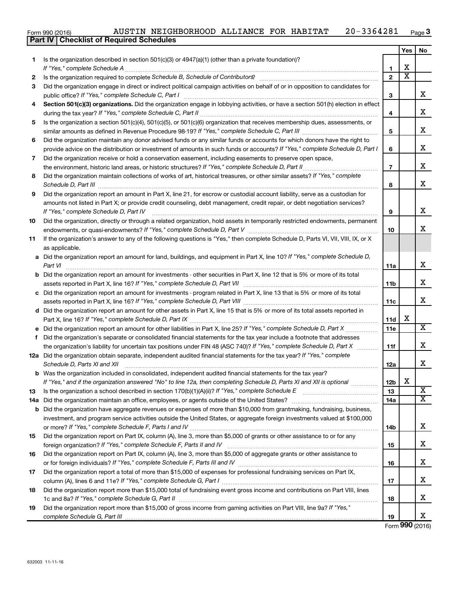|  |  |  | AUSTIN NEIGHBORHOOD ALLIANCE FOR HABITAT |  |  |  | 20-3364281 | Page <b>3</b> |
|--|--|--|------------------------------------------|--|--|--|------------|---------------|
|--|--|--|------------------------------------------|--|--|--|------------|---------------|

|    |                                                                                                                                                                                                                                      |                          | Yes                   | No                          |
|----|--------------------------------------------------------------------------------------------------------------------------------------------------------------------------------------------------------------------------------------|--------------------------|-----------------------|-----------------------------|
| 1  | Is the organization described in section $501(c)(3)$ or $4947(a)(1)$ (other than a private foundation)?                                                                                                                              |                          |                       |                             |
|    |                                                                                                                                                                                                                                      | 1                        | X                     |                             |
| 2  |                                                                                                                                                                                                                                      | $\mathbf{2}$             | $\overline{\text{x}}$ |                             |
| 3  | Did the organization engage in direct or indirect political campaign activities on behalf of or in opposition to candidates for                                                                                                      |                          |                       |                             |
|    |                                                                                                                                                                                                                                      | 3                        |                       | x                           |
| 4  | Section 501(c)(3) organizations. Did the organization engage in lobbying activities, or have a section 501(h) election in effect                                                                                                     |                          |                       |                             |
|    |                                                                                                                                                                                                                                      | 4                        |                       | x                           |
| 5  | Is the organization a section 501(c)(4), 501(c)(5), or 501(c)(6) organization that receives membership dues, assessments, or                                                                                                         |                          |                       |                             |
|    |                                                                                                                                                                                                                                      | 5                        |                       | x                           |
| 6  | Did the organization maintain any donor advised funds or any similar funds or accounts for which donors have the right to                                                                                                            |                          |                       |                             |
|    | provide advice on the distribution or investment of amounts in such funds or accounts? If "Yes," complete Schedule D, Part I                                                                                                         | 6                        |                       | x                           |
| 7  | Did the organization receive or hold a conservation easement, including easements to preserve open space,                                                                                                                            |                          |                       |                             |
|    | the environment, historic land areas, or historic structures? If "Yes," complete Schedule D, Part II                                                                                                                                 | $\overline{\phantom{a}}$ |                       | x                           |
| 8  | Did the organization maintain collections of works of art, historical treasures, or other similar assets? If "Yes," complete                                                                                                         |                          |                       |                             |
|    | Schedule D, Part III <b>Marting Community Contract Contract Contract Contract Contract Contract Contract Contract Contract Contract Contract Contract Contract Contract Contract Contract Contract Contract Contract Contract Co</b> | 8                        |                       | x                           |
| 9  | Did the organization report an amount in Part X, line 21, for escrow or custodial account liability, serve as a custodian for                                                                                                        |                          |                       |                             |
|    | amounts not listed in Part X; or provide credit counseling, debt management, credit repair, or debt negotiation services?                                                                                                            |                          |                       |                             |
|    | If "Yes," complete Schedule D, Part IV                                                                                                                                                                                               | 9                        |                       | X                           |
| 10 | Did the organization, directly or through a related organization, hold assets in temporarily restricted endowments, permanent                                                                                                        |                          |                       |                             |
|    |                                                                                                                                                                                                                                      | 10                       |                       | x                           |
| 11 | If the organization's answer to any of the following questions is "Yes," then complete Schedule D, Parts VI, VII, VIII, IX, or X                                                                                                     |                          |                       |                             |
|    | as applicable.                                                                                                                                                                                                                       |                          |                       |                             |
|    | a Did the organization report an amount for land, buildings, and equipment in Part X, line 10? If "Yes," complete Schedule D,                                                                                                        |                          |                       |                             |
|    | Part VI                                                                                                                                                                                                                              | 11a                      |                       | X                           |
|    | <b>b</b> Did the organization report an amount for investments - other securities in Part X, line 12 that is 5% or more of its total                                                                                                 |                          |                       |                             |
|    |                                                                                                                                                                                                                                      | 11b                      |                       | x                           |
|    | c Did the organization report an amount for investments - program related in Part X, line 13 that is 5% or more of its total                                                                                                         |                          |                       |                             |
|    |                                                                                                                                                                                                                                      | 11c                      |                       | x                           |
|    | d Did the organization report an amount for other assets in Part X, line 15 that is 5% or more of its total assets reported in                                                                                                       |                          |                       |                             |
|    |                                                                                                                                                                                                                                      | 11d                      | х                     | $\overline{\mathbf{X}}$     |
|    | e Did the organization report an amount for other liabilities in Part X, line 25? If "Yes," complete Schedule D, Part X                                                                                                              | <b>11e</b>               |                       |                             |
| f. | Did the organization's separate or consolidated financial statements for the tax year include a footnote that addresses                                                                                                              |                          |                       | x                           |
|    | the organization's liability for uncertain tax positions under FIN 48 (ASC 740)? If "Yes," complete Schedule D, Part X                                                                                                               | 11f                      |                       |                             |
|    | 12a Did the organization obtain separate, independent audited financial statements for the tax year? If "Yes," complete                                                                                                              |                          |                       |                             |
|    | Schedule D, Parts XI and XII                                                                                                                                                                                                         | 12a                      |                       | x                           |
|    | b Was the organization included in consolidated, independent audited financial statements for the tax year?                                                                                                                          |                          | X                     |                             |
|    | If "Yes," and if the organization answered "No" to line 12a, then completing Schedule D, Parts XI and XII is optional                                                                                                                | 12 <sub>b</sub><br>13    |                       | X                           |
| 13 |                                                                                                                                                                                                                                      |                          |                       | $\overline{\mathtt{x}}$     |
|    |                                                                                                                                                                                                                                      | 14a                      |                       |                             |
| b  | Did the organization have aggregate revenues or expenses of more than \$10,000 from grantmaking, fundraising, business,                                                                                                              |                          |                       |                             |
|    | investment, and program service activities outside the United States, or aggregate foreign investments valued at \$100,000                                                                                                           |                          |                       | x                           |
| 15 | Did the organization report on Part IX, column (A), line 3, more than \$5,000 of grants or other assistance to or for any                                                                                                            | 14b                      |                       |                             |
|    |                                                                                                                                                                                                                                      | 15                       |                       | X                           |
|    |                                                                                                                                                                                                                                      |                          |                       |                             |
| 16 | Did the organization report on Part IX, column (A), line 3, more than \$5,000 of aggregate grants or other assistance to                                                                                                             | 16                       |                       | x                           |
| 17 | Did the organization report a total of more than \$15,000 of expenses for professional fundraising services on Part IX,                                                                                                              |                          |                       |                             |
|    |                                                                                                                                                                                                                                      | 17                       |                       | x                           |
| 18 | Did the organization report more than \$15,000 total of fundraising event gross income and contributions on Part VIII, lines                                                                                                         |                          |                       |                             |
|    |                                                                                                                                                                                                                                      | 18                       |                       | x                           |
| 19 | Did the organization report more than \$15,000 of gross income from gaming activities on Part VIII, line 9a? If "Yes,"                                                                                                               |                          |                       |                             |
|    |                                                                                                                                                                                                                                      | 19                       |                       | x                           |
|    |                                                                                                                                                                                                                                      |                          |                       | $T_{\text{max}}$ 000 (0010) |

Form (2016) **990**

Form 990 (2016)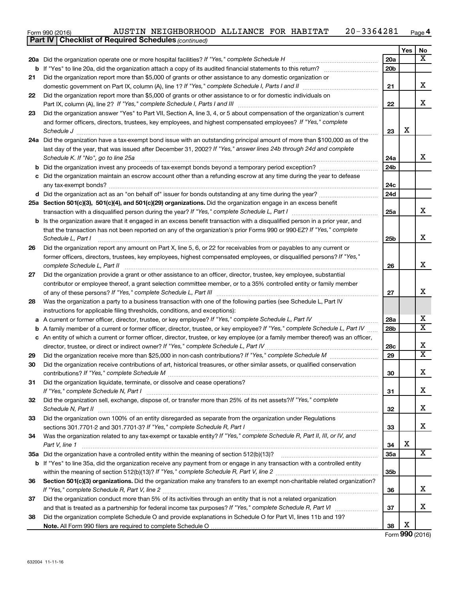| Form 990 (2016) |  | AUSTIN NEIGHBORHOOD ALLIANCE FOR HABITAT |  |  |  | 20-3364281 | Page 4 |
|-----------------|--|------------------------------------------|--|--|--|------------|--------|
|-----------------|--|------------------------------------------|--|--|--|------------|--------|

|    | <b>Part IV   Checklist of Required Schedules (continued)</b>                                                                        |                 |     |                         |
|----|-------------------------------------------------------------------------------------------------------------------------------------|-----------------|-----|-------------------------|
|    |                                                                                                                                     |                 | Yes | No                      |
|    | 20a Did the organization operate one or more hospital facilities? If "Yes," complete Schedule H                                     | 20a             |     | X                       |
|    |                                                                                                                                     | 20 <sub>b</sub> |     |                         |
| 21 | Did the organization report more than \$5,000 of grants or other assistance to any domestic organization or                         |                 |     |                         |
|    |                                                                                                                                     | 21              |     | х                       |
| 22 | Did the organization report more than \$5,000 of grants or other assistance to or for domestic individuals on                       |                 |     |                         |
|    |                                                                                                                                     | 22              |     | х                       |
| 23 | Did the organization answer "Yes" to Part VII, Section A, line 3, 4, or 5 about compensation of the organization's current          |                 |     |                         |
|    | and former officers, directors, trustees, key employees, and highest compensated employees? If "Yes," complete                      |                 |     |                         |
|    | Schedule J <b>Martin Communication Communication</b> Contract of the Communication Communication Communication Communication        | 23              | X   |                         |
|    | 24a Did the organization have a tax-exempt bond issue with an outstanding principal amount of more than \$100,000 as of the         |                 |     |                         |
|    | last day of the year, that was issued after December 31, 2002? If "Yes," answer lines 24b through 24d and complete                  |                 |     |                         |
|    | Schedule K. If "No", go to line 25a                                                                                                 | 24a             |     | x                       |
| b  |                                                                                                                                     | 24 <sub>b</sub> |     |                         |
|    | c Did the organization maintain an escrow account other than a refunding escrow at any time during the year to defease              |                 |     |                         |
|    |                                                                                                                                     | 24c             |     |                         |
|    |                                                                                                                                     | 24d             |     |                         |
|    | 25a Section 501(c)(3), 501(c)(4), and 501(c)(29) organizations. Did the organization engage in an excess benefit                    |                 |     |                         |
|    |                                                                                                                                     | 25a             |     | x                       |
|    | <b>b</b> Is the organization aware that it engaged in an excess benefit transaction with a disqualified person in a prior year, and |                 |     |                         |
|    | that the transaction has not been reported on any of the organization's prior Forms 990 or 990-EZ? If "Yes," complete               |                 |     |                         |
|    | Schedule L, Part I                                                                                                                  | 25b             |     | х                       |
| 26 | Did the organization report any amount on Part X, line 5, 6, or 22 for receivables from or payables to any current or               |                 |     |                         |
|    | former officers, directors, trustees, key employees, highest compensated employees, or disqualified persons? If "Yes,"              |                 |     |                         |
|    | complete Schedule L, Part II                                                                                                        | 26              |     | X                       |
| 27 | Did the organization provide a grant or other assistance to an officer, director, trustee, key employee, substantial                |                 |     |                         |
|    | contributor or employee thereof, a grant selection committee member, or to a 35% controlled entity or family member                 |                 |     |                         |
|    |                                                                                                                                     |                 |     | x                       |
| 28 | Was the organization a party to a business transaction with one of the following parties (see Schedule L, Part IV                   |                 |     |                         |
|    | instructions for applicable filing thresholds, conditions, and exceptions):                                                         |                 |     |                         |
| а  | A current or former officer, director, trustee, or key employee? If "Yes," complete Schedule L, Part IV                             | 28a             |     | х                       |
| b  | A family member of a current or former officer, director, trustee, or key employee? If "Yes," complete Schedule L, Part IV          | 28b             |     | $\overline{\mathbf{X}}$ |
|    | c An entity of which a current or former officer, director, trustee, or key employee (or a family member thereof) was an officer,   |                 |     |                         |
|    | director, trustee, or direct or indirect owner? If "Yes," complete Schedule L, Part IV                                              | 28c             |     | х                       |
| 29 |                                                                                                                                     | 29              |     | $\overline{\mathbf{X}}$ |
| 30 | Did the organization receive contributions of art, historical treasures, or other similar assets, or qualified conservation         |                 |     |                         |
|    |                                                                                                                                     | 30              |     | ᅀ                       |
| 31 | Did the organization liquidate, terminate, or dissolve and cease operations?                                                        |                 |     |                         |
|    |                                                                                                                                     | 31              |     | х                       |
| 32 | Did the organization sell, exchange, dispose of, or transfer more than 25% of its net assets? If "Yes," complete                    |                 |     |                         |
|    | Schedule N, Part II                                                                                                                 | 32              |     | х                       |
| 33 | Did the organization own 100% of an entity disregarded as separate from the organization under Regulations                          |                 |     |                         |
|    |                                                                                                                                     | 33              |     | х                       |
| 34 | Was the organization related to any tax-exempt or taxable entity? If "Yes," complete Schedule R, Part II, III, or IV, and           |                 |     |                         |
|    | Part V, line 1                                                                                                                      | 34              | х   |                         |
|    |                                                                                                                                     | 35a             |     | x                       |
|    | b If "Yes" to line 35a, did the organization receive any payment from or engage in any transaction with a controlled entity         |                 |     |                         |
|    |                                                                                                                                     | 35b             |     |                         |
| 36 | Section 501(c)(3) organizations. Did the organization make any transfers to an exempt non-charitable related organization?          |                 |     |                         |
|    |                                                                                                                                     | 36              |     | x                       |
| 37 | Did the organization conduct more than 5% of its activities through an entity that is not a related organization                    |                 |     |                         |
|    |                                                                                                                                     | 37              |     | х                       |
| 38 | Did the organization complete Schedule O and provide explanations in Schedule O for Part VI, lines 11b and 19?                      |                 |     |                         |
|    |                                                                                                                                     | 38              | х   |                         |

Form (2016) **990**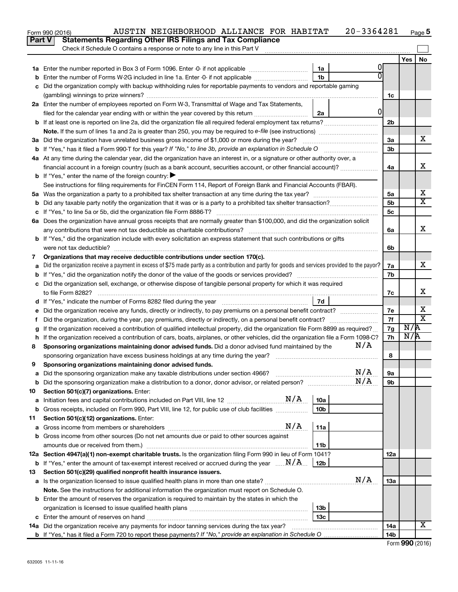|               | $20 - 3364281$<br>AUSTIN NEIGHBORHOOD ALLIANCE FOR HABITAT<br>Form 990 (2016)                                                                   |                |     | Page 5                  |
|---------------|-------------------------------------------------------------------------------------------------------------------------------------------------|----------------|-----|-------------------------|
| <b>Part V</b> | <b>Statements Regarding Other IRS Filings and Tax Compliance</b>                                                                                |                |     |                         |
|               | Check if Schedule O contains a response or note to any line in this Part V                                                                      |                |     |                         |
|               |                                                                                                                                                 |                | Yes | No                      |
|               | 0<br>1a Enter the number reported in Box 3 of Form 1096. Enter -0- if not applicable <i>manumerane</i> manu-<br>1a                              |                |     |                         |
|               | 1 <sub>b</sub><br>Enter the number of Forms W-2G included in line 1a. Enter -0- if not applicable                                               |                |     |                         |
|               | c Did the organization comply with backup withholding rules for reportable payments to vendors and reportable gaming                            |                |     |                         |
|               |                                                                                                                                                 | 1c             |     |                         |
|               | 2a Enter the number of employees reported on Form W-3, Transmittal of Wage and Tax Statements,                                                  |                |     |                         |
|               | $\overline{0}$<br>filed for the calendar year ending with or within the year covered by this return<br>2a                                       |                |     |                         |
|               |                                                                                                                                                 | 2 <sub>b</sub> |     |                         |
|               |                                                                                                                                                 |                |     |                         |
|               | 3a Did the organization have unrelated business gross income of \$1,000 or more during the year?                                                | 3a             |     | х                       |
|               |                                                                                                                                                 | 3 <sub>b</sub> |     |                         |
|               | 4a At any time during the calendar year, did the organization have an interest in, or a signature or other authority over, a                    |                |     |                         |
|               | financial account in a foreign country (such as a bank account, securities account, or other financial account)?                                | 4a             |     | х                       |
|               | <b>b</b> If "Yes," enter the name of the foreign country: $\blacktriangleright$                                                                 |                |     |                         |
|               | See instructions for filing requirements for FinCEN Form 114, Report of Foreign Bank and Financial Accounts (FBAR).                             |                |     |                         |
|               |                                                                                                                                                 | 5a             |     | х                       |
| b             |                                                                                                                                                 | 5 <sub>b</sub> |     | $\overline{\mathbf{X}}$ |
|               |                                                                                                                                                 | 5 <sub>c</sub> |     |                         |
|               | 6a Does the organization have annual gross receipts that are normally greater than \$100,000, and did the organization solicit                  |                |     |                         |
|               |                                                                                                                                                 | 6а             |     | x                       |
|               | b If "Yes," did the organization include with every solicitation an express statement that such contributions or gifts                          |                |     |                         |
|               | were not tax deductible?                                                                                                                        | 6b             |     |                         |
| 7             | Organizations that may receive deductible contributions under section 170(c).                                                                   |                |     |                         |
| a             | Did the organization receive a payment in excess of \$75 made partly as a contribution and partly for goods and services provided to the payor? | 7а             |     | х                       |
|               |                                                                                                                                                 | 7b             |     |                         |
|               | c Did the organization sell, exchange, or otherwise dispose of tangible personal property for which it was required                             |                |     | x                       |
|               | to file Form 8282?<br>7d                                                                                                                        | 7c             |     |                         |
|               |                                                                                                                                                 |                |     | х                       |
|               |                                                                                                                                                 | 7е<br>7f       |     | $\overline{\mathbf{X}}$ |
| f             | If the organization received a contribution of qualified intellectual property, did the organization file Form 8899 as required?                | 7g             | N/R |                         |
|               | h If the organization received a contribution of cars, boats, airplanes, or other vehicles, did the organization file a Form 1098-C?            | 7h             | N/R |                         |
| 8             | N/A<br>Sponsoring organizations maintaining donor advised funds. Did a donor advised fund maintained by the                                     |                |     |                         |
|               | sponsoring organization have excess business holdings at any time during the year?                                                              | 8              |     |                         |
| 9             | Sponsoring organizations maintaining donor advised funds.                                                                                       |                |     |                         |
| а             | N/A<br>Did the sponsoring organization make any taxable distributions under section 4966?                                                       | 9а             |     |                         |
| b             | N/A                                                                                                                                             | 9b             |     |                         |
| 10            | Section 501(c)(7) organizations. Enter:                                                                                                         |                |     |                         |
| а             | 10a                                                                                                                                             |                |     |                         |
| b             | 10 <sub>b</sub><br>Gross receipts, included on Form 990, Part VIII, line 12, for public use of club facilities                                  |                |     |                         |
| 11            | Section 501(c)(12) organizations. Enter:                                                                                                        |                |     |                         |
| а             | N/A<br>11a                                                                                                                                      |                |     |                         |
| b             | Gross income from other sources (Do not net amounts due or paid to other sources against                                                        |                |     |                         |
|               | amounts due or received from them.)<br>11b                                                                                                      |                |     |                         |
|               | 12a Section 4947(a)(1) non-exempt charitable trusts. Is the organization filing Form 990 in lieu of Form 1041?                                  | <b>12a</b>     |     |                         |
|               | <b>b</b> If "Yes," enter the amount of tax-exempt interest received or accrued during the year $\ldots \mathbf{N}/\mathbf{A}$ .<br>12b          |                |     |                         |
| 13            | Section 501(c)(29) qualified nonprofit health insurance issuers.                                                                                |                |     |                         |
|               | N/A                                                                                                                                             | 13a            |     |                         |
|               | Note. See the instructions for additional information the organization must report on Schedule O.                                               |                |     |                         |
|               | <b>b</b> Enter the amount of reserves the organization is required to maintain by the states in which the                                       |                |     |                         |
|               | 13 <sub>b</sub>                                                                                                                                 |                |     |                         |
|               | 13c                                                                                                                                             |                |     |                         |
|               | 14a Did the organization receive any payments for indoor tanning services during the tax year?                                                  | 14a            |     | х                       |
|               |                                                                                                                                                 | 14b            |     |                         |

| Form 990 (2016) |  |
|-----------------|--|
|-----------------|--|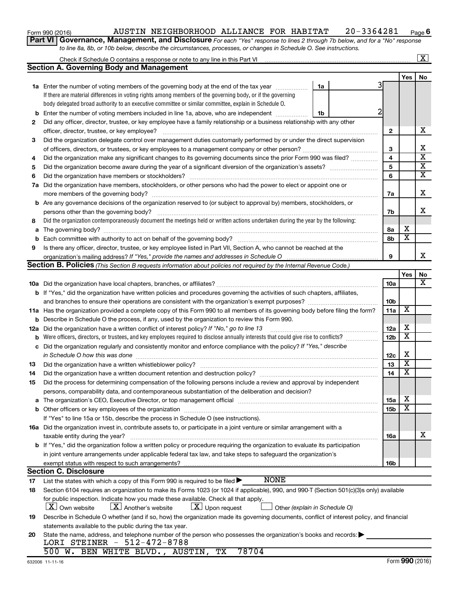### Form 990 (2016) Page AUSTIN NEIGHBORHOOD ALLIANCE FOR HABITAT 20-3364281 **6**

**Part VI** Governance, Management, and Disclosure For each "Yes" response to lines 2 through 7b below, and for a "No" response *to line 8a, 8b, or 10b below, describe the circumstances, processes, or changes in Schedule O. See instructions.*

|     | Check if Schedule O contains a response or note to any line in this Part VI                                                                                                                                                    |                 |                         | $\overline{\textbf{x}}$ |
|-----|--------------------------------------------------------------------------------------------------------------------------------------------------------------------------------------------------------------------------------|-----------------|-------------------------|-------------------------|
|     | <b>Section A. Governing Body and Management</b>                                                                                                                                                                                |                 |                         |                         |
|     |                                                                                                                                                                                                                                |                 | Yes                     | No                      |
|     | 1a Enter the number of voting members of the governing body at the end of the tax year<br>1a                                                                                                                                   |                 |                         |                         |
|     | If there are material differences in voting rights among members of the governing body, or if the governing                                                                                                                    |                 |                         |                         |
|     | body delegated broad authority to an executive committee or similar committee, explain in Schedule O.                                                                                                                          |                 |                         |                         |
| b   | Enter the number of voting members included in line 1a, above, who are independent<br>1b                                                                                                                                       |                 |                         |                         |
| 2   | Did any officer, director, trustee, or key employee have a family relationship or a business relationship with any other                                                                                                       |                 |                         |                         |
|     |                                                                                                                                                                                                                                | $\mathbf{2}$    |                         | х                       |
| 3   | Did the organization delegate control over management duties customarily performed by or under the direct supervision                                                                                                          |                 |                         |                         |
|     | of officers, directors, or trustees, or key employees to a management company or other person?                                                                                                                                 | 3               |                         | х                       |
| 4   | Did the organization make any significant changes to its governing documents since the prior Form 990 was filed?                                                                                                               | 4               |                         | $\overline{\textbf{x}}$ |
| 5   |                                                                                                                                                                                                                                | 5               |                         | х                       |
| 6   |                                                                                                                                                                                                                                | 6               |                         | $\overline{\textbf{x}}$ |
| 7a  | Did the organization have members, stockholders, or other persons who had the power to elect or appoint one or                                                                                                                 |                 |                         |                         |
|     |                                                                                                                                                                                                                                | 7a              |                         | х                       |
|     | <b>b</b> Are any governance decisions of the organization reserved to (or subject to approval by) members, stockholders, or                                                                                                    |                 |                         |                         |
|     | persons other than the governing body?                                                                                                                                                                                         | 7b              |                         | x                       |
| 8   | Did the organization contemporaneously document the meetings held or written actions undertaken during the year by the following:                                                                                              |                 |                         |                         |
| a   |                                                                                                                                                                                                                                | 8а              | х                       |                         |
| b   |                                                                                                                                                                                                                                | 8b              | $\overline{\mathbf{x}}$ |                         |
| 9   | Is there any officer, director, trustee, or key employee listed in Part VII, Section A, who cannot be reached at the                                                                                                           |                 |                         |                         |
|     | organization's mailing address? If "Yes," provide the names and addresses in Schedule O                                                                                                                                        | 9               |                         | x                       |
|     | Section B. Policies (This Section B requests information about policies not required by the Internal Revenue Code.)                                                                                                            |                 |                         |                         |
|     |                                                                                                                                                                                                                                |                 | Yes                     | No                      |
|     |                                                                                                                                                                                                                                | 10a             |                         | х                       |
|     | b If "Yes," did the organization have written policies and procedures governing the activities of such chapters, affiliates,                                                                                                   |                 |                         |                         |
|     |                                                                                                                                                                                                                                | 10 <sub>b</sub> |                         |                         |
|     | 11a Has the organization provided a complete copy of this Form 990 to all members of its governing body before filing the form?                                                                                                | 11a             | $\overline{\textbf{x}}$ |                         |
| b   | Describe in Schedule O the process, if any, used by the organization to review this Form 990.                                                                                                                                  |                 |                         |                         |
| 12a | Did the organization have a written conflict of interest policy? If "No," go to line 13                                                                                                                                        | 12a             | х                       |                         |
| b   | Were officers, directors, or trustees, and key employees required to disclose annually interests that could give rise to conflicts?                                                                                            | 12 <sub>b</sub> | $\overline{\textbf{x}}$ |                         |
| с   | Did the organization regularly and consistently monitor and enforce compliance with the policy? If "Yes," describe                                                                                                             |                 |                         |                         |
|     | in Schedule O how this was done                                                                                                                                                                                                | 12c             | X                       |                         |
| 13  |                                                                                                                                                                                                                                | 13              | $\overline{\mathbf{X}}$ |                         |
| 14  |                                                                                                                                                                                                                                | 14              | $\overline{\mathbf{X}}$ |                         |
| 15  | Did the process for determining compensation of the following persons include a review and approval by independent                                                                                                             |                 |                         |                         |
|     | persons, comparability data, and contemporaneous substantiation of the deliberation and decision?                                                                                                                              |                 |                         |                         |
|     | The organization's CEO, Executive Director, or top management official manufactured content of the organization's CEO, Executive Director, or top management official manufactured content of the organization's CEO, Executiv | 15a             | х                       |                         |
|     |                                                                                                                                                                                                                                | 15b             | X                       |                         |
|     | If "Yes" to line 15a or 15b, describe the process in Schedule O (see instructions).                                                                                                                                            |                 |                         |                         |
|     | 16a Did the organization invest in, contribute assets to, or participate in a joint venture or similar arrangement with a                                                                                                      |                 |                         |                         |
|     | taxable entity during the year?                                                                                                                                                                                                | <b>16a</b>      |                         | x                       |
|     | b If "Yes," did the organization follow a written policy or procedure requiring the organization to evaluate its participation                                                                                                 |                 |                         |                         |
|     | in joint venture arrangements under applicable federal tax law, and take steps to safeguard the organization's                                                                                                                 |                 |                         |                         |
|     | exempt status with respect to such arrangements?                                                                                                                                                                               | 16b             |                         |                         |
|     | <b>Section C. Disclosure</b>                                                                                                                                                                                                   |                 |                         |                         |
| 17  | <b>NONE</b><br>List the states with which a copy of this Form 990 is required to be filed $\blacktriangleright$                                                                                                                |                 |                         |                         |
| 18  | Section 6104 requires an organization to make its Forms 1023 (or 1024 if applicable), 990, and 990-T (Section 501(c)(3)s only) available                                                                                       |                 |                         |                         |
|     | for public inspection. Indicate how you made these available. Check all that apply.                                                                                                                                            |                 |                         |                         |
|     | $\lfloor x \rfloor$ Own website<br>$\lfloor X \rfloor$ Another's website<br>$\lfloor x \rfloor$ Upon request<br>Other (explain in Schedule O)                                                                                  |                 |                         |                         |
| 19  | Describe in Schedule O whether (and if so, how) the organization made its governing documents, conflict of interest policy, and financial                                                                                      |                 |                         |                         |
|     | statements available to the public during the tax year.                                                                                                                                                                        |                 |                         |                         |
| 20  | State the name, address, and telephone number of the person who possesses the organization's books and records:                                                                                                                |                 |                         |                         |
|     | LORI STEINER - 512-472-8788                                                                                                                                                                                                    |                 |                         |                         |
|     | 78704<br>500 W. BEN WHITE BLVD., AUSTIN, TX                                                                                                                                                                                    |                 |                         |                         |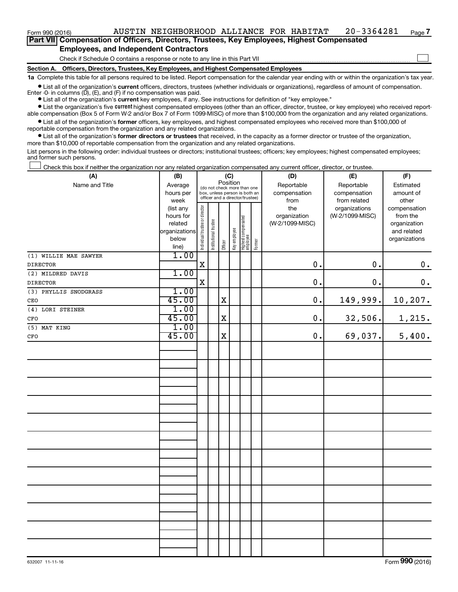**Part VII Compensation of Officers, Directors, Trustees, Key Employees, Highest Compensated Employees, and Independent Contractors**

Check if Schedule O contains a response or note to any line in this Part VII

**Section A. Officers, Directors, Trustees, Key Employees, and Highest Compensated Employees**

**1a**  Complete this table for all persons required to be listed. Report compensation for the calendar year ending with or within the organization's tax year.

**•** List all of the organization's current officers, directors, trustees (whether individuals or organizations), regardless of amount of compensation. Enter -0- in columns  $(D)$ ,  $(E)$ , and  $(F)$  if no compensation was paid.

**•** List all of the organization's **current** key employees, if any. See instructions for definition of "key employee."

**•** List the organization's five current highest compensated employees (other than an officer, director, trustee, or key employee) who received reportable compensation (Box 5 of Form W-2 and/or Box 7 of Form 1099-MISC) of more than \$100,000 from the organization and any related organizations.

**•** List all of the organization's former officers, key employees, and highest compensated employees who received more than \$100,000 of reportable compensation from the organization and any related organizations.

**•** List all of the organization's former directors or trustees that received, in the capacity as a former director or trustee of the organization, more than \$10,000 of reportable compensation from the organization and any related organizations.

List persons in the following order: individual trustees or directors; institutional trustees; officers; key employees; highest compensated employees; and former such persons.

Check this box if neither the organization nor any related organization compensated any current officer, director, or trustee.  $\Box$ 

| (A)                   | (B)           |                                |                                 |                                                                          | (C)          |                                   |        | (D)             | (E)                        | (F)           |
|-----------------------|---------------|--------------------------------|---------------------------------|--------------------------------------------------------------------------|--------------|-----------------------------------|--------|-----------------|----------------------------|---------------|
| Name and Title        | Average       |                                |                                 | Position<br>(do not check more than one<br>box, unless person is both an |              |                                   |        | Reportable      | Reportable<br>compensation | Estimated     |
|                       | hours per     |                                |                                 |                                                                          |              |                                   |        | compensation    |                            | amount of     |
|                       | week          |                                | officer and a director/trustee) |                                                                          |              |                                   |        | from            | from related               | other         |
|                       | (list any     |                                |                                 |                                                                          |              |                                   |        | the             | organizations              | compensation  |
|                       | hours for     |                                |                                 |                                                                          |              |                                   |        | organization    | (W-2/1099-MISC)            | from the      |
|                       | related       |                                |                                 |                                                                          |              |                                   |        | (W-2/1099-MISC) |                            | organization  |
|                       | organizations |                                |                                 |                                                                          |              |                                   |        |                 |                            | and related   |
|                       | below         | Individual trustee or director | Institutional trustee           |                                                                          | Key employee |                                   |        |                 |                            | organizations |
|                       | line)         |                                |                                 | Officer                                                                  |              | Highest compensated<br>  employee | Former |                 |                            |               |
| (1) WILLIE MAE SAWYER | 1.00          |                                |                                 |                                                                          |              |                                   |        |                 |                            |               |
| <b>DIRECTOR</b>       |               | $\mathbf X$                    |                                 |                                                                          |              |                                   |        | 0.              | 0.                         | $\mathbf 0$ . |
| (2) MILDRED DAVIS     | 1.00          |                                |                                 |                                                                          |              |                                   |        |                 |                            |               |
| <b>DIRECTOR</b>       |               | $\mathbf X$                    |                                 |                                                                          |              |                                   |        | $\mathbf 0$ .   | $0$ .                      | $\mathbf 0$ . |
| (3) PHYLLIS SNODGRASS | 1.00          |                                |                                 |                                                                          |              |                                   |        |                 |                            |               |
| CEO                   | 45.00         |                                |                                 | $\mathbf X$                                                              |              |                                   |        | 0.              | 149,999.                   | 10, 207.      |
| (4) LORI STEINER      | 1.00          |                                |                                 |                                                                          |              |                                   |        |                 |                            |               |
| CFO                   | 45.00         |                                |                                 | $\mathbf X$                                                              |              |                                   |        | 0.              | 32,506.                    | 1,215.        |
| (5) MAT KING          | 1.00          |                                |                                 |                                                                          |              |                                   |        |                 |                            |               |
| $_{\mbox{\tiny CFO}}$ | 45.00         |                                |                                 | $\mathbf X$                                                              |              |                                   |        | 0.              | 69,037.                    | 5,400.        |
|                       |               |                                |                                 |                                                                          |              |                                   |        |                 |                            |               |
|                       |               |                                |                                 |                                                                          |              |                                   |        |                 |                            |               |
|                       |               |                                |                                 |                                                                          |              |                                   |        |                 |                            |               |
|                       |               |                                |                                 |                                                                          |              |                                   |        |                 |                            |               |
|                       |               |                                |                                 |                                                                          |              |                                   |        |                 |                            |               |
|                       |               |                                |                                 |                                                                          |              |                                   |        |                 |                            |               |
|                       |               |                                |                                 |                                                                          |              |                                   |        |                 |                            |               |
|                       |               |                                |                                 |                                                                          |              |                                   |        |                 |                            |               |
|                       |               |                                |                                 |                                                                          |              |                                   |        |                 |                            |               |
|                       |               |                                |                                 |                                                                          |              |                                   |        |                 |                            |               |
|                       |               |                                |                                 |                                                                          |              |                                   |        |                 |                            |               |
|                       |               |                                |                                 |                                                                          |              |                                   |        |                 |                            |               |
|                       |               |                                |                                 |                                                                          |              |                                   |        |                 |                            |               |
|                       |               |                                |                                 |                                                                          |              |                                   |        |                 |                            |               |
|                       |               |                                |                                 |                                                                          |              |                                   |        |                 |                            |               |
|                       |               |                                |                                 |                                                                          |              |                                   |        |                 |                            |               |
|                       |               |                                |                                 |                                                                          |              |                                   |        |                 |                            |               |
|                       |               |                                |                                 |                                                                          |              |                                   |        |                 |                            |               |
|                       |               |                                |                                 |                                                                          |              |                                   |        |                 |                            |               |
|                       |               |                                |                                 |                                                                          |              |                                   |        |                 |                            |               |
|                       |               |                                |                                 |                                                                          |              |                                   |        |                 |                            |               |
|                       |               |                                |                                 |                                                                          |              |                                   |        |                 |                            |               |
|                       |               |                                |                                 |                                                                          |              |                                   |        |                 |                            |               |
|                       |               |                                |                                 |                                                                          |              |                                   |        |                 |                            |               |
|                       |               |                                |                                 |                                                                          |              |                                   |        |                 |                            |               |

**7**

 $\Box$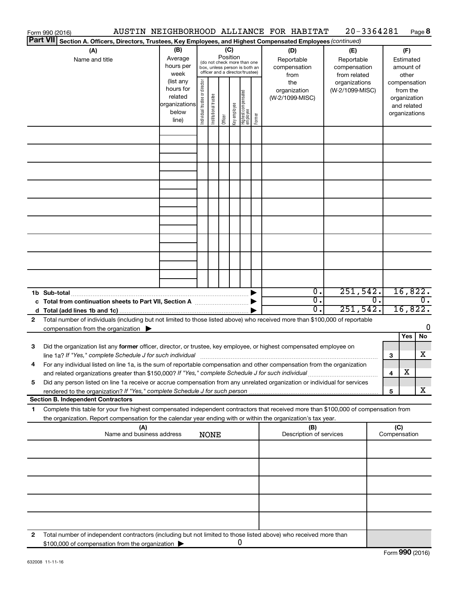|                 | Form 990 (2016)                                                                                                                                                                                                                         |                                                                      |                                |                       |                 |              |                                                                                                 |        | AUSTIN NEIGHBORHOOD ALLIANCE FOR HABITAT  | 20-3364281                                        |                  |                               |                                         | Page 8           |
|-----------------|-----------------------------------------------------------------------------------------------------------------------------------------------------------------------------------------------------------------------------------------|----------------------------------------------------------------------|--------------------------------|-----------------------|-----------------|--------------|-------------------------------------------------------------------------------------------------|--------|-------------------------------------------|---------------------------------------------------|------------------|-------------------------------|-----------------------------------------|------------------|
| <b>Part VII</b> | Section A. Officers, Directors, Trustees, Key Employees, and Highest Compensated Employees (continued)                                                                                                                                  |                                                                      |                                |                       |                 |              |                                                                                                 |        |                                           |                                                   |                  |                               |                                         |                  |
|                 | (A)<br>Name and title                                                                                                                                                                                                                   | (B)<br>Average<br>hours per<br>week                                  |                                |                       | (C)<br>Position |              | (do not check more than one<br>box, unless person is both an<br>officer and a director/trustee) |        | (D)<br>Reportable<br>compensation<br>from | (E)<br>Reportable<br>compensation<br>from related |                  |                               | (F)<br>Estimated<br>amount of<br>other  |                  |
|                 |                                                                                                                                                                                                                                         | (list any<br>hours for<br>related<br>organizations<br>below<br>line) | Individual trustee or director | Institutional trustee | Officer         | Key employee | Highest compensated<br>  employee                                                               | Former | the<br>organization<br>(W-2/1099-MISC)    | organizations<br>(W-2/1099-MISC)                  |                  | compensation<br>organizations | from the<br>organization<br>and related |                  |
|                 |                                                                                                                                                                                                                                         |                                                                      |                                |                       |                 |              |                                                                                                 |        |                                           |                                                   |                  |                               |                                         |                  |
|                 |                                                                                                                                                                                                                                         |                                                                      |                                |                       |                 |              |                                                                                                 |        |                                           |                                                   |                  |                               |                                         |                  |
|                 |                                                                                                                                                                                                                                         |                                                                      |                                |                       |                 |              |                                                                                                 |        |                                           |                                                   |                  |                               |                                         |                  |
|                 |                                                                                                                                                                                                                                         |                                                                      |                                |                       |                 |              |                                                                                                 |        |                                           |                                                   |                  |                               |                                         |                  |
|                 |                                                                                                                                                                                                                                         |                                                                      |                                |                       |                 |              |                                                                                                 |        |                                           |                                                   |                  |                               |                                         |                  |
|                 |                                                                                                                                                                                                                                         |                                                                      |                                |                       |                 |              |                                                                                                 |        |                                           |                                                   |                  |                               |                                         |                  |
|                 |                                                                                                                                                                                                                                         |                                                                      |                                |                       |                 |              |                                                                                                 |        |                                           |                                                   |                  |                               |                                         |                  |
|                 |                                                                                                                                                                                                                                         |                                                                      |                                |                       |                 |              |                                                                                                 |        |                                           |                                                   |                  |                               |                                         |                  |
|                 |                                                                                                                                                                                                                                         |                                                                      |                                |                       |                 |              |                                                                                                 |        | $\overline{0}$ .<br>$\overline{0}$ .      | 251,542.                                          | $\overline{0}$ . |                               | 16,822.                                 | $\overline{0}$ . |
|                 |                                                                                                                                                                                                                                         |                                                                      |                                |                       |                 |              |                                                                                                 |        | 0.                                        | 251,542.                                          |                  |                               | 16,822.                                 |                  |
| 2               | Total number of individuals (including but not limited to those listed above) who received more than \$100,000 of reportable<br>compensation from the organization $\blacktriangleright$                                                |                                                                      |                                |                       |                 |              |                                                                                                 |        |                                           |                                                   |                  |                               |                                         | 0                |
|                 |                                                                                                                                                                                                                                         |                                                                      |                                |                       |                 |              |                                                                                                 |        |                                           |                                                   |                  |                               | <b>Yes</b>                              | No               |
| 3               | Did the organization list any former officer, director, or trustee, key employee, or highest compensated employee on<br>line 1a? If "Yes," complete Schedule J for such individual [11] manufacture manufacture in the set of the set o |                                                                      |                                |                       |                 |              |                                                                                                 |        |                                           |                                                   |                  | 3                             |                                         | х                |
|                 | For any individual listed on line 1a, is the sum of reportable compensation and other compensation from the organization<br>and related organizations greater than \$150,000? If "Yes," complete Schedule J for such individual         |                                                                      |                                |                       |                 |              |                                                                                                 |        |                                           |                                                   |                  | 4                             | х                                       |                  |
| 5               | Did any person listed on line 1a receive or accrue compensation from any unrelated organization or individual for services                                                                                                              |                                                                      |                                |                       |                 |              |                                                                                                 |        |                                           |                                                   |                  | 5                             |                                         | х                |
| 1               | <b>Section B. Independent Contractors</b><br>Complete this table for your five highest compensated independent contractors that received more than \$100,000 of compensation from                                                       |                                                                      |                                |                       |                 |              |                                                                                                 |        |                                           |                                                   |                  |                               |                                         |                  |
|                 | the organization. Report compensation for the calendar year ending with or within the organization's tax year.<br>(A)                                                                                                                   |                                                                      |                                |                       |                 |              |                                                                                                 |        | (B)                                       |                                                   |                  | (C)                           |                                         |                  |
|                 | Name and business address                                                                                                                                                                                                               |                                                                      |                                | <b>NONE</b>           |                 |              |                                                                                                 |        | Description of services                   |                                                   |                  | Compensation                  |                                         |                  |
|                 |                                                                                                                                                                                                                                         |                                                                      |                                |                       |                 |              |                                                                                                 |        |                                           |                                                   |                  |                               |                                         |                  |
|                 |                                                                                                                                                                                                                                         |                                                                      |                                |                       |                 |              |                                                                                                 |        |                                           |                                                   |                  |                               |                                         |                  |
|                 |                                                                                                                                                                                                                                         |                                                                      |                                |                       |                 |              |                                                                                                 |        |                                           |                                                   |                  |                               |                                         |                  |
|                 |                                                                                                                                                                                                                                         |                                                                      |                                |                       |                 |              |                                                                                                 |        |                                           |                                                   |                  |                               |                                         |                  |
| 2               | Total number of independent contractors (including but not limited to those listed above) who received more than<br>\$100,000 of compensation from the organization                                                                     |                                                                      |                                |                       |                 |              | 0                                                                                               |        |                                           |                                                   |                  |                               |                                         |                  |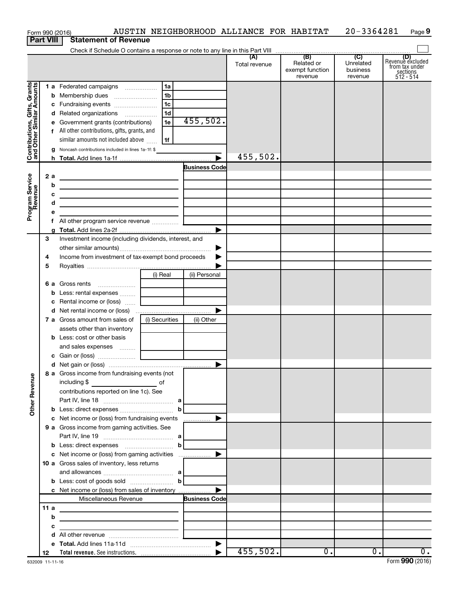|                                                           |                  | Form 990 (2016)                                                                                                            |                |                      | AUSTIN NEIGHBORHOOD ALLIANCE FOR HABITAT |                                                 | 20-3364281                              | Page 9                                                      |
|-----------------------------------------------------------|------------------|----------------------------------------------------------------------------------------------------------------------------|----------------|----------------------|------------------------------------------|-------------------------------------------------|-----------------------------------------|-------------------------------------------------------------|
|                                                           | <b>Part VIII</b> | <b>Statement of Revenue</b>                                                                                                |                |                      |                                          |                                                 |                                         |                                                             |
|                                                           |                  |                                                                                                                            |                |                      |                                          |                                                 |                                         |                                                             |
|                                                           |                  |                                                                                                                            |                |                      | (A)<br>Total revenue                     | (B)<br>Related or<br>exempt function<br>revenue | (C)<br>Unrelated<br>business<br>revenue | Revenue excluded<br>from tax under<br>sections<br>512 - 514 |
|                                                           |                  | 1 a Federated campaigns                                                                                                    | 1a             |                      |                                          |                                                 |                                         |                                                             |
| Contributions, Gifts, Grants<br>and Other Similar Amounts |                  |                                                                                                                            | l 1b           |                      |                                          |                                                 |                                         |                                                             |
|                                                           |                  | c Fundraising events                                                                                                       | 1c             |                      |                                          |                                                 |                                         |                                                             |
|                                                           |                  | d Related organizations                                                                                                    | 1d             |                      |                                          |                                                 |                                         |                                                             |
|                                                           |                  | e Government grants (contributions)                                                                                        | 1e             | 455,502.             |                                          |                                                 |                                         |                                                             |
|                                                           |                  | f All other contributions, gifts, grants, and                                                                              |                |                      |                                          |                                                 |                                         |                                                             |
|                                                           |                  | similar amounts not included above                                                                                         | 1f             |                      |                                          |                                                 |                                         |                                                             |
|                                                           |                  | <b>g</b> Noncash contributions included in lines 1a-1f: \$                                                                 |                |                      |                                          |                                                 |                                         |                                                             |
|                                                           |                  |                                                                                                                            |                |                      | 455,502.                                 |                                                 |                                         |                                                             |
|                                                           |                  |                                                                                                                            |                | <b>Business Code</b> |                                          |                                                 |                                         |                                                             |
|                                                           | 2a               | the control of the control of the control of the control of the control of                                                 |                |                      |                                          |                                                 |                                         |                                                             |
|                                                           |                  | b<br><u> 1989 - Johann Barbara, martxa alemaniar a</u>                                                                     |                |                      |                                          |                                                 |                                         |                                                             |
|                                                           |                  | с                                                                                                                          |                |                      |                                          |                                                 |                                         |                                                             |
|                                                           |                  | d<br><u> 1989 - Johann Stein, mars an de France</u>                                                                        |                |                      |                                          |                                                 |                                         |                                                             |
| Program Service<br>Revenue                                |                  | е                                                                                                                          |                |                      |                                          |                                                 |                                         |                                                             |
|                                                           |                  | All other program service revenue  [<br>f                                                                                  |                |                      |                                          |                                                 |                                         |                                                             |
|                                                           |                  |                                                                                                                            |                |                      |                                          |                                                 |                                         |                                                             |
|                                                           | 3                | Investment income (including dividends, interest, and                                                                      |                |                      |                                          |                                                 |                                         |                                                             |
|                                                           |                  |                                                                                                                            |                |                      |                                          |                                                 |                                         |                                                             |
|                                                           | 4                | Income from investment of tax-exempt bond proceeds                                                                         |                |                      |                                          |                                                 |                                         |                                                             |
|                                                           | 5                |                                                                                                                            |                |                      |                                          |                                                 |                                         |                                                             |
|                                                           |                  |                                                                                                                            | (i) Real       | (ii) Personal        |                                          |                                                 |                                         |                                                             |
|                                                           |                  | <b>6 a</b> Gross rents                                                                                                     |                |                      |                                          |                                                 |                                         |                                                             |
|                                                           |                  |                                                                                                                            |                |                      |                                          |                                                 |                                         |                                                             |
|                                                           |                  |                                                                                                                            |                |                      |                                          |                                                 |                                         |                                                             |
|                                                           |                  |                                                                                                                            |                | ▶                    |                                          |                                                 |                                         |                                                             |
|                                                           |                  | 7 a Gross amount from sales of                                                                                             | (i) Securities | (ii) Other           |                                          |                                                 |                                         |                                                             |
|                                                           |                  | assets other than inventory                                                                                                |                |                      |                                          |                                                 |                                         |                                                             |
|                                                           |                  | <b>b</b> Less: cost or other basis                                                                                         |                |                      |                                          |                                                 |                                         |                                                             |
|                                                           |                  |                                                                                                                            |                |                      |                                          |                                                 |                                         |                                                             |
|                                                           |                  |                                                                                                                            |                |                      |                                          |                                                 |                                         |                                                             |
|                                                           |                  |                                                                                                                            |                |                      |                                          |                                                 |                                         |                                                             |
|                                                           |                  | 8 a Gross income from fundraising events (not                                                                              |                |                      |                                          |                                                 |                                         |                                                             |
| <b>Other Revenue</b>                                      |                  | including \$<br><u>of</u> of                                                                                               |                |                      |                                          |                                                 |                                         |                                                             |
|                                                           |                  | contributions reported on line 1c). See                                                                                    |                |                      |                                          |                                                 |                                         |                                                             |
|                                                           |                  |                                                                                                                            |                |                      |                                          |                                                 |                                         |                                                             |
|                                                           |                  |                                                                                                                            |                |                      |                                          |                                                 |                                         |                                                             |
|                                                           |                  |                                                                                                                            |                |                      |                                          |                                                 |                                         |                                                             |
|                                                           |                  | 9 a Gross income from gaming activities. See                                                                               |                |                      |                                          |                                                 |                                         |                                                             |
|                                                           |                  |                                                                                                                            |                |                      |                                          |                                                 |                                         |                                                             |
|                                                           |                  |                                                                                                                            |                |                      |                                          |                                                 |                                         |                                                             |
|                                                           |                  |                                                                                                                            |                |                      |                                          |                                                 |                                         |                                                             |
|                                                           |                  | 10 a Gross sales of inventory, less returns                                                                                |                |                      |                                          |                                                 |                                         |                                                             |
|                                                           |                  |                                                                                                                            |                |                      |                                          |                                                 |                                         |                                                             |
|                                                           |                  | <b>b</b> Less: cost of goods sold $\ldots$ <b>b</b>                                                                        |                |                      |                                          |                                                 |                                         |                                                             |
|                                                           |                  |                                                                                                                            |                |                      |                                          |                                                 |                                         |                                                             |
|                                                           |                  | Miscellaneous Revenue                                                                                                      |                | <b>Business Code</b> |                                          |                                                 |                                         |                                                             |
|                                                           | 11 a             |                                                                                                                            |                |                      |                                          |                                                 |                                         |                                                             |
|                                                           |                  | <u> 1989 - Johann John Stone, meil in der Stone aus der Stone aus der Stone aus der Stone aus der Stone aus der S</u><br>b |                |                      |                                          |                                                 |                                         |                                                             |
|                                                           |                  | <u> 1980 - Jan Samuel Barbara, martin din shekara 1980 - Shekara 1980 - Shekara 1980 - Shekara 1980 - Shekara 19</u><br>c  |                |                      |                                          |                                                 |                                         |                                                             |
|                                                           |                  | <u> 1989 - Johann Barbara, martin amerikan basar da</u>                                                                    |                |                      |                                          |                                                 |                                         |                                                             |
|                                                           |                  |                                                                                                                            |                |                      |                                          |                                                 |                                         |                                                             |
|                                                           | 12               |                                                                                                                            |                |                      | 455,502.                                 | $\overline{0}$ .                                | $\overline{0}$ .                        | $\overline{0}$ .                                            |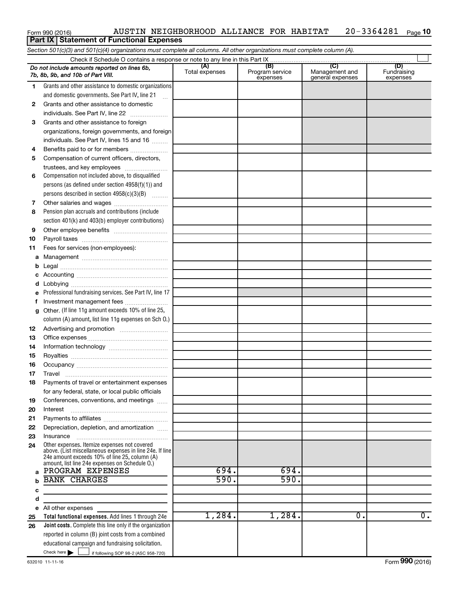### Form 990 (2016) AUSTIN NEIGHBORHOOD ALLIANCE FOR HABITAT 20-3364281 Page 20-3364281 Page 10 Form 990 (2016) **AUSTIN NEIGHB**<br>**Part IX** Statement of Functional Expenses

|                                                                                                                                                                                                                                 | Section 501(c)(3) and 501(c)(4) organizations must complete all columns. All other organizations must complete column (A).                                                                                                      |        |        |                           |                  |  |  |  |  |
|---------------------------------------------------------------------------------------------------------------------------------------------------------------------------------------------------------------------------------|---------------------------------------------------------------------------------------------------------------------------------------------------------------------------------------------------------------------------------|--------|--------|---------------------------|------------------|--|--|--|--|
|                                                                                                                                                                                                                                 |                                                                                                                                                                                                                                 |        |        |                           |                  |  |  |  |  |
| (B)<br>(C)<br>(D)<br>(A)<br>Do not include amounts reported on lines 6b,<br>Total expenses<br>Program service<br>Management and<br>Fundraising<br>7b, 8b, 9b, and 10b of Part VIII.<br>expenses<br>general expenses<br>expenses |                                                                                                                                                                                                                                 |        |        |                           |                  |  |  |  |  |
| 1.                                                                                                                                                                                                                              | Grants and other assistance to domestic organizations                                                                                                                                                                           |        |        |                           |                  |  |  |  |  |
|                                                                                                                                                                                                                                 | and domestic governments. See Part IV, line 21                                                                                                                                                                                  |        |        |                           |                  |  |  |  |  |
| 2                                                                                                                                                                                                                               | Grants and other assistance to domestic                                                                                                                                                                                         |        |        |                           |                  |  |  |  |  |
|                                                                                                                                                                                                                                 | individuals. See Part IV, line 22                                                                                                                                                                                               |        |        |                           |                  |  |  |  |  |
| 3                                                                                                                                                                                                                               | Grants and other assistance to foreign                                                                                                                                                                                          |        |        |                           |                  |  |  |  |  |
|                                                                                                                                                                                                                                 | organizations, foreign governments, and foreign                                                                                                                                                                                 |        |        |                           |                  |  |  |  |  |
|                                                                                                                                                                                                                                 | individuals. See Part IV, lines 15 and 16                                                                                                                                                                                       |        |        |                           |                  |  |  |  |  |
| 4                                                                                                                                                                                                                               | Benefits paid to or for members                                                                                                                                                                                                 |        |        |                           |                  |  |  |  |  |
| 5                                                                                                                                                                                                                               | Compensation of current officers, directors,                                                                                                                                                                                    |        |        |                           |                  |  |  |  |  |
|                                                                                                                                                                                                                                 | trustees, and key employees                                                                                                                                                                                                     |        |        |                           |                  |  |  |  |  |
| 6                                                                                                                                                                                                                               | Compensation not included above, to disqualified                                                                                                                                                                                |        |        |                           |                  |  |  |  |  |
|                                                                                                                                                                                                                                 | persons (as defined under section 4958(f)(1)) and                                                                                                                                                                               |        |        |                           |                  |  |  |  |  |
|                                                                                                                                                                                                                                 | persons described in section 4958(c)(3)(B)                                                                                                                                                                                      |        |        |                           |                  |  |  |  |  |
| 7                                                                                                                                                                                                                               |                                                                                                                                                                                                                                 |        |        |                           |                  |  |  |  |  |
| 8                                                                                                                                                                                                                               | Pension plan accruals and contributions (include                                                                                                                                                                                |        |        |                           |                  |  |  |  |  |
|                                                                                                                                                                                                                                 | section 401(k) and 403(b) employer contributions)                                                                                                                                                                               |        |        |                           |                  |  |  |  |  |
| 9                                                                                                                                                                                                                               |                                                                                                                                                                                                                                 |        |        |                           |                  |  |  |  |  |
| 10                                                                                                                                                                                                                              |                                                                                                                                                                                                                                 |        |        |                           |                  |  |  |  |  |
| 11                                                                                                                                                                                                                              | Fees for services (non-employees):                                                                                                                                                                                              |        |        |                           |                  |  |  |  |  |
| а                                                                                                                                                                                                                               |                                                                                                                                                                                                                                 |        |        |                           |                  |  |  |  |  |
| b                                                                                                                                                                                                                               |                                                                                                                                                                                                                                 |        |        |                           |                  |  |  |  |  |
| с                                                                                                                                                                                                                               |                                                                                                                                                                                                                                 |        |        |                           |                  |  |  |  |  |
| d                                                                                                                                                                                                                               |                                                                                                                                                                                                                                 |        |        |                           |                  |  |  |  |  |
|                                                                                                                                                                                                                                 | Professional fundraising services. See Part IV, line 17                                                                                                                                                                         |        |        |                           |                  |  |  |  |  |
| f                                                                                                                                                                                                                               | Investment management fees                                                                                                                                                                                                      |        |        |                           |                  |  |  |  |  |
| g                                                                                                                                                                                                                               | Other. (If line 11g amount exceeds 10% of line 25,                                                                                                                                                                              |        |        |                           |                  |  |  |  |  |
|                                                                                                                                                                                                                                 | column (A) amount, list line 11g expenses on Sch 0.)                                                                                                                                                                            |        |        |                           |                  |  |  |  |  |
| 12                                                                                                                                                                                                                              |                                                                                                                                                                                                                                 |        |        |                           |                  |  |  |  |  |
| 13                                                                                                                                                                                                                              |                                                                                                                                                                                                                                 |        |        |                           |                  |  |  |  |  |
| 14                                                                                                                                                                                                                              |                                                                                                                                                                                                                                 |        |        |                           |                  |  |  |  |  |
| 15                                                                                                                                                                                                                              |                                                                                                                                                                                                                                 |        |        |                           |                  |  |  |  |  |
| 16                                                                                                                                                                                                                              |                                                                                                                                                                                                                                 |        |        |                           |                  |  |  |  |  |
| 17                                                                                                                                                                                                                              |                                                                                                                                                                                                                                 |        |        |                           |                  |  |  |  |  |
| 18                                                                                                                                                                                                                              | Payments of travel or entertainment expenses                                                                                                                                                                                    |        |        |                           |                  |  |  |  |  |
|                                                                                                                                                                                                                                 | for any federal, state, or local public officials                                                                                                                                                                               |        |        |                           |                  |  |  |  |  |
| 19                                                                                                                                                                                                                              | Conferences, conventions, and meetings                                                                                                                                                                                          |        |        |                           |                  |  |  |  |  |
| 20                                                                                                                                                                                                                              | Interest                                                                                                                                                                                                                        |        |        |                           |                  |  |  |  |  |
| 21                                                                                                                                                                                                                              |                                                                                                                                                                                                                                 |        |        |                           |                  |  |  |  |  |
| 22                                                                                                                                                                                                                              | Depreciation, depletion, and amortization                                                                                                                                                                                       |        |        |                           |                  |  |  |  |  |
| 23                                                                                                                                                                                                                              | Insurance                                                                                                                                                                                                                       |        |        |                           |                  |  |  |  |  |
| 24                                                                                                                                                                                                                              | Other expenses. Itemize expenses not covered<br>above. (List miscellaneous expenses in line 24e. If line<br>24e amount exceeds 10% of line 25, column (A)<br>amount, list line 24e expenses on Schedule O.)<br>PROGRAM EXPENSES | 694.   | 694.   |                           |                  |  |  |  |  |
| a                                                                                                                                                                                                                               | <b>BANK CHARGES</b>                                                                                                                                                                                                             | 590.   | 590.   |                           |                  |  |  |  |  |
| b                                                                                                                                                                                                                               |                                                                                                                                                                                                                                 |        |        |                           |                  |  |  |  |  |
| c                                                                                                                                                                                                                               |                                                                                                                                                                                                                                 |        |        |                           |                  |  |  |  |  |
| d                                                                                                                                                                                                                               |                                                                                                                                                                                                                                 |        |        |                           |                  |  |  |  |  |
| е                                                                                                                                                                                                                               | All other expenses                                                                                                                                                                                                              | 1,284. | 1,284. | $\overline{\mathbf{0}}$ . | $\overline{0}$ . |  |  |  |  |
| 25<br>26                                                                                                                                                                                                                        | Total functional expenses. Add lines 1 through 24e<br><b>Joint costs.</b> Complete this line only if the organization                                                                                                           |        |        |                           |                  |  |  |  |  |
|                                                                                                                                                                                                                                 | reported in column (B) joint costs from a combined                                                                                                                                                                              |        |        |                           |                  |  |  |  |  |
|                                                                                                                                                                                                                                 | educational campaign and fundraising solicitation.                                                                                                                                                                              |        |        |                           |                  |  |  |  |  |
|                                                                                                                                                                                                                                 | Check here $\blacktriangleright$<br>$\overline{\phantom{0}}$ if following SOP 98-2 (ASC 958-720)                                                                                                                                |        |        |                           |                  |  |  |  |  |
|                                                                                                                                                                                                                                 |                                                                                                                                                                                                                                 |        |        |                           |                  |  |  |  |  |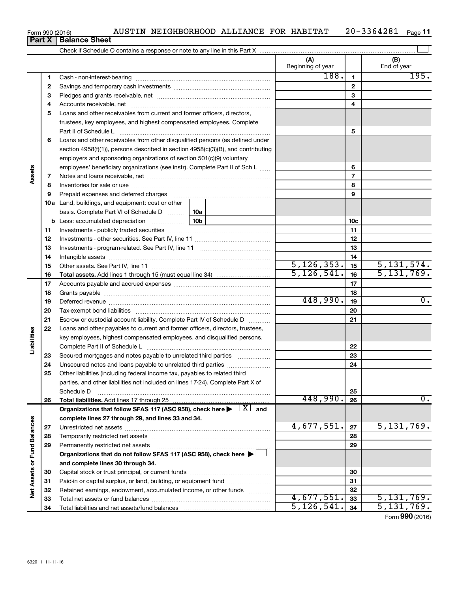| Form 990 (2016) | AUSTIN | NEIGHBORHOOD | ALLIANCE | <b>FOR</b> | HABITAT | 364281<br>ິດ 0 – | Page |
|-----------------|--------|--------------|----------|------------|---------|------------------|------|
|                 |        |              |          |            |         | 21 U             |      |

**Part X Balance Sheet**

|                      |          |                                                                                                                                            | (A)<br>Beginning of year |                | (B)<br>End of year |
|----------------------|----------|--------------------------------------------------------------------------------------------------------------------------------------------|--------------------------|----------------|--------------------|
|                      | 1        |                                                                                                                                            | 188.                     | $\mathbf{1}$   | 195.               |
|                      | 2        |                                                                                                                                            |                          | $\mathbf{2}$   |                    |
|                      | 3        |                                                                                                                                            |                          | 3              |                    |
|                      | 4        |                                                                                                                                            |                          | 4              |                    |
|                      | 5        | Loans and other receivables from current and former officers, directors,                                                                   |                          |                |                    |
|                      |          | trustees, key employees, and highest compensated employees. Complete                                                                       |                          |                |                    |
|                      |          | Part II of Schedule L                                                                                                                      |                          | 5              |                    |
|                      | 6        | Loans and other receivables from other disqualified persons (as defined under                                                              |                          |                |                    |
|                      |          | section $4958(f)(1)$ , persons described in section $4958(c)(3)(B)$ , and contributing                                                     |                          |                |                    |
|                      |          | employers and sponsoring organizations of section 501(c)(9) voluntary                                                                      |                          |                |                    |
|                      |          | employees' beneficiary organizations (see instr). Complete Part II of Sch L                                                                |                          | 6              |                    |
| Assets               | 7        |                                                                                                                                            |                          | $\overline{7}$ |                    |
|                      | 8        |                                                                                                                                            |                          | 8              |                    |
|                      | 9        | Prepaid expenses and deferred charges                                                                                                      |                          | 9              |                    |
|                      |          | <b>10a</b> Land, buildings, and equipment: cost or other                                                                                   |                          |                |                    |
|                      |          | basis. Complete Part VI of Schedule D    10a                                                                                               |                          |                |                    |
|                      | b        | 10 <sub>b</sub>                                                                                                                            |                          | 10c            |                    |
|                      | 11       |                                                                                                                                            |                          | 11             |                    |
|                      | 12       |                                                                                                                                            |                          | 12             |                    |
|                      | 13       |                                                                                                                                            |                          | 13             |                    |
|                      | 14       |                                                                                                                                            |                          | 14             |                    |
|                      | 15       |                                                                                                                                            | 5, 126, 353.             | 15             | 5, 131, 574.       |
|                      | 16       |                                                                                                                                            | 5, 126, 541.             | 16             | 5, 131, 769.       |
|                      | 17       |                                                                                                                                            |                          | 17             |                    |
|                      | 18       |                                                                                                                                            |                          | 18             |                    |
|                      | 19       |                                                                                                                                            | 448,990.                 | 19             | 0.                 |
|                      | 20       |                                                                                                                                            |                          | 20             |                    |
|                      | 21       | Escrow or custodial account liability. Complete Part IV of Schedule D                                                                      |                          | 21             |                    |
| Liabilities          | 22       | Loans and other payables to current and former officers, directors, trustees,                                                              |                          |                |                    |
|                      |          | key employees, highest compensated employees, and disqualified persons.                                                                    |                          |                |                    |
|                      |          |                                                                                                                                            |                          | 22             |                    |
|                      | 23       | Secured mortgages and notes payable to unrelated third parties                                                                             |                          | 23<br>24       |                    |
|                      | 24<br>25 | Unsecured notes and loans payable to unrelated third parties<br>Other liabilities (including federal income tax, payables to related third |                          |                |                    |
|                      |          | parties, and other liabilities not included on lines 17-24). Complete Part X of                                                            |                          |                |                    |
|                      |          | Schedule D                                                                                                                                 |                          | 25             |                    |
|                      | 26       | Total liabilities. Add lines 17 through 25                                                                                                 | 448,990.                 | 26             | 0.                 |
|                      |          | Organizations that follow SFAS 117 (ASC 958), check here $\blacktriangleright \begin{array}{c} \perp X \end{array}$ and                    |                          |                |                    |
|                      |          | complete lines 27 through 29, and lines 33 and 34.                                                                                         |                          |                |                    |
|                      | 27       |                                                                                                                                            | 4,677,551.               | 27             | 5,131,769.         |
| <b>Fund Balances</b> | 28       |                                                                                                                                            |                          | 28             |                    |
|                      | 29       | Permanently restricted net assets                                                                                                          |                          | 29             |                    |
|                      |          | Organizations that do not follow SFAS 117 (ASC 958), check here $\blacktriangleright$                                                      |                          |                |                    |
|                      |          | and complete lines 30 through 34.                                                                                                          |                          |                |                    |
| Net Assets or        | 30       |                                                                                                                                            |                          | 30             |                    |
|                      | 31       | Paid-in or capital surplus, or land, building, or equipment fund                                                                           |                          | 31             |                    |
|                      | 32       | Retained earnings, endowment, accumulated income, or other funds                                                                           |                          | 32             |                    |
|                      | 33       |                                                                                                                                            | 4,677,551.               | 33             | 5,131,769.         |
|                      | 34       |                                                                                                                                            | 5, 126, 541              | 34             | 5,131,769.         |
|                      |          |                                                                                                                                            |                          |                |                    |

Form (2016) **990**

|  | I |  |  |
|--|---|--|--|
|  |   |  |  |
|  |   |  |  |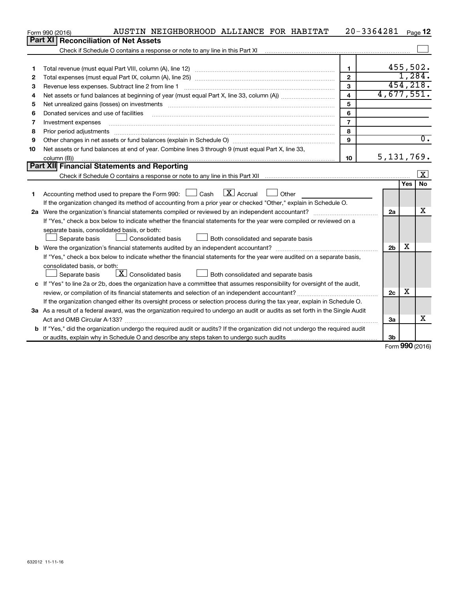|    | AUSTIN NEIGHBORHOOD ALLIANCE FOR HABITAT<br>Form 990 (2016)                                                                                                                                                                                                                                                                                                                                                                                                             |                         | $20 - 3364281$ |        | Page 12                 |
|----|-------------------------------------------------------------------------------------------------------------------------------------------------------------------------------------------------------------------------------------------------------------------------------------------------------------------------------------------------------------------------------------------------------------------------------------------------------------------------|-------------------------|----------------|--------|-------------------------|
|    | Part XI<br><b>Reconciliation of Net Assets</b>                                                                                                                                                                                                                                                                                                                                                                                                                          |                         |                |        |                         |
|    |                                                                                                                                                                                                                                                                                                                                                                                                                                                                         |                         |                |        |                         |
|    |                                                                                                                                                                                                                                                                                                                                                                                                                                                                         |                         |                |        |                         |
| 1  |                                                                                                                                                                                                                                                                                                                                                                                                                                                                         | $\mathbf{1}$            |                |        | 455,502.                |
| 2  |                                                                                                                                                                                                                                                                                                                                                                                                                                                                         | $\mathbf{2}$            |                |        | 1,284.                  |
| 3  | Revenue less expenses. Subtract line 2 from line 1                                                                                                                                                                                                                                                                                                                                                                                                                      | 3                       |                |        | 454, 218.               |
| 4  |                                                                                                                                                                                                                                                                                                                                                                                                                                                                         | $\overline{\mathbf{4}}$ | 4,677,551.     |        |                         |
| 5  |                                                                                                                                                                                                                                                                                                                                                                                                                                                                         | 5                       |                |        |                         |
| 6  | Donated services and use of facilities                                                                                                                                                                                                                                                                                                                                                                                                                                  | 6                       |                |        |                         |
| 7  | Investment expenses                                                                                                                                                                                                                                                                                                                                                                                                                                                     | $\overline{7}$          |                |        |                         |
| 8  | Prior period adjustments<br>$\begin{minipage}{0.5\textwidth} \begin{tabular}{ l l l } \hline \multicolumn{1}{ l l l } \hline \multicolumn{1}{ l l } \multicolumn{1}{ l } \multicolumn{1}{ l } \multicolumn{1}{ l } \multicolumn{1}{ l } \multicolumn{1}{ l } \multicolumn{1}{ l } \multicolumn{1}{ l } \multicolumn{1}{ l } \multicolumn{1}{ l } \multicolumn{1}{ l } \multicolumn{1}{ l } \multicolumn{1}{ l } \multicolumn{1}{ l } \multicolumn{1}{ l } \multicolumn$ | 8                       |                |        |                         |
| 9  |                                                                                                                                                                                                                                                                                                                                                                                                                                                                         | 9                       |                |        | $\overline{0}$ .        |
| 10 | Net assets or fund balances at end of year. Combine lines 3 through 9 (must equal Part X, line 33,                                                                                                                                                                                                                                                                                                                                                                      |                         |                |        |                         |
|    | column (B))                                                                                                                                                                                                                                                                                                                                                                                                                                                             | 10                      | 5, 131, 769.   |        |                         |
|    | <b>Part XII</b> Financial Statements and Reporting                                                                                                                                                                                                                                                                                                                                                                                                                      |                         |                |        |                         |
|    |                                                                                                                                                                                                                                                                                                                                                                                                                                                                         |                         |                |        | $\overline{\mathbf{x}}$ |
|    |                                                                                                                                                                                                                                                                                                                                                                                                                                                                         |                         |                | Yes    | No                      |
| 1  | Accounting method used to prepare the Form 990: $\Box$ Cash $\Box X$ Accrual<br>$\Box$ Other                                                                                                                                                                                                                                                                                                                                                                            |                         |                |        |                         |
|    | If the organization changed its method of accounting from a prior year or checked "Other," explain in Schedule O.                                                                                                                                                                                                                                                                                                                                                       |                         |                |        |                         |
|    |                                                                                                                                                                                                                                                                                                                                                                                                                                                                         |                         | 2a             |        | x                       |
|    | If "Yes," check a box below to indicate whether the financial statements for the year were compiled or reviewed on a                                                                                                                                                                                                                                                                                                                                                    |                         |                |        |                         |
|    | separate basis, consolidated basis, or both:                                                                                                                                                                                                                                                                                                                                                                                                                            |                         |                |        |                         |
|    | Both consolidated and separate basis<br>Separate basis<br>Consolidated basis                                                                                                                                                                                                                                                                                                                                                                                            |                         |                |        |                         |
| b  |                                                                                                                                                                                                                                                                                                                                                                                                                                                                         |                         | 2 <sub>b</sub> | x      |                         |
|    | If "Yes," check a box below to indicate whether the financial statements for the year were audited on a separate basis,                                                                                                                                                                                                                                                                                                                                                 |                         |                |        |                         |
|    | consolidated basis, or both:                                                                                                                                                                                                                                                                                                                                                                                                                                            |                         |                |        |                         |
|    | $\lfloor \underline{X} \rfloor$ Consolidated basis<br>Separate basis<br>Both consolidated and separate basis                                                                                                                                                                                                                                                                                                                                                            |                         |                |        |                         |
|    | c If "Yes" to line 2a or 2b, does the organization have a committee that assumes responsibility for oversight of the audit,                                                                                                                                                                                                                                                                                                                                             |                         |                |        |                         |
|    |                                                                                                                                                                                                                                                                                                                                                                                                                                                                         |                         | 2c             | х      |                         |
|    | If the organization changed either its oversight process or selection process during the tax year, explain in Schedule O.                                                                                                                                                                                                                                                                                                                                               |                         |                |        |                         |
|    | 3a As a result of a federal award, was the organization required to undergo an audit or audits as set forth in the Single Audit                                                                                                                                                                                                                                                                                                                                         |                         |                |        |                         |
|    | Act and OMB Circular A-133?                                                                                                                                                                                                                                                                                                                                                                                                                                             |                         | За             |        | х                       |
|    | <b>b</b> If "Yes," did the organization undergo the required audit or audits? If the organization did not undergo the required audit                                                                                                                                                                                                                                                                                                                                    |                         |                |        |                         |
|    |                                                                                                                                                                                                                                                                                                                                                                                                                                                                         |                         | 3b             | $\sim$ |                         |

Form (2016) **990**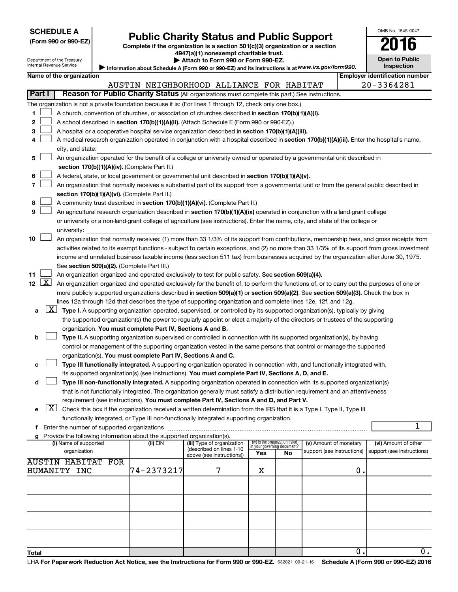Department of the Treasury

**Total**

| (Form 990 or 990-EZ |  |  |  |  |
|---------------------|--|--|--|--|
|---------------------|--|--|--|--|

# Form 990 or 990-EZ) **Public Charity Status and Public Support**<br>
Complete if the organization is a section 501(c)(3) organization or a section<br> **2016**

**4947(a)(1) nonexempt charitable trust. | Attach to Form 990 or Form 990-EZ.** 

| <b>Open to Public</b><br>Inspection |  |
|-------------------------------------|--|

 $\overline{0.}$   $\overline{0.}$ 

OMB No. 1545-0047

| $\blacksquare$                                                                                                                                                                                                                |                                                                                                   |  |
|-------------------------------------------------------------------------------------------------------------------------------------------------------------------------------------------------------------------------------|---------------------------------------------------------------------------------------------------|--|
| Internal Revenue Service                                                                                                                                                                                                      | Information about Schedule A (Form 990 or 990-EZ) and its instructions is at WWW.irs.gov/form990. |  |
| $= 0.000$ and $= 0.0000$ and $= 0.0000$ and $= 0.0000$ and $= 0.0000$ and $= 0.0000$ and $= 0.0000$ and $= 0.0000$ and $= 0.0000$ and $= 0.0000$ and $= 0.0000$ and $= 0.0000$ and $= 0.0000$ and $= 0.0000$ and $= 0.0000$ a | <b>P</b> AGUUT GET VEHEVYV VET VEHEVYV LL.                                                        |  |

|             |                     | Name of the organization                                                                                                                      |            |                                                        |                                 |    |                                                      |    | <b>Employer identification number</b>              |
|-------------|---------------------|-----------------------------------------------------------------------------------------------------------------------------------------------|------------|--------------------------------------------------------|---------------------------------|----|------------------------------------------------------|----|----------------------------------------------------|
|             |                     |                                                                                                                                               |            | AUSTIN NEIGHBORHOOD ALLIANCE FOR HABITAT               |                                 |    |                                                      |    | 20-3364281                                         |
| Part I      |                     | Reason for Public Charity Status (All organizations must complete this part.) See instructions.                                               |            |                                                        |                                 |    |                                                      |    |                                                    |
|             |                     | The organization is not a private foundation because it is: (For lines 1 through 12, check only one box.)                                     |            |                                                        |                                 |    |                                                      |    |                                                    |
| 1.          |                     | A church, convention of churches, or association of churches described in section 170(b)(1)(A)(i).                                            |            |                                                        |                                 |    |                                                      |    |                                                    |
| 2           |                     | A school described in section 170(b)(1)(A)(ii). (Attach Schedule E (Form 990 or 990-EZ).)                                                     |            |                                                        |                                 |    |                                                      |    |                                                    |
| з           |                     | A hospital or a cooperative hospital service organization described in section 170(b)(1)(A)(iii).                                             |            |                                                        |                                 |    |                                                      |    |                                                    |
| 4           |                     | A medical research organization operated in conjunction with a hospital described in section 170(b)(1)(A)(iii). Enter the hospital's name,    |            |                                                        |                                 |    |                                                      |    |                                                    |
|             |                     | city, and state:                                                                                                                              |            |                                                        |                                 |    |                                                      |    |                                                    |
| 5           |                     | An organization operated for the benefit of a college or university owned or operated by a governmental unit described in                     |            |                                                        |                                 |    |                                                      |    |                                                    |
|             |                     | section 170(b)(1)(A)(iv). (Complete Part II.)                                                                                                 |            |                                                        |                                 |    |                                                      |    |                                                    |
| 6           |                     | A federal, state, or local government or governmental unit described in section 170(b)(1)(A)(v).                                              |            |                                                        |                                 |    |                                                      |    |                                                    |
| 7           |                     | An organization that normally receives a substantial part of its support from a governmental unit or from the general public described in     |            |                                                        |                                 |    |                                                      |    |                                                    |
|             |                     | section 170(b)(1)(A)(vi). (Complete Part II.)                                                                                                 |            |                                                        |                                 |    |                                                      |    |                                                    |
| 8           |                     | A community trust described in section 170(b)(1)(A)(vi). (Complete Part II.)                                                                  |            |                                                        |                                 |    |                                                      |    |                                                    |
| 9           |                     | An agricultural research organization described in section 170(b)(1)(A)(ix) operated in conjunction with a land-grant college                 |            |                                                        |                                 |    |                                                      |    |                                                    |
|             |                     | or university or a non-land-grant college of agriculture (see instructions). Enter the name, city, and state of the college or                |            |                                                        |                                 |    |                                                      |    |                                                    |
|             |                     | university:                                                                                                                                   |            |                                                        |                                 |    |                                                      |    |                                                    |
| 10          |                     | An organization that normally receives: (1) more than 33 1/3% of its support from contributions, membership fees, and gross receipts from     |            |                                                        |                                 |    |                                                      |    |                                                    |
|             |                     | activities related to its exempt functions - subject to certain exceptions, and (2) no more than 33 1/3% of its support from gross investment |            |                                                        |                                 |    |                                                      |    |                                                    |
|             |                     | income and unrelated business taxable income (less section 511 tax) from businesses acquired by the organization after June 30, 1975.         |            |                                                        |                                 |    |                                                      |    |                                                    |
|             |                     | See section 509(a)(2). (Complete Part III.)                                                                                                   |            |                                                        |                                 |    |                                                      |    |                                                    |
| 11          |                     | An organization organized and operated exclusively to test for public safety. See section 509(a)(4).                                          |            |                                                        |                                 |    |                                                      |    |                                                    |
| $12 \mid X$ |                     | An organization organized and operated exclusively for the benefit of, to perform the functions of, or to carry out the purposes of one or    |            |                                                        |                                 |    |                                                      |    |                                                    |
|             |                     | more publicly supported organizations described in section 509(a)(1) or section 509(a)(2). See section 509(a)(3). Check the box in            |            |                                                        |                                 |    |                                                      |    |                                                    |
|             |                     | lines 12a through 12d that describes the type of supporting organization and complete lines 12e, 12f, and 12g.                                |            |                                                        |                                 |    |                                                      |    |                                                    |
| а           | $\lfloor x \rfloor$ | Type I. A supporting organization operated, supervised, or controlled by its supported organization(s), typically by giving                   |            |                                                        |                                 |    |                                                      |    |                                                    |
|             |                     | the supported organization(s) the power to regularly appoint or elect a majority of the directors or trustees of the supporting               |            |                                                        |                                 |    |                                                      |    |                                                    |
|             |                     | organization. You must complete Part IV, Sections A and B.                                                                                    |            |                                                        |                                 |    |                                                      |    |                                                    |
| b           |                     | Type II. A supporting organization supervised or controlled in connection with its supported organization(s), by having                       |            |                                                        |                                 |    |                                                      |    |                                                    |
|             |                     | control or management of the supporting organization vested in the same persons that control or manage the supported                          |            |                                                        |                                 |    |                                                      |    |                                                    |
|             |                     | organization(s). You must complete Part IV, Sections A and C.                                                                                 |            |                                                        |                                 |    |                                                      |    |                                                    |
| с           |                     | Type III functionally integrated. A supporting organization operated in connection with, and functionally integrated with,                    |            |                                                        |                                 |    |                                                      |    |                                                    |
|             |                     | its supported organization(s) (see instructions). You must complete Part IV, Sections A, D, and E.                                            |            |                                                        |                                 |    |                                                      |    |                                                    |
| d           |                     | Type III non-functionally integrated. A supporting organization operated in connection with its supported organization(s)                     |            |                                                        |                                 |    |                                                      |    |                                                    |
|             |                     | that is not functionally integrated. The organization generally must satisfy a distribution requirement and an attentiveness                  |            |                                                        |                                 |    |                                                      |    |                                                    |
|             |                     | requirement (see instructions). You must complete Part IV, Sections A and D, and Part V.                                                      |            |                                                        |                                 |    |                                                      |    |                                                    |
|             |                     | $X$ Check this box if the organization received a written determination from the IRS that it is a Type I, Type II, Type III                   |            |                                                        |                                 |    |                                                      |    |                                                    |
|             |                     | functionally integrated, or Type III non-functionally integrated supporting organization.                                                     |            |                                                        |                                 |    |                                                      |    |                                                    |
|             |                     | f Enter the number of supported organizations                                                                                                 |            |                                                        |                                 |    |                                                      |    | 1                                                  |
|             |                     | g Provide the following information about the supported organization(s).                                                                      |            |                                                        | (iv) Is the organization listed |    |                                                      |    |                                                    |
|             |                     | (i) Name of supported<br>organization                                                                                                         | (ii) EIN   | (iii) Type of organization<br>(described on lines 1-10 | in your governing document?     |    | (v) Amount of monetary<br>support (see instructions) |    | (vi) Amount of other<br>support (see instructions) |
|             |                     |                                                                                                                                               |            | above (see instructions))                              | Yes                             | No |                                                      |    |                                                    |
|             |                     | <b>AUSTIN HABITAT FOR</b>                                                                                                                     |            |                                                        |                                 |    |                                                      |    |                                                    |
|             |                     | HUMANITY INC                                                                                                                                  | 74-2373217 | 7                                                      | х                               |    |                                                      | 0. |                                                    |
|             |                     |                                                                                                                                               |            |                                                        |                                 |    |                                                      |    |                                                    |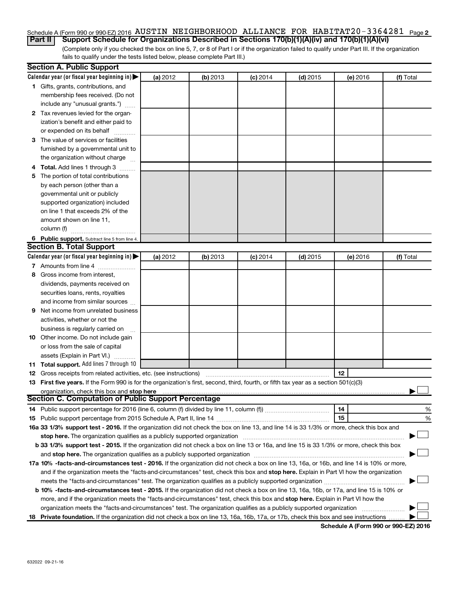### Schedule A (Form 990 or 990-EZ) 2016 AUSTIN NEIGHBORHOOD ALLIANCE FOR HABITAT $20$ -3364281  $_{\sf Page}$  2 **Part II Support Schedule for Organizations Described in Sections 170(b)(1)(A)(iv) and 170(b)(1)(A)(vi)**

(Complete only if you checked the box on line 5, 7, or 8 of Part I or if the organization failed to qualify under Part III. If the organization fails to qualify under the tests listed below, please complete Part III.)

|   | <b>Section A. Public Support</b>                                                                                                                                                                                              |          |          |            |            |          |           |
|---|-------------------------------------------------------------------------------------------------------------------------------------------------------------------------------------------------------------------------------|----------|----------|------------|------------|----------|-----------|
|   | Calendar year (or fiscal year beginning in) $\blacktriangleright$                                                                                                                                                             | (a) 2012 | (b) 2013 | $(c)$ 2014 | $(d)$ 2015 | (e) 2016 | (f) Total |
|   | 1 Gifts, grants, contributions, and                                                                                                                                                                                           |          |          |            |            |          |           |
|   | membership fees received. (Do not                                                                                                                                                                                             |          |          |            |            |          |           |
|   | include any "unusual grants.")                                                                                                                                                                                                |          |          |            |            |          |           |
|   | 2 Tax revenues levied for the organ-                                                                                                                                                                                          |          |          |            |            |          |           |
|   | ization's benefit and either paid to                                                                                                                                                                                          |          |          |            |            |          |           |
|   | or expended on its behalf                                                                                                                                                                                                     |          |          |            |            |          |           |
|   | 3 The value of services or facilities                                                                                                                                                                                         |          |          |            |            |          |           |
|   | furnished by a governmental unit to                                                                                                                                                                                           |          |          |            |            |          |           |
|   | the organization without charge                                                                                                                                                                                               |          |          |            |            |          |           |
|   | 4 Total. Add lines 1 through 3                                                                                                                                                                                                |          |          |            |            |          |           |
|   | 5 The portion of total contributions                                                                                                                                                                                          |          |          |            |            |          |           |
|   | by each person (other than a                                                                                                                                                                                                  |          |          |            |            |          |           |
|   | governmental unit or publicly                                                                                                                                                                                                 |          |          |            |            |          |           |
|   | supported organization) included                                                                                                                                                                                              |          |          |            |            |          |           |
|   | on line 1 that exceeds 2% of the                                                                                                                                                                                              |          |          |            |            |          |           |
|   | amount shown on line 11,                                                                                                                                                                                                      |          |          |            |            |          |           |
|   | column (f)                                                                                                                                                                                                                    |          |          |            |            |          |           |
|   | 6 Public support. Subtract line 5 from line 4.                                                                                                                                                                                |          |          |            |            |          |           |
|   | <b>Section B. Total Support</b>                                                                                                                                                                                               |          |          |            |            |          |           |
|   | Calendar year (or fiscal year beginning in)                                                                                                                                                                                   | (a) 2012 | (b) 2013 | $(c)$ 2014 | $(d)$ 2015 | (e) 2016 | (f) Total |
|   | 7 Amounts from line 4                                                                                                                                                                                                         |          |          |            |            |          |           |
|   | 8 Gross income from interest.                                                                                                                                                                                                 |          |          |            |            |          |           |
|   | dividends, payments received on                                                                                                                                                                                               |          |          |            |            |          |           |
|   | securities loans, rents, royalties                                                                                                                                                                                            |          |          |            |            |          |           |
|   | and income from similar sources                                                                                                                                                                                               |          |          |            |            |          |           |
| 9 | Net income from unrelated business                                                                                                                                                                                            |          |          |            |            |          |           |
|   | activities, whether or not the                                                                                                                                                                                                |          |          |            |            |          |           |
|   | business is regularly carried on                                                                                                                                                                                              |          |          |            |            |          |           |
|   | 10 Other income. Do not include gain                                                                                                                                                                                          |          |          |            |            |          |           |
|   | or loss from the sale of capital                                                                                                                                                                                              |          |          |            |            |          |           |
|   | assets (Explain in Part VI.)                                                                                                                                                                                                  |          |          |            |            |          |           |
|   | <b>11 Total support.</b> Add lines 7 through 10                                                                                                                                                                               |          |          |            |            |          |           |
|   | <b>12</b> Gross receipts from related activities, etc. (see instructions)                                                                                                                                                     |          |          |            |            | 12       |           |
|   | 13 First five years. If the Form 990 is for the organization's first, second, third, fourth, or fifth tax year as a section 501(c)(3)                                                                                         |          |          |            |            |          |           |
|   | organization, check this box and stop here                                                                                                                                                                                    |          |          |            |            |          |           |
|   | Section C. Computation of Public Support Percentage                                                                                                                                                                           |          |          |            |            |          |           |
|   |                                                                                                                                                                                                                               |          |          |            |            | 14       | %         |
|   |                                                                                                                                                                                                                               |          |          |            |            | 15       | %         |
|   | 16a 33 1/3% support test - 2016. If the organization did not check the box on line 13, and line 14 is 33 1/3% or more, check this box and                                                                                     |          |          |            |            |          |           |
|   | stop here. The organization qualifies as a publicly supported organization manufactured content and the organization manufactured and the state of the state of the state of the state of the state of the state of the state |          |          |            |            |          |           |
|   | b 33 1/3% support test - 2015. If the organization did not check a box on line 13 or 16a, and line 15 is 33 1/3% or more, check this box                                                                                      |          |          |            |            |          |           |
|   |                                                                                                                                                                                                                               |          |          |            |            |          |           |
|   | 17a 10% -facts-and-circumstances test - 2016. If the organization did not check a box on line 13, 16a, or 16b, and line 14 is 10% or more,                                                                                    |          |          |            |            |          |           |
|   | and if the organization meets the "facts-and-circumstances" test, check this box and stop here. Explain in Part VI how the organization                                                                                       |          |          |            |            |          |           |
|   |                                                                                                                                                                                                                               |          |          |            |            |          |           |
|   | <b>b 10%</b> -facts-and-circumstances test - 2015. If the organization did not check a box on line 13, 16a, 16b, or 17a, and line 15 is 10% or                                                                                |          |          |            |            |          |           |
|   | more, and if the organization meets the "facts-and-circumstances" test, check this box and stop here. Explain in Part VI how the                                                                                              |          |          |            |            |          |           |
|   | organization meets the "facts-and-circumstances" test. The organization qualifies as a publicly supported organization                                                                                                        |          |          |            |            |          |           |
|   | 18 Private foundation. If the organization did not check a box on line 13, 16a, 16b, 17a, or 17b, check this box and see instructions                                                                                         |          |          |            |            |          |           |

**Schedule A (Form 990 or 990-EZ) 2016**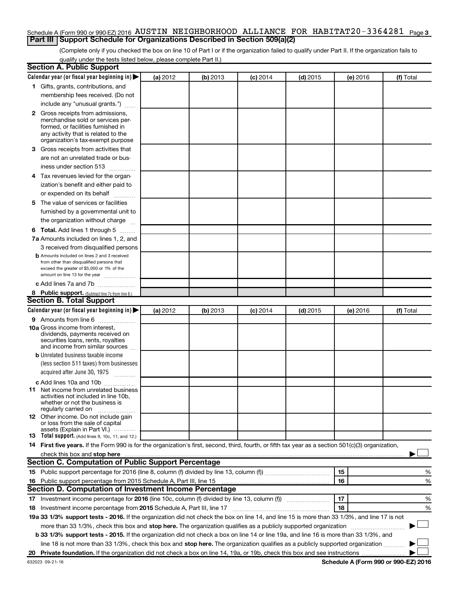### Schedule A (Form 990 or 990-EZ) 2016 AUSTIN NEIGHBORHOOD ALLIANCE FOR HABITAT $20$ -3364281  $_{\sf Page}$ 3 **Part III Support Schedule for Organizations Described in Section 509(a)(2)**

(Complete only if you checked the box on line 10 of Part I or if the organization failed to qualify under Part II. If the organization fails to qualify under the tests listed below, please complete Part II.)

| <b>Section A. Public Support</b>                                                                                                                    |          |          |                 |            |          |           |
|-----------------------------------------------------------------------------------------------------------------------------------------------------|----------|----------|-----------------|------------|----------|-----------|
| Calendar year (or fiscal year beginning in)                                                                                                         | (a) 2012 | (b) 2013 | $(c)$ 2014      | $(d)$ 2015 | (e) 2016 | (f) Total |
| 1 Gifts, grants, contributions, and                                                                                                                 |          |          |                 |            |          |           |
| membership fees received. (Do not                                                                                                                   |          |          |                 |            |          |           |
| include any "unusual grants.")                                                                                                                      |          |          |                 |            |          |           |
| 2 Gross receipts from admissions,                                                                                                                   |          |          |                 |            |          |           |
| merchandise sold or services per-                                                                                                                   |          |          |                 |            |          |           |
| formed, or facilities furnished in                                                                                                                  |          |          |                 |            |          |           |
| any activity that is related to the<br>organization's tax-exempt purpose                                                                            |          |          |                 |            |          |           |
| 3 Gross receipts from activities that                                                                                                               |          |          |                 |            |          |           |
| are not an unrelated trade or bus-                                                                                                                  |          |          |                 |            |          |           |
| iness under section 513                                                                                                                             |          |          |                 |            |          |           |
| 4 Tax revenues levied for the organ-                                                                                                                |          |          |                 |            |          |           |
| ization's benefit and either paid to                                                                                                                |          |          |                 |            |          |           |
| or expended on its behalf                                                                                                                           |          |          |                 |            |          |           |
| 5 The value of services or facilities                                                                                                               |          |          |                 |            |          |           |
| furnished by a governmental unit to                                                                                                                 |          |          |                 |            |          |           |
| the organization without charge                                                                                                                     |          |          |                 |            |          |           |
| <b>6 Total.</b> Add lines 1 through 5                                                                                                               |          |          |                 |            |          |           |
| 7a Amounts included on lines 1, 2, and                                                                                                              |          |          |                 |            |          |           |
| 3 received from disqualified persons                                                                                                                |          |          |                 |            |          |           |
| <b>b</b> Amounts included on lines 2 and 3 received                                                                                                 |          |          |                 |            |          |           |
| from other than disqualified persons that                                                                                                           |          |          |                 |            |          |           |
| exceed the greater of \$5,000 or 1% of the                                                                                                          |          |          |                 |            |          |           |
| amount on line 13 for the year                                                                                                                      |          |          |                 |            |          |           |
| c Add lines 7a and 7b                                                                                                                               |          |          |                 |            |          |           |
| 8 Public support. (Subtract line 7c from line 6.)<br><b>Section B. Total Support</b>                                                                |          |          |                 |            |          |           |
| Calendar year (or fiscal year beginning in)                                                                                                         | (a) 2012 | (b) 2013 |                 | $(d)$ 2015 |          | (f) Total |
| 9 Amounts from line 6                                                                                                                               |          |          | <b>(c)</b> 2014 |            | (e) 2016 |           |
| <b>10a</b> Gross income from interest,                                                                                                              |          |          |                 |            |          |           |
| dividends, payments received on                                                                                                                     |          |          |                 |            |          |           |
| securities loans, rents, royalties                                                                                                                  |          |          |                 |            |          |           |
| and income from similar sources                                                                                                                     |          |          |                 |            |          |           |
| <b>b</b> Unrelated business taxable income                                                                                                          |          |          |                 |            |          |           |
| (less section 511 taxes) from businesses                                                                                                            |          |          |                 |            |          |           |
| acquired after June 30, 1975<br>$\frac{1}{2}$                                                                                                       |          |          |                 |            |          |           |
| c Add lines 10a and 10b                                                                                                                             |          |          |                 |            |          |           |
| 11 Net income from unrelated business<br>activities not included in line 10b.                                                                       |          |          |                 |            |          |           |
| whether or not the business is                                                                                                                      |          |          |                 |            |          |           |
| regularly carried on                                                                                                                                |          |          |                 |            |          |           |
| <b>12</b> Other income. Do not include gain<br>or loss from the sale of capital                                                                     |          |          |                 |            |          |           |
| assets (Explain in Part VI.)                                                                                                                        |          |          |                 |            |          |           |
| <b>13</b> Total support. (Add lines 9, 10c, 11, and 12.)                                                                                            |          |          |                 |            |          |           |
| 14 First five years. If the Form 990 is for the organization's first, second, third, fourth, or fifth tax year as a section 501(c)(3) organization, |          |          |                 |            |          |           |
|                                                                                                                                                     |          |          |                 |            |          |           |
| Section C. Computation of Public Support Percentage                                                                                                 |          |          |                 |            |          |           |
|                                                                                                                                                     |          |          |                 |            | 15       | %         |
| 16 Public support percentage from 2015 Schedule A, Part III, line 15                                                                                |          |          |                 |            | 16       | %         |
| Section D. Computation of Investment Income Percentage                                                                                              |          |          |                 |            |          |           |
| 17 Investment income percentage for 2016 (line 10c, column (f) divided by line 13, column (f))                                                      |          |          |                 |            | 17       | %         |
| 18 Investment income percentage from 2015 Schedule A, Part III, line 17                                                                             |          |          |                 |            | 18       | %         |
| 19a 33 1/3% support tests - 2016. If the organization did not check the box on line 14, and line 15 is more than 33 1/3%, and line 17 is not        |          |          |                 |            |          |           |
| more than 33 1/3%, check this box and stop here. The organization qualifies as a publicly supported organization                                    |          |          |                 |            |          |           |
| b 33 1/3% support tests - 2015. If the organization did not check a box on line 14 or line 19a, and line 16 is more than 33 1/3%, and               |          |          |                 |            |          |           |
| line 18 is not more than 33 1/3%, check this box and stop here. The organization qualifies as a publicly supported organization                     |          |          |                 |            |          |           |
|                                                                                                                                                     |          |          |                 |            |          |           |

**Schedule A (Form 990 or 990-EZ) 2016**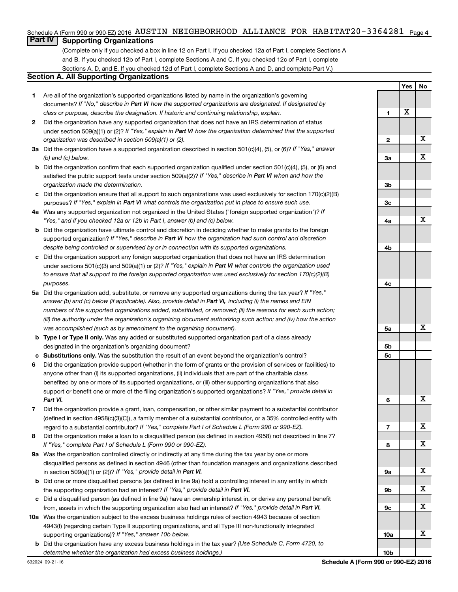### Schedule A (Form 990 or 990-EZ) 2016 AUSTIN NEIGHBORHOOD ALLIANCE FOR HABITAT $20$ -3364281 <sub>Page 4</sub>

# **Part IV** Supporting Organizations

(Complete only if you checked a box in line 12 on Part I. If you checked 12a of Part I, complete Sections A and B. If you checked 12b of Part I, complete Sections A and C. If you checked 12c of Part I, complete Sections A, D, and E. If you checked 12d of Part I, complete Sections A and D, and complete Part V.)

### **Section A. All Supporting Organizations**

- **1** Are all of the organization's supported organizations listed by name in the organization's governing documents? If "No," describe in Part VI how the supported organizations are designated. If designated by *class or purpose, describe the designation. If historic and continuing relationship, explain.*
- **2** Did the organization have any supported organization that does not have an IRS determination of status under section 509(a)(1) or (2)? If "Yes," explain in Part VI how the organization determined that the supported *organization was described in section 509(a)(1) or (2).*
- **3a** Did the organization have a supported organization described in section 501(c)(4), (5), or (6)? If "Yes," answer *(b) and (c) below.*
- **b** Did the organization confirm that each supported organization qualified under section 501(c)(4), (5), or (6) and satisfied the public support tests under section 509(a)(2)? If "Yes," describe in Part VI when and how the *organization made the determination.*
- **c** Did the organization ensure that all support to such organizations was used exclusively for section 170(c)(2)(B) purposes? If "Yes," explain in Part VI what controls the organization put in place to ensure such use.
- **4 a** *If* Was any supported organization not organized in the United States ("foreign supported organization")? *"Yes," and if you checked 12a or 12b in Part I, answer (b) and (c) below.*
- **b** Did the organization have ultimate control and discretion in deciding whether to make grants to the foreign supported organization? If "Yes," describe in Part VI how the organization had such control and discretion *despite being controlled or supervised by or in connection with its supported organizations.*
- **c** Did the organization support any foreign supported organization that does not have an IRS determination under sections 501(c)(3) and 509(a)(1) or (2)? If "Yes," explain in Part VI what controls the organization used *to ensure that all support to the foreign supported organization was used exclusively for section 170(c)(2)(B) purposes.*
- **5a** Did the organization add, substitute, or remove any supported organizations during the tax year? If "Yes," answer (b) and (c) below (if applicable). Also, provide detail in Part VI, including (i) the names and EIN *numbers of the supported organizations added, substituted, or removed; (ii) the reasons for each such action; (iii) the authority under the organization's organizing document authorizing such action; and (iv) how the action was accomplished (such as by amendment to the organizing document).*
- **b** Type I or Type II only. Was any added or substituted supported organization part of a class already designated in the organization's organizing document?
- **c Substitutions only.**  Was the substitution the result of an event beyond the organization's control?
- **6** Did the organization provide support (whether in the form of grants or the provision of services or facilities) to support or benefit one or more of the filing organization's supported organizations? If "Yes," provide detail in anyone other than (i) its supported organizations, (ii) individuals that are part of the charitable class benefited by one or more of its supported organizations, or (iii) other supporting organizations that also *Part VI.*
- **7** Did the organization provide a grant, loan, compensation, or other similar payment to a substantial contributor regard to a substantial contributor? If "Yes," complete Part I of Schedule L (Form 990 or 990-EZ). (defined in section 4958(c)(3)(C)), a family member of a substantial contributor, or a 35% controlled entity with
- **8** Did the organization make a loan to a disqualified person (as defined in section 4958) not described in line 7? *If "Yes," complete Part I of Schedule L (Form 990 or 990-EZ).*
- **9 a** Was the organization controlled directly or indirectly at any time during the tax year by one or more in section 509(a)(1) or (2))? If "Yes," provide detail in Part VI. disqualified persons as defined in section 4946 (other than foundation managers and organizations described
- **b** Did one or more disqualified persons (as defined in line 9a) hold a controlling interest in any entity in which the supporting organization had an interest? If "Yes," provide detail in Part VI.
- **c** Did a disqualified person (as defined in line 9a) have an ownership interest in, or derive any personal benefit from, assets in which the supporting organization also had an interest? If "Yes," provide detail in Part VI.
- **10 a** Was the organization subject to the excess business holdings rules of section 4943 because of section supporting organizations)? If "Yes," answer 10b below. 4943(f) (regarding certain Type II supporting organizations, and all Type III non-functionally integrated
	- **b** Did the organization have any excess business holdings in the tax year? (Use Schedule C, Form 4720, to *determine whether the organization had excess business holdings.)*

|                 | Yes | Ĵ<br>$No$ |
|-----------------|-----|-----------|
|                 |     |           |
| 1               | X   |           |
|                 |     |           |
| $\overline{2}$  |     | X         |
|                 |     |           |
| 3a              |     | X         |
|                 |     |           |
| 3b              |     |           |
|                 |     |           |
| 3 <sub>c</sub>  |     |           |
|                 |     |           |
| 4a              |     | X         |
|                 |     |           |
| 4b              |     |           |
|                 |     |           |
| 4c              |     |           |
|                 |     |           |
| 5a              |     | Χ         |
|                 |     |           |
| 5b              |     |           |
| 5c              |     |           |
|                 |     |           |
| 6               |     | X         |
|                 |     |           |
| 7               |     | X         |
|                 |     |           |
| 8               |     | X         |
|                 |     | X         |
| 9а              |     |           |
| 9b              |     | X         |
|                 |     |           |
| 9с              |     | X         |
|                 |     |           |
| 10a             |     | Χ         |
|                 |     |           |
| 10 <sub>b</sub> |     |           |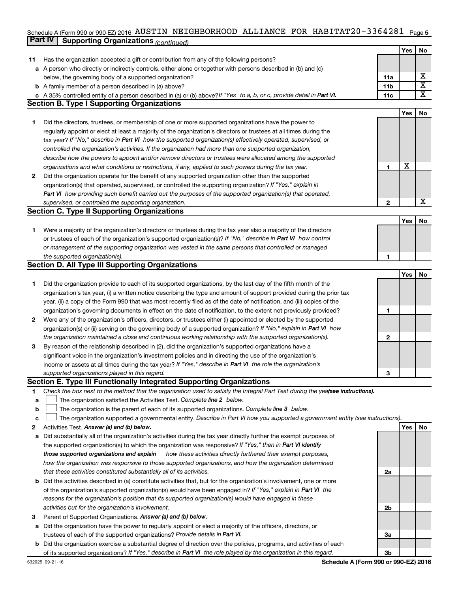### Schedule A (Form 990 or 990-EZ) 2016 AUSTIN NEIGHBORHOOD ALLIANCE FOR HABITAT $20$ -3364281  $\,$  <sub>Page 5</sub> **Part IV** Supporting Organizations (*continued*)

|              |                                                                                                                                 |                 | Yes | No                      |
|--------------|---------------------------------------------------------------------------------------------------------------------------------|-----------------|-----|-------------------------|
| 11           | Has the organization accepted a gift or contribution from any of the following persons?                                         |                 |     |                         |
|              | a A person who directly or indirectly controls, either alone or together with persons described in (b) and (c)                  |                 |     |                         |
|              | below, the governing body of a supported organization?                                                                          | 11a             |     | х                       |
|              | <b>b</b> A family member of a person described in (a) above?                                                                    | 11 <sub>b</sub> |     | $\overline{\textbf{X}}$ |
|              | c A 35% controlled entity of a person described in (a) or (b) above? If "Yes" to a, b, or c, provide detail in Part VI.         | 11c             |     | $\overline{\textbf{X}}$ |
|              | <b>Section B. Type I Supporting Organizations</b>                                                                               |                 |     |                         |
|              |                                                                                                                                 |                 | Yes | No                      |
| 1.           | Did the directors, trustees, or membership of one or more supported organizations have the power to                             |                 |     |                         |
|              | regularly appoint or elect at least a majority of the organization's directors or trustees at all times during the              |                 |     |                         |
|              | tax year? If "No," describe in Part VI how the supported organization(s) effectively operated, supervised, or                   |                 |     |                         |
|              | controlled the organization's activities. If the organization had more than one supported organization,                         |                 |     |                         |
|              | describe how the powers to appoint and/or remove directors or trustees were allocated among the supported                       |                 |     |                         |
|              | organizations and what conditions or restrictions, if any, applied to such powers during the tax year.                          | 1               | X   |                         |
| 2            | Did the organization operate for the benefit of any supported organization other than the supported                             |                 |     |                         |
|              | organization(s) that operated, supervised, or controlled the supporting organization? If "Yes," explain in                      |                 |     |                         |
|              | Part VI how providing such benefit carried out the purposes of the supported organization(s) that operated,                     |                 |     |                         |
|              | supervised, or controlled the supporting organization.                                                                          | $\mathbf{2}$    |     | X                       |
|              | <b>Section C. Type II Supporting Organizations</b>                                                                              |                 |     |                         |
|              |                                                                                                                                 |                 | Yes | No                      |
| 1.           | Were a majority of the organization's directors or trustees during the tax year also a majority of the directors                |                 |     |                         |
|              | or trustees of each of the organization's supported organization(s)? If "No," describe in Part VI how control                   |                 |     |                         |
|              | or management of the supporting organization was vested in the same persons that controlled or managed                          |                 |     |                         |
|              | the supported organization(s).                                                                                                  | 1               |     |                         |
|              | <b>Section D. All Type III Supporting Organizations</b>                                                                         |                 |     |                         |
|              |                                                                                                                                 |                 | Yes | No                      |
| 1            | Did the organization provide to each of its supported organizations, by the last day of the fifth month of the                  |                 |     |                         |
|              | organization's tax year, (i) a written notice describing the type and amount of support provided during the prior tax           |                 |     |                         |
|              | year, (ii) a copy of the Form 990 that was most recently filed as of the date of notification, and (iii) copies of the          |                 |     |                         |
|              | organization's governing documents in effect on the date of notification, to the extent not previously provided?                | 1               |     |                         |
| $\mathbf{2}$ | Were any of the organization's officers, directors, or trustees either (i) appointed or elected by the supported                |                 |     |                         |
|              | organization(s) or (ii) serving on the governing body of a supported organization? If "No," explain in Part VI how              |                 |     |                         |
|              | the organization maintained a close and continuous working relationship with the supported organization(s).                     | $\mathbf{2}$    |     |                         |
| 3            | By reason of the relationship described in (2), did the organization's supported organizations have a                           |                 |     |                         |
|              | significant voice in the organization's investment policies and in directing the use of the organization's                      |                 |     |                         |
|              | income or assets at all times during the tax year? If "Yes," describe in Part VI the role the organization's                    |                 |     |                         |
|              | supported organizations played in this regard.                                                                                  | з               |     |                         |
|              | Section E. Type III Functionally Integrated Supporting Organizations                                                            |                 |     |                         |
| 1            | Check the box next to the method that the organization used to satisfy the Integral Part Test during the yeafsee instructions). |                 |     |                         |
| a            | The organization satisfied the Activities Test. Complete line 2 below.                                                          |                 |     |                         |
| b            | The organization is the parent of each of its supported organizations. Complete line 3 below.                                   |                 |     |                         |
| C            | The organization supported a governmental entity. Describe in Part VI how you supported a government entity (see instructions). |                 |     |                         |
| 2            | Activities Test. Answer (a) and (b) below.                                                                                      |                 | Yes | No                      |
| a            | Did substantially all of the organization's activities during the tax year directly further the exempt purposes of              |                 |     |                         |
|              | the supported organization(s) to which the organization was responsive? If "Yes," then in Part VI identify                      |                 |     |                         |
|              | those supported organizations and explain<br>how these activities directly furthered their exempt purposes,                     |                 |     |                         |
|              | how the organization was responsive to those supported organizations, and how the organization determined                       |                 |     |                         |
|              | that these activities constituted substantially all of its activities.                                                          | 2a              |     |                         |
| b            | Did the activities described in (a) constitute activities that, but for the organization's involvement, one or more             |                 |     |                         |
|              | of the organization's supported organization(s) would have been engaged in? If "Yes," explain in Part VI the                    |                 |     |                         |
|              | reasons for the organization's position that its supported organization(s) would have engaged in these                          |                 |     |                         |
|              | activities but for the organization's involvement.                                                                              | 2b              |     |                         |
| 3            | Parent of Supported Organizations. Answer (a) and (b) below.                                                                    |                 |     |                         |
| a            | Did the organization have the power to regularly appoint or elect a majority of the officers, directors, or                     |                 |     |                         |
|              | trustees of each of the supported organizations? Provide details in Part VI.                                                    | За              |     |                         |
| b            | Did the organization exercise a substantial degree of direction over the policies, programs, and activities of each             |                 |     |                         |
|              | of its supported organizations? If "Yes," describe in Part VI the role played by the organization in this regard.               | Зb              |     |                         |
|              |                                                                                                                                 |                 |     |                         |

**Schedule A (Form 990 or 990-EZ) 2016**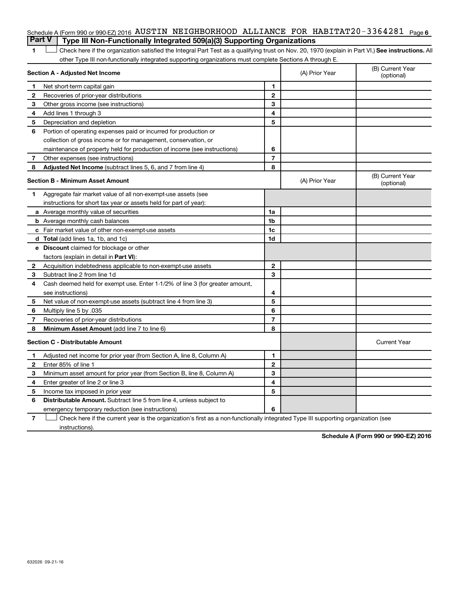### Schedule A (Form 990 or 990-EZ) 2016 AUSTIN NEIGHBORHOOD ALLIANCE FOR HABITAT $20$ -3364281  $_{\sf Page}$ 6 **Part V Type III Non-Functionally Integrated 509(a)(3) Supporting Organizations**

1 **Letter See instructions.** All Check here if the organization satisfied the Integral Part Test as a qualifying trust on Nov. 20, 1970 (explain in Part VI.) See instructions. All other Type III non-functionally integrated supporting organizations must complete Sections A through E.

| Section A - Adjusted Net Income |                                                                              |                | (A) Prior Year | (B) Current Year<br>(optional) |
|---------------------------------|------------------------------------------------------------------------------|----------------|----------------|--------------------------------|
| 1                               | Net short-term capital gain                                                  | 1              |                |                                |
| $\mathbf{2}$                    | Recoveries of prior-year distributions                                       | $\mathbf{2}$   |                |                                |
| 3                               | Other gross income (see instructions)                                        | 3              |                |                                |
| 4                               | Add lines 1 through 3                                                        | 4              |                |                                |
| 5                               | Depreciation and depletion                                                   | 5              |                |                                |
| 6                               | Portion of operating expenses paid or incurred for production or             |                |                |                                |
|                                 | collection of gross income or for management, conservation, or               |                |                |                                |
|                                 | maintenance of property held for production of income (see instructions)     | 6              |                |                                |
| 7                               | Other expenses (see instructions)                                            | $\overline{7}$ |                |                                |
| 8                               | Adjusted Net Income (subtract lines 5, 6, and 7 from line 4)                 | 8              |                |                                |
|                                 | <b>Section B - Minimum Asset Amount</b>                                      |                | (A) Prior Year | (B) Current Year<br>(optional) |
| 1.                              | Aggregate fair market value of all non-exempt-use assets (see                |                |                |                                |
|                                 | instructions for short tax year or assets held for part of year):            |                |                |                                |
|                                 | <b>a</b> Average monthly value of securities                                 | 1a             |                |                                |
|                                 | <b>b</b> Average monthly cash balances                                       | 1 <sub>b</sub> |                |                                |
|                                 | c Fair market value of other non-exempt-use assets                           | 1c             |                |                                |
|                                 | <b>d</b> Total (add lines 1a, 1b, and 1c)                                    | 1d             |                |                                |
|                                 | e Discount claimed for blockage or other                                     |                |                |                                |
|                                 | factors (explain in detail in Part VI):                                      |                |                |                                |
| 2                               | Acquisition indebtedness applicable to non-exempt-use assets                 | $\mathbf{2}$   |                |                                |
| 3                               | Subtract line 2 from line 1d                                                 | 3              |                |                                |
| 4                               | Cash deemed held for exempt use. Enter 1-1/2% of line 3 (for greater amount, |                |                |                                |
|                                 | see instructions)                                                            | 4              |                |                                |
| 5                               | Net value of non-exempt-use assets (subtract line 4 from line 3)             | 5              |                |                                |
| 6                               | Multiply line 5 by .035                                                      | 6              |                |                                |
| 7                               | Recoveries of prior-year distributions                                       | $\overline{7}$ |                |                                |
| 8                               | Minimum Asset Amount (add line 7 to line 6)                                  | 8              |                |                                |
|                                 | <b>Section C - Distributable Amount</b>                                      |                |                | <b>Current Year</b>            |
| 1                               | Adjusted net income for prior year (from Section A, line 8, Column A)        | 1              |                |                                |
| $\mathbf{2}$                    | Enter 85% of line 1                                                          | $\mathbf{2}$   |                |                                |
| З                               | Minimum asset amount for prior year (from Section B, line 8, Column A)       | 3              |                |                                |
| 4                               | Enter greater of line 2 or line 3                                            | 4              |                |                                |
| 5                               | Income tax imposed in prior year                                             | 5              |                |                                |
| 6                               | <b>Distributable Amount.</b> Subtract line 5 from line 4, unless subject to  |                |                |                                |
|                                 | emergency temporary reduction (see instructions)                             | 6              |                |                                |

**7** Let Check here if the current year is the organization's first as a non-functionally integrated Type III supporting organization (see instructions).

**Schedule A (Form 990 or 990-EZ) 2016**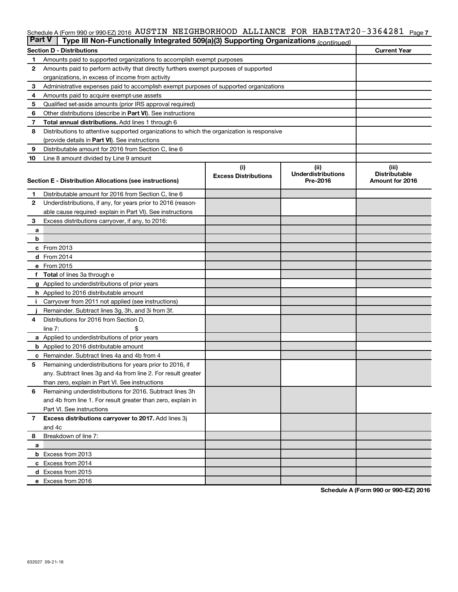### Schedule A (Form 990 or 990-EZ) 2016 AUS'L'IN NEIGHBORHOOD ALLIANCE F'OR HABI'L'A'L'ZU-3364Z8I Page 7 AUSTIN NEIGHBORHOOD ALLIANCE FOR HABITAT20-3364281

| <b>Part V</b> | Type III Non-Functionally Integrated 509(a)(3) Supporting Organizations (continued)        |                             |                           |                      |
|---------------|--------------------------------------------------------------------------------------------|-----------------------------|---------------------------|----------------------|
|               | <b>Section D - Distributions</b>                                                           |                             |                           | <b>Current Year</b>  |
| 1             | Amounts paid to supported organizations to accomplish exempt purposes                      |                             |                           |                      |
| 2             | Amounts paid to perform activity that directly furthers exempt purposes of supported       |                             |                           |                      |
|               | organizations, in excess of income from activity                                           |                             |                           |                      |
| 3             | Administrative expenses paid to accomplish exempt purposes of supported organizations      |                             |                           |                      |
| 4             | Amounts paid to acquire exempt-use assets                                                  |                             |                           |                      |
| 5             | Qualified set-aside amounts (prior IRS approval required)                                  |                             |                           |                      |
| 6             | Other distributions (describe in <b>Part VI</b> ). See instructions                        |                             |                           |                      |
| 7             | <b>Total annual distributions.</b> Add lines 1 through 6                                   |                             |                           |                      |
| 8             | Distributions to attentive supported organizations to which the organization is responsive |                             |                           |                      |
|               | (provide details in Part VI). See instructions                                             |                             |                           |                      |
| 9             | Distributable amount for 2016 from Section C, line 6                                       |                             |                           |                      |
| 10            | Line 8 amount divided by Line 9 amount                                                     |                             |                           |                      |
|               |                                                                                            | (i)                         | (ii)                      | (iii)                |
|               |                                                                                            | <b>Excess Distributions</b> | <b>Underdistributions</b> | <b>Distributable</b> |
|               | Section E - Distribution Allocations (see instructions)                                    |                             | Pre-2016                  | Amount for 2016      |
| 1             | Distributable amount for 2016 from Section C, line 6                                       |                             |                           |                      |
| 2             | Underdistributions, if any, for years prior to 2016 (reason-                               |                             |                           |                      |
|               | able cause required- explain in Part VI). See instructions                                 |                             |                           |                      |
| 3             | Excess distributions carryover, if any, to 2016:                                           |                             |                           |                      |
| a             |                                                                                            |                             |                           |                      |
| b             |                                                                                            |                             |                           |                      |
|               | c From 2013                                                                                |                             |                           |                      |
|               | d From 2014                                                                                |                             |                           |                      |
|               | e From 2015                                                                                |                             |                           |                      |
| f             | <b>Total</b> of lines 3a through e                                                         |                             |                           |                      |
|               | <b>g</b> Applied to underdistributions of prior years                                      |                             |                           |                      |
|               | <b>h</b> Applied to 2016 distributable amount                                              |                             |                           |                      |
|               | Carryover from 2011 not applied (see instructions)                                         |                             |                           |                      |
|               | Remainder. Subtract lines 3g, 3h, and 3i from 3f.                                          |                             |                           |                      |
| 4             | Distributions for 2016 from Section D,                                                     |                             |                           |                      |
|               | line $7:$                                                                                  |                             |                           |                      |
|               | a Applied to underdistributions of prior years                                             |                             |                           |                      |
|               | <b>b</b> Applied to 2016 distributable amount                                              |                             |                           |                      |
| с             | Remainder. Subtract lines 4a and 4b from 4                                                 |                             |                           |                      |
| 5             | Remaining underdistributions for years prior to 2016, if                                   |                             |                           |                      |
|               | any. Subtract lines 3g and 4a from line 2. For result greater                              |                             |                           |                      |
|               | than zero, explain in Part VI. See instructions                                            |                             |                           |                      |
| 6             | Remaining underdistributions for 2016. Subtract lines 3h                                   |                             |                           |                      |
|               | and 4b from line 1. For result greater than zero, explain in                               |                             |                           |                      |
|               | Part VI. See instructions                                                                  |                             |                           |                      |
| $\mathbf{7}$  | Excess distributions carryover to 2017. Add lines 3j                                       |                             |                           |                      |
|               | and 4c                                                                                     |                             |                           |                      |
| 8             | Breakdown of line 7:                                                                       |                             |                           |                      |
| а             |                                                                                            |                             |                           |                      |
|               | <b>b</b> Excess from 2013                                                                  |                             |                           |                      |
|               | c Excess from 2014                                                                         |                             |                           |                      |
|               | d Excess from 2015                                                                         |                             |                           |                      |
|               | e Excess from 2016                                                                         |                             |                           |                      |

**Schedule A (Form 990 or 990-EZ) 2016**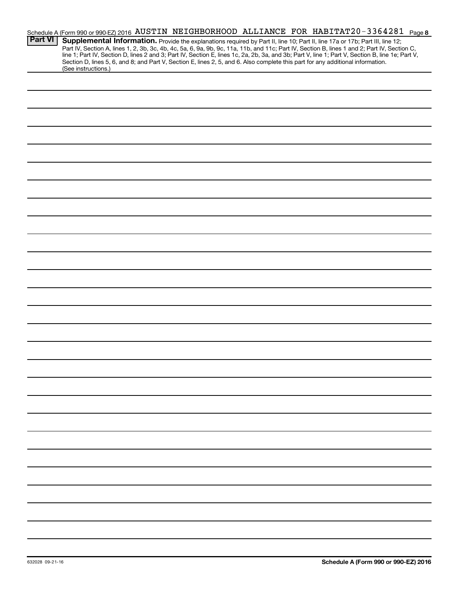|                | Schedule A (Form 990 or 990-EZ) 2016 AUSTIN NEIGHBORHOOD ALLIANCE FOR HABITAT20-3364281 Page 8                                                                                                                                                                                                                                                                                                                                                                                                                                                                       |
|----------------|----------------------------------------------------------------------------------------------------------------------------------------------------------------------------------------------------------------------------------------------------------------------------------------------------------------------------------------------------------------------------------------------------------------------------------------------------------------------------------------------------------------------------------------------------------------------|
| <b>Part VI</b> | Supplemental Information. Provide the explanations required by Part II, line 10; Part II, line 17a or 17b; Part III, line 12;<br>Part IV, Section A, lines 1, 2, 3b, 3c, 4b, 4c, 5a, 6, 9a, 9b, 9c, 11a, 11b, and 11c; Part IV, Section B, lines 1 and 2; Part IV, Section C,<br>line 1; Part IV, Section D, lines 2 and 3; Part IV, Section E, lines 1c, 2a, 2b, 3a, and 3b; Part V, line 1; Part V, Section B, line 1e; Part V,<br>Section D, lines 5, 6, and 8; and Part V, Section E, lines 2, 5, and 6. Also complete this part for any additional information. |
|                | (See instructions.)                                                                                                                                                                                                                                                                                                                                                                                                                                                                                                                                                  |
|                |                                                                                                                                                                                                                                                                                                                                                                                                                                                                                                                                                                      |
|                |                                                                                                                                                                                                                                                                                                                                                                                                                                                                                                                                                                      |
|                |                                                                                                                                                                                                                                                                                                                                                                                                                                                                                                                                                                      |
|                |                                                                                                                                                                                                                                                                                                                                                                                                                                                                                                                                                                      |
|                |                                                                                                                                                                                                                                                                                                                                                                                                                                                                                                                                                                      |
|                |                                                                                                                                                                                                                                                                                                                                                                                                                                                                                                                                                                      |
|                |                                                                                                                                                                                                                                                                                                                                                                                                                                                                                                                                                                      |
|                |                                                                                                                                                                                                                                                                                                                                                                                                                                                                                                                                                                      |
|                |                                                                                                                                                                                                                                                                                                                                                                                                                                                                                                                                                                      |
|                |                                                                                                                                                                                                                                                                                                                                                                                                                                                                                                                                                                      |
|                |                                                                                                                                                                                                                                                                                                                                                                                                                                                                                                                                                                      |
|                |                                                                                                                                                                                                                                                                                                                                                                                                                                                                                                                                                                      |
|                |                                                                                                                                                                                                                                                                                                                                                                                                                                                                                                                                                                      |
|                |                                                                                                                                                                                                                                                                                                                                                                                                                                                                                                                                                                      |
|                |                                                                                                                                                                                                                                                                                                                                                                                                                                                                                                                                                                      |
|                |                                                                                                                                                                                                                                                                                                                                                                                                                                                                                                                                                                      |
|                |                                                                                                                                                                                                                                                                                                                                                                                                                                                                                                                                                                      |
|                |                                                                                                                                                                                                                                                                                                                                                                                                                                                                                                                                                                      |
|                |                                                                                                                                                                                                                                                                                                                                                                                                                                                                                                                                                                      |
|                |                                                                                                                                                                                                                                                                                                                                                                                                                                                                                                                                                                      |
|                |                                                                                                                                                                                                                                                                                                                                                                                                                                                                                                                                                                      |
|                |                                                                                                                                                                                                                                                                                                                                                                                                                                                                                                                                                                      |
|                |                                                                                                                                                                                                                                                                                                                                                                                                                                                                                                                                                                      |
|                |                                                                                                                                                                                                                                                                                                                                                                                                                                                                                                                                                                      |
|                |                                                                                                                                                                                                                                                                                                                                                                                                                                                                                                                                                                      |
|                |                                                                                                                                                                                                                                                                                                                                                                                                                                                                                                                                                                      |
|                |                                                                                                                                                                                                                                                                                                                                                                                                                                                                                                                                                                      |
|                |                                                                                                                                                                                                                                                                                                                                                                                                                                                                                                                                                                      |
|                |                                                                                                                                                                                                                                                                                                                                                                                                                                                                                                                                                                      |
|                |                                                                                                                                                                                                                                                                                                                                                                                                                                                                                                                                                                      |
|                |                                                                                                                                                                                                                                                                                                                                                                                                                                                                                                                                                                      |
|                |                                                                                                                                                                                                                                                                                                                                                                                                                                                                                                                                                                      |
|                |                                                                                                                                                                                                                                                                                                                                                                                                                                                                                                                                                                      |
|                |                                                                                                                                                                                                                                                                                                                                                                                                                                                                                                                                                                      |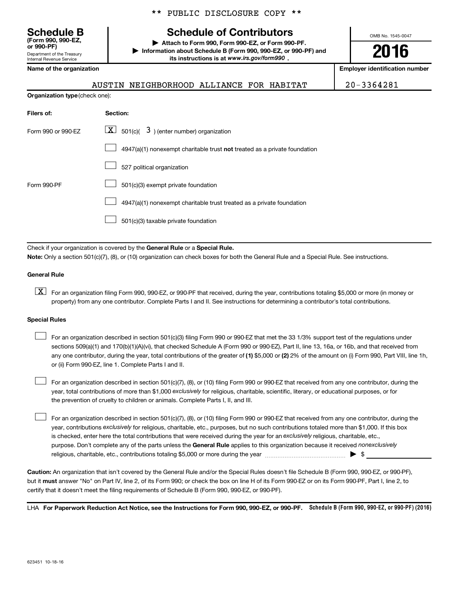Department of the Treasury Internal Revenue Service **(Form 990, 990-EZ,**

**Organization type** (check one):

\*\* PUBLIC DISCLOSURE COPY \*\*

# **Schedule B Schedule of Contributors**

**or 990-PF) | Attach to Form 990, Form 990-EZ, or Form 990-PF. | Information about Schedule B (Form 990, 990-EZ, or 990-PF) and** its instructions is at www.irs.gov/form990.

OMB No. 1545-0047

**2016**

**Name of the organization Employer identification number**

# AUSTIN NEIGHBORHOOD ALLIANCE FOR HABITAT 20-3364281

| Filers of:         | Section:                                                                           |
|--------------------|------------------------------------------------------------------------------------|
| Form 990 or 990-EZ | $\boxed{\textbf{X}}$ 501(c)( 3) (enter number) organization                        |
|                    | $4947(a)(1)$ nonexempt charitable trust <b>not</b> treated as a private foundation |
|                    | 527 political organization                                                         |
| Form 990-PF        | 501(c)(3) exempt private foundation                                                |
|                    | 4947(a)(1) nonexempt charitable trust treated as a private foundation              |
|                    | 501(c)(3) taxable private foundation                                               |
|                    |                                                                                    |

Check if your organization is covered by the General Rule or a Special Rule.

**Note:**  Only a section 501(c)(7), (8), or (10) organization can check boxes for both the General Rule and a Special Rule. See instructions.

### **General Rule**

**K** For an organization filing Form 990, 990-EZ, or 990-PF that received, during the year, contributions totaling \$5,000 or more (in money or property) from any one contributor. Complete Parts I and II. See instructions for determining a contributor's total contributions.

### **Special Rules**

 $\Box$ 

any one contributor, during the year, total contributions of the greater of **(1)** \$5,000 or **(2)** 2% of the amount on (i) Form 990, Part VIII, line 1h, For an organization described in section 501(c)(3) filing Form 990 or 990-EZ that met the 33 1/3% support test of the regulations under sections 509(a)(1) and 170(b)(1)(A)(vi), that checked Schedule A (Form 990 or 990-EZ), Part II, line 13, 16a, or 16b, and that received from or (ii) Form 990-EZ, line 1. Complete Parts I and II.  $\Box$ 

year, total contributions of more than \$1,000 *exclusively* for religious, charitable, scientific, literary, or educational purposes, or for For an organization described in section 501(c)(7), (8), or (10) filing Form 990 or 990-EZ that received from any one contributor, during the the prevention of cruelty to children or animals. Complete Parts I, II, and III.  $\Box$ 

purpose. Don't complete any of the parts unless the General Rule applies to this organization because it received nonexclusively year, contributions exclusively for religious, charitable, etc., purposes, but no such contributions totaled more than \$1,000. If this box is checked, enter here the total contributions that were received during the year for an exclusively religious, charitable, etc., For an organization described in section 501(c)(7), (8), or (10) filing Form 990 or 990-EZ that received from any one contributor, during the religious, charitable, etc., contributions totaling \$5,000 or more during the year  $\ldots$  $\ldots$  $\ldots$  $\ldots$  $\ldots$  $\ldots$ 

**Caution:**  An organization that isn't covered by the General Rule and/or the Special Rules doesn't file Schedule B (Form 990, 990-EZ, or 990-PF),  **must** but it answer "No" on Part IV, line 2, of its Form 990; or check the box on line H of its Form 990-EZ or on its Form 990-PF, Part I, line 2, to certify that it doesn't meet the filing requirements of Schedule B (Form 990, 990-EZ, or 990-PF).

LHA For Paperwork Reduction Act Notice, see the Instructions for Form 990, 990-EZ, or 990-PF. Schedule B (Form 990, 990-EZ, or 990-PF) (2016)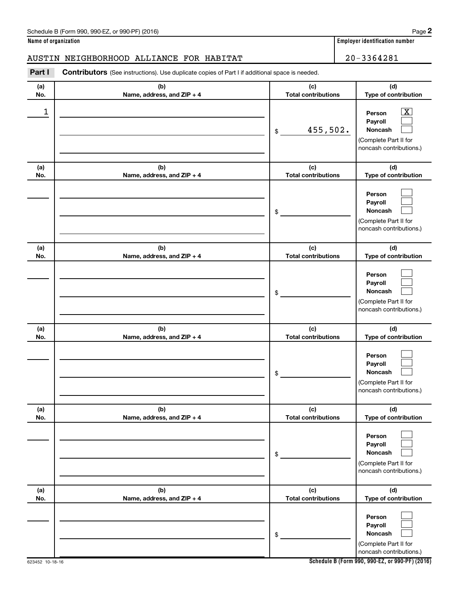**Name of organization Employer identification number**

# AUSTIN NEIGHBORHOOD ALLIANCE FOR HABITAT 20-3364281

**Part I** Contributors (See instructions). Use duplicate copies of Part I if additional space is needed.

| (a)<br>No. | (b)<br>Name, address, and ZIP + 4 | (c)<br><b>Total contributions</b> | (d)<br>Type of contribution                                                                                 |
|------------|-----------------------------------|-----------------------------------|-------------------------------------------------------------------------------------------------------------|
| 1          |                                   | 455,502.<br>\$                    | $\overline{\mathbf{X}}$<br>Person<br>Payroll<br>Noncash<br>(Complete Part II for<br>noncash contributions.) |
| (a)<br>No. | (b)<br>Name, address, and ZIP + 4 | (c)<br><b>Total contributions</b> | (d)<br>Type of contribution                                                                                 |
|            |                                   | \$                                | Person<br>Payroll<br>Noncash<br>(Complete Part II for<br>noncash contributions.)                            |
| (a)<br>No. | (b)<br>Name, address, and ZIP + 4 | (c)<br><b>Total contributions</b> | (d)<br>Type of contribution                                                                                 |
|            |                                   | \$                                | Person<br>Payroll<br>Noncash<br>(Complete Part II for<br>noncash contributions.)                            |
| (a)<br>No. | (b)<br>Name, address, and ZIP + 4 | (c)<br><b>Total contributions</b> | (d)<br>Type of contribution                                                                                 |
|            |                                   | \$                                | Person<br>Payroll<br>Noncash<br>(Complete Part II for<br>noncash contributions.)                            |
| (a)<br>No. | (b)<br>Name, address, and ZIP + 4 | (c)<br><b>Total contributions</b> | (d)<br>Type of contribution                                                                                 |
|            |                                   | \$                                | Person<br>Payroll<br>Noncash<br>(Complete Part II for<br>noncash contributions.)                            |
| (a)<br>No. | (b)<br>Name, address, and ZIP + 4 | (c)<br><b>Total contributions</b> | (d)<br>Type of contribution                                                                                 |
|            |                                   | \$                                | Person<br>Payroll<br>Noncash<br>(Complete Part II for<br>noncash contributions.)                            |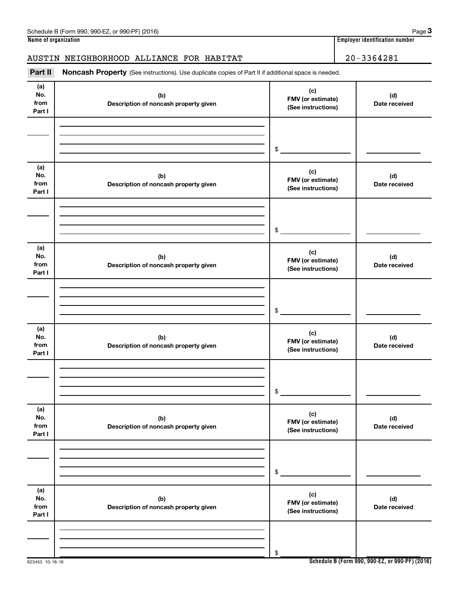# AUSTIN NEIGHBORHOOD ALLIANCE FOR HABITAT 20-3364281

Part II Noncash Property (See instructions). Use duplicate copies of Part II if additional space is needed.

| (a)<br>No.<br>from<br>Part I | (b)<br>Description of noncash property given | (c)<br>FMV (or estimate)<br>(See instructions) | (d)<br>Date received |
|------------------------------|----------------------------------------------|------------------------------------------------|----------------------|
|                              |                                              | \$                                             |                      |
| (a)<br>No.<br>from<br>Part I | (b)<br>Description of noncash property given | (c)<br>FMV (or estimate)<br>(See instructions) | (d)<br>Date received |
|                              |                                              | $\frac{1}{2}$                                  |                      |
| (a)<br>No.<br>from<br>Part I | (b)<br>Description of noncash property given | (c)<br>FMV (or estimate)<br>(See instructions) | (d)<br>Date received |
|                              |                                              | \$                                             |                      |
| (a)<br>No.<br>from<br>Part I | (b)<br>Description of noncash property given | (c)<br>FMV (or estimate)<br>(See instructions) | (d)<br>Date received |
|                              |                                              | \$                                             |                      |
| (a)<br>No.<br>from<br>Part I | (b)<br>Description of noncash property given | (c)<br>FMV (or estimate)<br>(See instructions) | (d)<br>Date received |
|                              |                                              | $\,$                                           |                      |
| (a)<br>No.<br>from<br>Part I | (b)<br>Description of noncash property given | (c)<br>FMV (or estimate)<br>(See instructions) | (d)<br>Date received |
|                              |                                              | \$                                             |                      |

**Schedule B (Form 990, 990-EZ, or 990-PF) (2016)**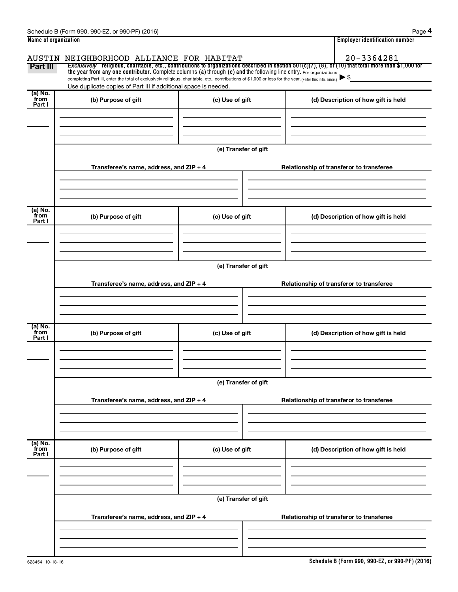| Schedule B (Form 990, 990-EZ, or 990-PF) (2016) |
|-------------------------------------------------|
| Name of organization                            |

|--|--|

|                           | Schedule B (Form 990, 990-EZ, or 990-PF) (2016)                                                                                                          |                      | Page 4                                                                                                                                                |  |  |  |  |  |
|---------------------------|----------------------------------------------------------------------------------------------------------------------------------------------------------|----------------------|-------------------------------------------------------------------------------------------------------------------------------------------------------|--|--|--|--|--|
| Name of organization      |                                                                                                                                                          |                      | <b>Employer identification number</b>                                                                                                                 |  |  |  |  |  |
|                           | AUSTIN NEIGHBORHOOD ALLIANCE FOR HABITAT                                                                                                                 |                      | $20 - 3364281$                                                                                                                                        |  |  |  |  |  |
| Part III                  | the year from any one contributor. Complete columns (a) through (e) and the following line entry. For organizations                                      |                      | Exclusively religious, charitable, etc., contributions to organizations described in section 501(c)(7), (8), or (10) that total more than \$1,000 for |  |  |  |  |  |
|                           | completing Part III, enter the total of exclusively religious, charitable, etc., contributions of \$1,000 or less for the year. (Enter this info. once.) |                      |                                                                                                                                                       |  |  |  |  |  |
| (a) No.                   | Use duplicate copies of Part III if additional space is needed.                                                                                          |                      |                                                                                                                                                       |  |  |  |  |  |
| from<br>Part I            | (b) Purpose of gift                                                                                                                                      | (c) Use of gift      | (d) Description of how gift is held                                                                                                                   |  |  |  |  |  |
|                           |                                                                                                                                                          |                      |                                                                                                                                                       |  |  |  |  |  |
|                           |                                                                                                                                                          |                      |                                                                                                                                                       |  |  |  |  |  |
|                           |                                                                                                                                                          |                      |                                                                                                                                                       |  |  |  |  |  |
|                           |                                                                                                                                                          | (e) Transfer of gift |                                                                                                                                                       |  |  |  |  |  |
|                           | Transferee's name, address, and ZIP + 4                                                                                                                  |                      | Relationship of transferor to transferee                                                                                                              |  |  |  |  |  |
|                           |                                                                                                                                                          |                      |                                                                                                                                                       |  |  |  |  |  |
|                           |                                                                                                                                                          |                      |                                                                                                                                                       |  |  |  |  |  |
|                           |                                                                                                                                                          |                      |                                                                                                                                                       |  |  |  |  |  |
| (a) No.<br>from           | (b) Purpose of gift                                                                                                                                      | (c) Use of gift      | (d) Description of how gift is held                                                                                                                   |  |  |  |  |  |
| Part I                    |                                                                                                                                                          |                      |                                                                                                                                                       |  |  |  |  |  |
|                           |                                                                                                                                                          |                      |                                                                                                                                                       |  |  |  |  |  |
|                           |                                                                                                                                                          |                      |                                                                                                                                                       |  |  |  |  |  |
|                           | (e) Transfer of gift                                                                                                                                     |                      |                                                                                                                                                       |  |  |  |  |  |
|                           |                                                                                                                                                          |                      |                                                                                                                                                       |  |  |  |  |  |
|                           | Transferee's name, address, and ZIP + 4                                                                                                                  |                      | Relationship of transferor to transferee                                                                                                              |  |  |  |  |  |
|                           |                                                                                                                                                          |                      |                                                                                                                                                       |  |  |  |  |  |
|                           |                                                                                                                                                          |                      |                                                                                                                                                       |  |  |  |  |  |
| (a) No.                   |                                                                                                                                                          |                      |                                                                                                                                                       |  |  |  |  |  |
| from<br>Part I            | (b) Purpose of gift                                                                                                                                      | (c) Use of gift      | (d) Description of how gift is held                                                                                                                   |  |  |  |  |  |
|                           |                                                                                                                                                          |                      |                                                                                                                                                       |  |  |  |  |  |
|                           |                                                                                                                                                          |                      |                                                                                                                                                       |  |  |  |  |  |
|                           |                                                                                                                                                          |                      |                                                                                                                                                       |  |  |  |  |  |
|                           |                                                                                                                                                          | (e) Transfer of gift |                                                                                                                                                       |  |  |  |  |  |
|                           |                                                                                                                                                          |                      |                                                                                                                                                       |  |  |  |  |  |
|                           | Transferee's name, address, and ZIP + 4                                                                                                                  |                      | Relationship of transferor to transferee                                                                                                              |  |  |  |  |  |
|                           |                                                                                                                                                          |                      |                                                                                                                                                       |  |  |  |  |  |
|                           |                                                                                                                                                          |                      |                                                                                                                                                       |  |  |  |  |  |
|                           |                                                                                                                                                          |                      |                                                                                                                                                       |  |  |  |  |  |
| (a) No.<br>from<br>Part I | (b) Purpose of gift                                                                                                                                      | (c) Use of gift      | (d) Description of how gift is held                                                                                                                   |  |  |  |  |  |
|                           |                                                                                                                                                          |                      |                                                                                                                                                       |  |  |  |  |  |
|                           |                                                                                                                                                          |                      |                                                                                                                                                       |  |  |  |  |  |
|                           |                                                                                                                                                          |                      |                                                                                                                                                       |  |  |  |  |  |
|                           |                                                                                                                                                          | (e) Transfer of gift |                                                                                                                                                       |  |  |  |  |  |
|                           | Transferee's name, address, and ZIP + 4                                                                                                                  |                      | Relationship of transferor to transferee                                                                                                              |  |  |  |  |  |
|                           |                                                                                                                                                          |                      |                                                                                                                                                       |  |  |  |  |  |
|                           |                                                                                                                                                          |                      |                                                                                                                                                       |  |  |  |  |  |
|                           |                                                                                                                                                          |                      |                                                                                                                                                       |  |  |  |  |  |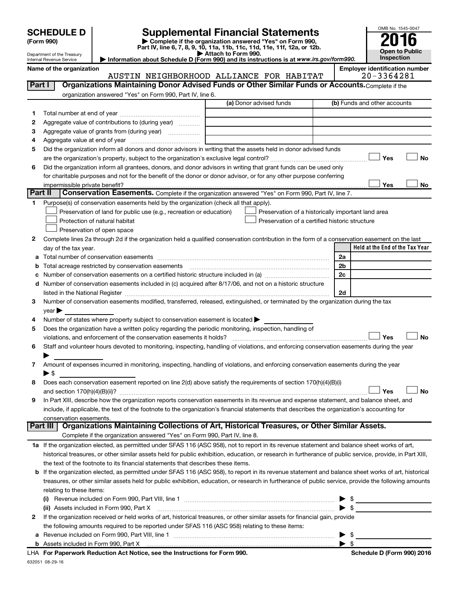| <b>SCHEDULE D</b> |  |  |
|-------------------|--|--|
|                   |  |  |

Department of the Treasury Internal Revenue Service

| (Form 990) |  |
|------------|--|
|------------|--|

# **SCHEDULE D Supplemental Financial Statements**<br> **Form 990 2016**<br> **Part IV** line 6.7.8.9.10, 11a, 11b, 11d, 11d, 11d, 11d, 11d, 12a, 0r, 12b

**(Form 990) | Complete if the organization answered "Yes" on Form 990, Part IV, line 6, 7, 8, 9, 10, 11a, 11b, 11c, 11d, 11e, 11f, 12a, or 12b.**

**| Attach to Form 990. | Information about Schedule D (Form 990) and its instructions is at**  *www.irs.gov/form990.*



**Name of the organization Employer identification number**

| <b>Part I</b> | Organizations Maintaining Donor Advised Funds or Other Similar Funds or Accounts. Complete if the                                                                                                                              |                         |                                                    |
|---------------|--------------------------------------------------------------------------------------------------------------------------------------------------------------------------------------------------------------------------------|-------------------------|----------------------------------------------------|
|               | organization answered "Yes" on Form 990, Part IV, line 6.                                                                                                                                                                      |                         |                                                    |
|               |                                                                                                                                                                                                                                | (a) Donor advised funds | (b) Funds and other accounts                       |
| 1.            |                                                                                                                                                                                                                                |                         |                                                    |
| 2             | Aggregate value of contributions to (during year)                                                                                                                                                                              |                         |                                                    |
| з             | Aggregate value of grants from (during year)                                                                                                                                                                                   |                         |                                                    |
| 4             |                                                                                                                                                                                                                                |                         |                                                    |
| 5             | Did the organization inform all donors and donor advisors in writing that the assets held in donor advised funds                                                                                                               |                         |                                                    |
|               |                                                                                                                                                                                                                                |                         | Yes<br>No                                          |
| 6             | Did the organization inform all grantees, donors, and donor advisors in writing that grant funds can be used only                                                                                                              |                         |                                                    |
|               | for charitable purposes and not for the benefit of the donor or donor advisor, or for any other purpose conferring                                                                                                             |                         | Yes<br>No                                          |
| Part II       | Conservation Easements. Complete if the organization answered "Yes" on Form 990, Part IV, line 7.                                                                                                                              |                         |                                                    |
| 1             | Purpose(s) of conservation easements held by the organization (check all that apply).                                                                                                                                          |                         |                                                    |
|               | Preservation of land for public use (e.g., recreation or education)                                                                                                                                                            |                         | Preservation of a historically important land area |
|               | Protection of natural habitat                                                                                                                                                                                                  |                         | Preservation of a certified historic structure     |
|               | Preservation of open space                                                                                                                                                                                                     |                         |                                                    |
| 2             | Complete lines 2a through 2d if the organization held a qualified conservation contribution in the form of a conservation easement on the last                                                                                 |                         |                                                    |
|               | day of the tax year.                                                                                                                                                                                                           |                         | Held at the End of the Tax Year                    |
| a             |                                                                                                                                                                                                                                |                         | 2a                                                 |
| b             |                                                                                                                                                                                                                                |                         | 2b                                                 |
| с             |                                                                                                                                                                                                                                |                         | 2c                                                 |
| d             | Number of conservation easements included in (c) acquired after 8/17/06, and not on a historic structure                                                                                                                       |                         |                                                    |
|               | listed in the National Register [111] in the National Register [11] in the National Management of the National Register [11] in the National Register [11] in the National Register [11] in the National Management of the Nat |                         | 2d                                                 |
| 3             | Number of conservation easements modified, transferred, released, extinguished, or terminated by the organization during the tax                                                                                               |                         |                                                    |
|               | year                                                                                                                                                                                                                           |                         |                                                    |
| 4             | Number of states where property subject to conservation easement is located >                                                                                                                                                  |                         |                                                    |
| 5             | Does the organization have a written policy regarding the periodic monitoring, inspection, handling of                                                                                                                         |                         |                                                    |
|               | violations, and enforcement of the conservation easements it holds?                                                                                                                                                            |                         | Yes<br><b>No</b>                                   |
| 6             | Staff and volunteer hours devoted to monitoring, inspecting, handling of violations, and enforcing conservation easements during the year                                                                                      |                         |                                                    |
|               |                                                                                                                                                                                                                                |                         |                                                    |
| 7             | Amount of expenses incurred in monitoring, inspecting, handling of violations, and enforcing conservation easements during the year                                                                                            |                         |                                                    |
| 8             | $\blacktriangleright$ \$<br>Does each conservation easement reported on line 2(d) above satisfy the requirements of section 170(h)(4)(B)(i)                                                                                    |                         |                                                    |
|               |                                                                                                                                                                                                                                |                         | <b>No</b><br><b>Yes</b>                            |
| 9             | In Part XIII, describe how the organization reports conservation easements in its revenue and expense statement, and balance sheet, and                                                                                        |                         |                                                    |
|               | include, if applicable, the text of the footnote to the organization's financial statements that describes the organization's accounting for                                                                                   |                         |                                                    |
|               | conservation easements.                                                                                                                                                                                                        |                         |                                                    |
|               | Organizations Maintaining Collections of Art, Historical Treasures, or Other Similar Assets.<br><b>Part III</b>                                                                                                                |                         |                                                    |
|               | Complete if the organization answered "Yes" on Form 990, Part IV, line 8.                                                                                                                                                      |                         |                                                    |
|               | 1a If the organization elected, as permitted under SFAS 116 (ASC 958), not to report in its revenue statement and balance sheet works of art,                                                                                  |                         |                                                    |
|               | historical treasures, or other similar assets held for public exhibition, education, or research in furtherance of public service, provide, in Part XIII,                                                                      |                         |                                                    |
|               | the text of the footnote to its financial statements that describes these items.                                                                                                                                               |                         |                                                    |
|               | <b>b</b> If the organization elected, as permitted under SFAS 116 (ASC 958), to report in its revenue statement and balance sheet works of art, historical                                                                     |                         |                                                    |
|               | treasures, or other similar assets held for public exhibition, education, or research in furtherance of public service, provide the following amounts                                                                          |                         |                                                    |
|               | relating to these items:                                                                                                                                                                                                       |                         |                                                    |
|               |                                                                                                                                                                                                                                |                         | $\frac{1}{2}$                                      |
|               | (ii) Assets included in Form 990, Part X                                                                                                                                                                                       |                         | $\blacktriangleright$ \$                           |
| $\mathbf{2}$  | If the organization received or held works of art, historical treasures, or other similar assets for financial gain, provide                                                                                                   |                         |                                                    |
|               | the following amounts required to be reported under SFAS 116 (ASC 958) relating to these items:                                                                                                                                |                         |                                                    |
|               |                                                                                                                                                                                                                                |                         | - \$                                               |
|               |                                                                                                                                                                                                                                |                         |                                                    |

632051 08-29-16 **For Paperwork Reduction Act Notice, see the Instructions for Form 990. Schedule D (Form 990) 2016** LHA

| Schedule D (Form 990) 2016 |  |
|----------------------------|--|
|                            |  |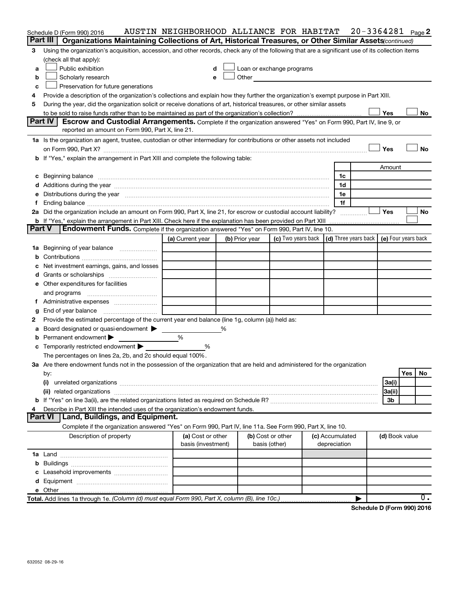|          | Schedule D (Form 990) 2016                                                                                                                                                                                                     |                                         |                | AUSTIN NEIGHBORHOOD ALLIANCE FOR HABITAT                                                                                                                                                                                      |              |                 |   |                | $20 - 3364281$ Page 2 |
|----------|--------------------------------------------------------------------------------------------------------------------------------------------------------------------------------------------------------------------------------|-----------------------------------------|----------------|-------------------------------------------------------------------------------------------------------------------------------------------------------------------------------------------------------------------------------|--------------|-----------------|---|----------------|-----------------------|
| Part III | Organizations Maintaining Collections of Art, Historical Treasures, or Other Similar Assets(continued)                                                                                                                         |                                         |                |                                                                                                                                                                                                                               |              |                 |   |                |                       |
| 3        | Using the organization's acquisition, accession, and other records, check any of the following that are a significant use of its collection items                                                                              |                                         |                |                                                                                                                                                                                                                               |              |                 |   |                |                       |
|          | (check all that apply):                                                                                                                                                                                                        |                                         |                |                                                                                                                                                                                                                               |              |                 |   |                |                       |
| a        | Public exhibition                                                                                                                                                                                                              | d                                       |                | Loan or exchange programs                                                                                                                                                                                                     |              |                 |   |                |                       |
| b        | Scholarly research                                                                                                                                                                                                             | e                                       |                | Other and the contract of the contract of the contract of the contract of the contract of the contract of the contract of the contract of the contract of the contract of the contract of the contract of the contract of the |              |                 |   |                |                       |
| c        | Preservation for future generations                                                                                                                                                                                            |                                         |                |                                                                                                                                                                                                                               |              |                 |   |                |                       |
| 4        | Provide a description of the organization's collections and explain how they further the organization's exempt purpose in Part XIII.                                                                                           |                                         |                |                                                                                                                                                                                                                               |              |                 |   |                |                       |
| 5        | During the year, did the organization solicit or receive donations of art, historical treasures, or other similar assets                                                                                                       |                                         |                |                                                                                                                                                                                                                               |              |                 |   |                |                       |
|          |                                                                                                                                                                                                                                |                                         |                |                                                                                                                                                                                                                               |              |                 |   | Yes            | No                    |
|          | Part IV<br>Escrow and Custodial Arrangements. Complete if the organization answered "Yes" on Form 990, Part IV, line 9, or                                                                                                     |                                         |                |                                                                                                                                                                                                                               |              |                 |   |                |                       |
|          | reported an amount on Form 990, Part X, line 21.                                                                                                                                                                               |                                         |                |                                                                                                                                                                                                                               |              |                 |   |                |                       |
|          | 1a Is the organization an agent, trustee, custodian or other intermediary for contributions or other assets not included                                                                                                       |                                         |                |                                                                                                                                                                                                                               |              |                 |   |                |                       |
|          |                                                                                                                                                                                                                                |                                         |                |                                                                                                                                                                                                                               |              |                 |   | Yes            | <b>No</b>             |
|          | b If "Yes," explain the arrangement in Part XIII and complete the following table:                                                                                                                                             |                                         |                |                                                                                                                                                                                                                               |              |                 |   |                |                       |
|          |                                                                                                                                                                                                                                |                                         |                |                                                                                                                                                                                                                               |              |                 |   | Amount         |                       |
|          |                                                                                                                                                                                                                                |                                         |                |                                                                                                                                                                                                                               |              | 1c              |   |                |                       |
|          | d Additions during the year manufactured and an account of the year manufactured and account of the year manufactured and account of the year manufactured and account of the year manufactured and account of the year manufa |                                         |                |                                                                                                                                                                                                                               |              | 1d              |   |                |                       |
|          | Distributions during the year manufactured and an intervention of the year manufactured and the year                                                                                                                           |                                         |                |                                                                                                                                                                                                                               |              | 1e              |   |                |                       |
| f        |                                                                                                                                                                                                                                |                                         |                |                                                                                                                                                                                                                               |              | 1f              |   |                |                       |
|          | 2a Did the organization include an amount on Form 990, Part X, line 21, for escrow or custodial account liability?                                                                                                             |                                         |                |                                                                                                                                                                                                                               |              |                 |   | Yes            | No                    |
| Part V   | <b>b</b> If "Yes," explain the arrangement in Part XIII. Check here if the explanation has been provided on Part XIII<br>Endowment Funds. Complete if the organization answered "Yes" on Form 990, Part IV, line 10.           |                                         |                |                                                                                                                                                                                                                               |              |                 |   |                |                       |
|          |                                                                                                                                                                                                                                | (a) Current year                        | (b) Prior year | (c) Two years back $\vert$ (d) Three years back $\vert$ (e) Four years back                                                                                                                                                   |              |                 |   |                |                       |
|          | 1a Beginning of year balance                                                                                                                                                                                                   |                                         |                |                                                                                                                                                                                                                               |              |                 |   |                |                       |
| b        |                                                                                                                                                                                                                                |                                         |                |                                                                                                                                                                                                                               |              |                 |   |                |                       |
|          | Net investment earnings, gains, and losses                                                                                                                                                                                     |                                         |                |                                                                                                                                                                                                                               |              |                 |   |                |                       |
|          |                                                                                                                                                                                                                                |                                         |                |                                                                                                                                                                                                                               |              |                 |   |                |                       |
|          | e Other expenditures for facilities                                                                                                                                                                                            |                                         |                |                                                                                                                                                                                                                               |              |                 |   |                |                       |
|          | and programs                                                                                                                                                                                                                   |                                         |                |                                                                                                                                                                                                                               |              |                 |   |                |                       |
| f        |                                                                                                                                                                                                                                |                                         |                |                                                                                                                                                                                                                               |              |                 |   |                |                       |
|          | End of year balance                                                                                                                                                                                                            |                                         |                |                                                                                                                                                                                                                               |              |                 |   |                |                       |
| 2        | Provide the estimated percentage of the current year end balance (line 1g, column (a)) held as:                                                                                                                                |                                         |                |                                                                                                                                                                                                                               |              |                 |   |                |                       |
| а        | Board designated or quasi-endowment >                                                                                                                                                                                          |                                         | ℅              |                                                                                                                                                                                                                               |              |                 |   |                |                       |
| b        | Permanent endowment                                                                                                                                                                                                            | %                                       |                |                                                                                                                                                                                                                               |              |                 |   |                |                       |
|          | Temporarily restricted endowment                                                                                                                                                                                               | %                                       |                |                                                                                                                                                                                                                               |              |                 |   |                |                       |
|          | The percentages on lines 2a, 2b, and 2c should equal 100%.                                                                                                                                                                     |                                         |                |                                                                                                                                                                                                                               |              |                 |   |                |                       |
|          | 3a Are there endowment funds not in the possession of the organization that are held and administered for the organization                                                                                                     |                                         |                |                                                                                                                                                                                                                               |              |                 |   |                |                       |
|          | by:                                                                                                                                                                                                                            |                                         |                |                                                                                                                                                                                                                               |              |                 |   |                | Yes<br>No             |
|          | (i)                                                                                                                                                                                                                            |                                         |                |                                                                                                                                                                                                                               |              |                 |   | 3a(i)          |                       |
|          |                                                                                                                                                                                                                                |                                         |                |                                                                                                                                                                                                                               |              |                 |   | 3a(ii)         |                       |
|          |                                                                                                                                                                                                                                |                                         |                |                                                                                                                                                                                                                               |              |                 |   | 3 <sub>b</sub> |                       |
| 4        | Describe in Part XIII the intended uses of the organization's endowment funds.                                                                                                                                                 |                                         |                |                                                                                                                                                                                                                               |              |                 |   |                |                       |
|          | Part VI<br>Land, Buildings, and Equipment.                                                                                                                                                                                     |                                         |                |                                                                                                                                                                                                                               |              |                 |   |                |                       |
|          | Complete if the organization answered "Yes" on Form 990, Part IV, line 11a. See Form 990, Part X, line 10.                                                                                                                     |                                         |                |                                                                                                                                                                                                                               |              |                 |   |                |                       |
|          | Description of property                                                                                                                                                                                                        | (a) Cost or other<br>basis (investment) |                | (b) Cost or other<br>basis (other)                                                                                                                                                                                            | depreciation | (c) Accumulated |   | (d) Book value |                       |
|          |                                                                                                                                                                                                                                |                                         |                |                                                                                                                                                                                                                               |              |                 |   |                |                       |
|          |                                                                                                                                                                                                                                |                                         |                |                                                                                                                                                                                                                               |              |                 |   |                |                       |
|          |                                                                                                                                                                                                                                |                                         |                |                                                                                                                                                                                                                               |              |                 |   |                |                       |
|          |                                                                                                                                                                                                                                |                                         |                |                                                                                                                                                                                                                               |              |                 |   |                |                       |
|          |                                                                                                                                                                                                                                |                                         |                |                                                                                                                                                                                                                               |              |                 |   |                |                       |
|          |                                                                                                                                                                                                                                |                                         |                |                                                                                                                                                                                                                               |              |                 | ▶ |                | $\overline{0}$ .      |

**Schedule D (Form 990) 2016**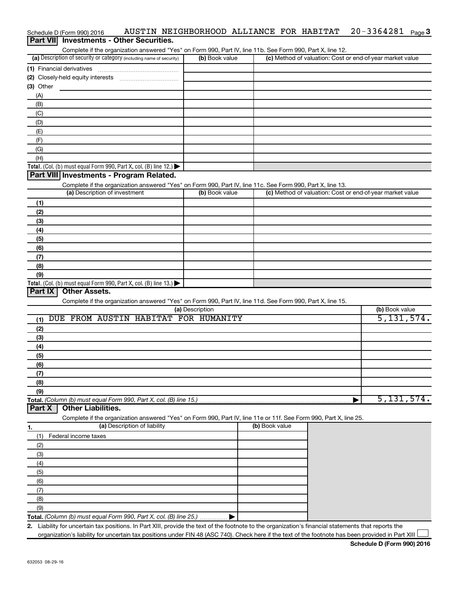| Part VII Investments - Other Securities.<br>Complete if the organization answered "Yes" on Form 990, Part IV, line 11b. See Form 990, Part X, line 12. |                 |                                                           |                |
|--------------------------------------------------------------------------------------------------------------------------------------------------------|-----------------|-----------------------------------------------------------|----------------|
| (a) Description of security or category (including name of security)                                                                                   | (b) Book value  | (c) Method of valuation: Cost or end-of-year market value |                |
| (1) Financial derivatives                                                                                                                              |                 |                                                           |                |
|                                                                                                                                                        |                 |                                                           |                |
| $(3)$ Other                                                                                                                                            |                 |                                                           |                |
| (A)                                                                                                                                                    |                 |                                                           |                |
| (B)                                                                                                                                                    |                 |                                                           |                |
| (C)                                                                                                                                                    |                 |                                                           |                |
| (D)                                                                                                                                                    |                 |                                                           |                |
| (E)                                                                                                                                                    |                 |                                                           |                |
| (F)                                                                                                                                                    |                 |                                                           |                |
| (G)                                                                                                                                                    |                 |                                                           |                |
| (H)                                                                                                                                                    |                 |                                                           |                |
| Total. (Col. (b) must equal Form 990, Part X, col. (B) line 12.)                                                                                       |                 |                                                           |                |
| Part VIII Investments - Program Related.                                                                                                               |                 |                                                           |                |
| Complete if the organization answered "Yes" on Form 990, Part IV, line 11c. See Form 990, Part X, line 13.                                             |                 |                                                           |                |
| (a) Description of investment                                                                                                                          | (b) Book value  | (c) Method of valuation: Cost or end-of-year market value |                |
| (1)                                                                                                                                                    |                 |                                                           |                |
| (2)                                                                                                                                                    |                 |                                                           |                |
| (3)                                                                                                                                                    |                 |                                                           |                |
| (4)                                                                                                                                                    |                 |                                                           |                |
| (5)                                                                                                                                                    |                 |                                                           |                |
| (6)                                                                                                                                                    |                 |                                                           |                |
| (7)                                                                                                                                                    |                 |                                                           |                |
| (8)                                                                                                                                                    |                 |                                                           |                |
| (9)                                                                                                                                                    |                 |                                                           |                |
| Total. (Col. (b) must equal Form 990, Part X, col. (B) line 13.) $\blacktriangleright$<br>Part IX<br><b>Other Assets.</b>                              |                 |                                                           |                |
| Complete if the organization answered "Yes" on Form 990, Part IV, line 11d. See Form 990, Part X, line 15.                                             |                 |                                                           |                |
|                                                                                                                                                        | (a) Description |                                                           | (b) Book value |
| DUE FROM AUSTIN HABITAT FOR HUMANITY<br>(1)                                                                                                            |                 |                                                           | 5, 131, 574.   |
| (2)                                                                                                                                                    |                 |                                                           |                |
| (3)                                                                                                                                                    |                 |                                                           |                |
| (4)                                                                                                                                                    |                 |                                                           |                |
| (5)                                                                                                                                                    |                 |                                                           |                |
| (6)                                                                                                                                                    |                 |                                                           |                |
| (7)                                                                                                                                                    |                 |                                                           |                |
| (8)                                                                                                                                                    |                 |                                                           |                |
| (9)                                                                                                                                                    |                 |                                                           |                |
| Total. (Column (b) must equal Form 990, Part X, col. (B) line 15.)                                                                                     |                 |                                                           | 5,131,574.     |
| <b>Other Liabilities.</b><br>Part X                                                                                                                    |                 |                                                           |                |
| Complete if the organization answered "Yes" on Form 990, Part IV, line 11e or 11f. See Form 990, Part X, line 25.                                      |                 |                                                           |                |
| (a) Description of liability<br>1.                                                                                                                     |                 | (b) Book value                                            |                |
| (1)<br>Federal income taxes                                                                                                                            |                 |                                                           |                |
| (2)                                                                                                                                                    |                 |                                                           |                |
| (3)                                                                                                                                                    |                 |                                                           |                |
| (4)                                                                                                                                                    |                 |                                                           |                |
| (5)                                                                                                                                                    |                 |                                                           |                |
| (6)                                                                                                                                                    |                 |                                                           |                |
| (7)                                                                                                                                                    |                 |                                                           |                |
| (8)                                                                                                                                                    |                 |                                                           |                |
| (9)                                                                                                                                                    |                 |                                                           |                |
| Total. (Column (b) must equal Form 990, Part X, col. (B) line 25.).                                                                                    |                 |                                                           |                |
| 2. Liability for uncertain tax positions. In Part XIII, provide the text of the footnote to the organization's financial statements that reports the   |                 |                                                           |                |

Schedule D (Form 990) 2016 AUSTIN NEIGHBORHOOD ALLIANCE FOR HABITAT 20-3364281 Page

organization's liability for uncertain tax positions under FIN 48 (ASC 740). Check here if the text of the footnote has been provided in Part XIII

20-3364281 Page 3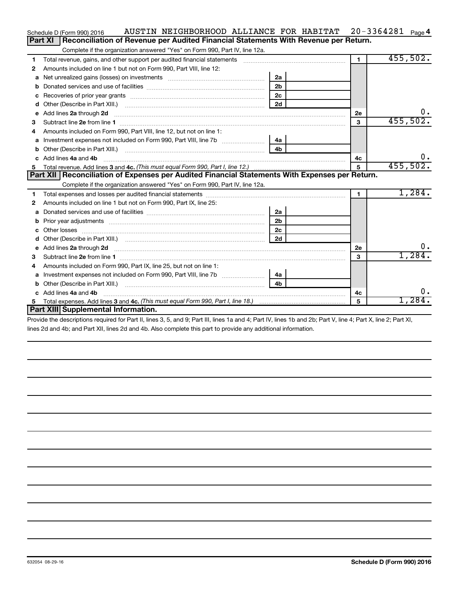|    | AUSTIN NEIGHBORHOOD ALLIANCE FOR HABITAT<br>Schedule D (Form 990) 2016                                     |                |                | $20 - 3364281$ Page 4 |
|----|------------------------------------------------------------------------------------------------------------|----------------|----------------|-----------------------|
|    | Reconciliation of Revenue per Audited Financial Statements With Revenue per Return.<br><b>Part XI</b>      |                |                |                       |
|    | Complete if the organization answered "Yes" on Form 990, Part IV, line 12a.                                |                |                |                       |
| 1  | Total revenue, gains, and other support per audited financial statements                                   |                | $\blacksquare$ | 455,502.              |
| 2  | Amounts included on line 1 but not on Form 990, Part VIII, line 12:                                        |                |                |                       |
| a  |                                                                                                            | 2a             |                |                       |
|    |                                                                                                            | 2 <sub>b</sub> |                |                       |
| с  | Recoveries of prior year grants [111] Recoveries of prior year grants [11] Recoveries of prior year grants | 2c             |                |                       |
| d  |                                                                                                            | 2d             |                |                       |
| е  | Add lines 2a through 2d                                                                                    |                | 2е             | $0$ .                 |
| 3  |                                                                                                            |                | 3              | 455,502.              |
| 4  | Amounts included on Form 990, Part VIII, line 12, but not on line 1:                                       |                |                |                       |
| а  | Investment expenses not included on Form 990, Part VIII, line 7b [100] [100] [4a                           |                |                |                       |
| b  |                                                                                                            | 4 <sub>b</sub> |                |                       |
| c. | Add lines 4a and 4b                                                                                        |                | 4c             | 0.                    |
| 5  |                                                                                                            |                | 5              | 455,502.              |
|    | Part XII   Reconciliation of Expenses per Audited Financial Statements With Expenses per Return.           |                |                |                       |
|    | Complete if the organization answered "Yes" on Form 990, Part IV, line 12a.                                |                |                |                       |
| 1  |                                                                                                            |                |                |                       |
| 2  |                                                                                                            |                | $\mathbf{1}$   | 1,284.                |
|    | Amounts included on line 1 but not on Form 990, Part IX, line 25:                                          |                |                |                       |
| a  |                                                                                                            | 2a             |                |                       |
|    |                                                                                                            | 2 <sub>b</sub> |                |                       |
| с  |                                                                                                            | 2c             |                |                       |
| d  |                                                                                                            | 2d             |                |                       |
| е  |                                                                                                            |                | <b>2e</b>      | 0.                    |
| 3  |                                                                                                            |                | 3              | 1,284.                |
| 4  | Amounts included on Form 990, Part IX, line 25, but not on line 1:                                         |                |                |                       |
| a  |                                                                                                            | 4a             |                |                       |
| b  |                                                                                                            | 4 <sub>b</sub> |                |                       |
| c. | Add lines 4a and 4b                                                                                        |                | 4с             | 0.                    |
|    | Part XIII Supplemental Information.                                                                        |                | 5              | 1,284.                |

Provide the descriptions required for Part II, lines 3, 5, and 9; Part III, lines 1a and 4; Part IV, lines 1b and 2b; Part V, line 4; Part X, line 2; Part XI, lines 2d and 4b; and Part XII, lines 2d and 4b. Also complete this part to provide any additional information.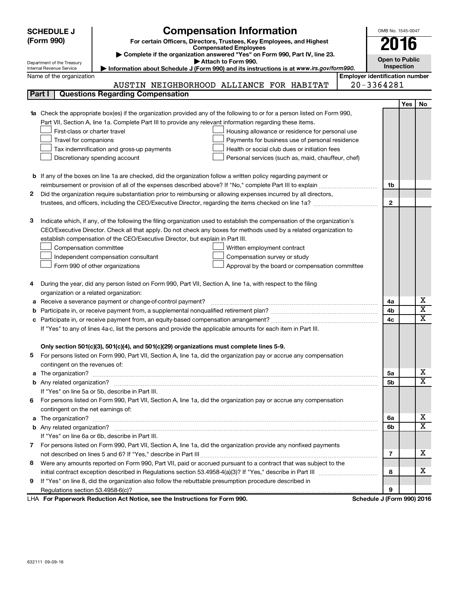|    | <b>SCHEDULE J</b>                       | <b>Compensation Information</b>                                                                                                  |                                       | OMB No. 1545-0047          |     |    |
|----|-----------------------------------------|----------------------------------------------------------------------------------------------------------------------------------|---------------------------------------|----------------------------|-----|----|
|    | (Form 990)                              | For certain Officers, Directors, Trustees, Key Employees, and Highest                                                            |                                       | 2016                       |     |    |
|    |                                         | <b>Compensated Employees</b><br>Complete if the organization answered "Yes" on Form 990, Part IV, line 23.                       |                                       |                            |     |    |
|    | Department of the Treasury              | Attach to Form 990.                                                                                                              |                                       | <b>Open to Public</b>      |     |    |
|    | Internal Revenue Service                | Information about Schedule J (Form 990) and its instructions is at www.irs.gov/form990.                                          |                                       | Inspection                 |     |    |
|    | Name of the organization                |                                                                                                                                  | <b>Employer identification number</b> |                            |     |    |
|    |                                         | AUSTIN NEIGHBORHOOD ALLIANCE FOR HABITAT                                                                                         |                                       | 20-3364281                 |     |    |
|    | Part I                                  | <b>Questions Regarding Compensation</b>                                                                                          |                                       |                            |     |    |
|    |                                         |                                                                                                                                  |                                       |                            | Yes | No |
|    |                                         | <b>1a</b> Check the appropriate box(es) if the organization provided any of the following to or for a person listed on Form 990, |                                       |                            |     |    |
|    |                                         | Part VII, Section A, line 1a. Complete Part III to provide any relevant information regarding these items.                       |                                       |                            |     |    |
|    | First-class or charter travel           | Housing allowance or residence for personal use                                                                                  |                                       |                            |     |    |
|    | Travel for companions                   | Payments for business use of personal residence                                                                                  |                                       |                            |     |    |
|    |                                         | Tax indemnification and gross-up payments<br>Health or social club dues or initiation fees                                       |                                       |                            |     |    |
|    |                                         | Discretionary spending account<br>Personal services (such as, maid, chauffeur, chef)                                             |                                       |                            |     |    |
|    |                                         |                                                                                                                                  |                                       |                            |     |    |
|    |                                         | <b>b</b> If any of the boxes on line 1a are checked, did the organization follow a written policy regarding payment or           |                                       |                            |     |    |
|    |                                         |                                                                                                                                  |                                       | 1b                         |     |    |
| 2. |                                         | Did the organization require substantiation prior to reimbursing or allowing expenses incurred by all directors,                 |                                       |                            |     |    |
|    |                                         |                                                                                                                                  |                                       | $\mathbf{2}$               |     |    |
|    |                                         |                                                                                                                                  |                                       |                            |     |    |
| з  |                                         | Indicate which, if any, of the following the filing organization used to establish the compensation of the organization's        |                                       |                            |     |    |
|    |                                         | CEO/Executive Director. Check all that apply. Do not check any boxes for methods used by a related organization to               |                                       |                            |     |    |
|    |                                         | establish compensation of the CEO/Executive Director, but explain in Part III.                                                   |                                       |                            |     |    |
|    | Compensation committee                  | Written employment contract                                                                                                      |                                       |                            |     |    |
|    |                                         | Compensation survey or study<br>Independent compensation consultant                                                              |                                       |                            |     |    |
|    |                                         | Form 990 of other organizations<br>Approval by the board or compensation committee                                               |                                       |                            |     |    |
|    |                                         |                                                                                                                                  |                                       |                            |     |    |
| 4  |                                         | During the year, did any person listed on Form 990, Part VII, Section A, line 1a, with respect to the filing                     |                                       |                            |     |    |
|    | organization or a related organization: |                                                                                                                                  |                                       |                            |     |    |
| а  |                                         | Receive a severance payment or change-of-control payment?                                                                        |                                       | 4a                         |     | х  |
| b  |                                         |                                                                                                                                  |                                       | 4b                         |     | X  |
|    |                                         |                                                                                                                                  |                                       | 4c                         |     | x  |
|    |                                         | If "Yes" to any of lines 4a-c, list the persons and provide the applicable amounts for each item in Part III.                    |                                       |                            |     |    |
|    |                                         |                                                                                                                                  |                                       |                            |     |    |
|    |                                         | Only section 501(c)(3), 501(c)(4), and 501(c)(29) organizations must complete lines 5-9.                                         |                                       |                            |     |    |
|    |                                         | For persons listed on Form 990, Part VII, Section A, line 1a, did the organization pay or accrue any compensation                |                                       |                            |     |    |
|    | contingent on the revenues of:          |                                                                                                                                  |                                       |                            |     |    |
|    |                                         |                                                                                                                                  |                                       | 5а                         |     | х  |
|    |                                         |                                                                                                                                  |                                       | 5b                         |     | x  |
|    |                                         | If "Yes" on line 5a or 5b, describe in Part III.                                                                                 |                                       |                            |     |    |
|    |                                         | 6 For persons listed on Form 990, Part VII, Section A, line 1a, did the organization pay or accrue any compensation              |                                       |                            |     |    |
|    | contingent on the net earnings of:      |                                                                                                                                  |                                       |                            |     |    |
|    |                                         |                                                                                                                                  |                                       | 6a                         |     | х  |
|    |                                         |                                                                                                                                  |                                       | 6b                         |     | X  |
|    |                                         | If "Yes" on line 6a or 6b, describe in Part III.                                                                                 |                                       |                            |     |    |
|    |                                         | 7 For persons listed on Form 990, Part VII, Section A, line 1a, did the organization provide any nonfixed payments               |                                       |                            |     |    |
|    |                                         |                                                                                                                                  |                                       | 7                          |     | x. |
| 8  |                                         | Were any amounts reported on Form 990, Part VII, paid or accrued pursuant to a contract that was subject to the                  |                                       |                            |     |    |
|    |                                         |                                                                                                                                  |                                       | 8                          |     | х  |
| 9  |                                         | If "Yes" on line 8, did the organization also follow the rebuttable presumption procedure described in                           |                                       |                            |     |    |
|    |                                         |                                                                                                                                  |                                       | 9                          |     |    |
|    |                                         | LHA For Paperwork Reduction Act Notice, see the Instructions for Form 990.                                                       |                                       | Schedule J (Form 990) 2016 |     |    |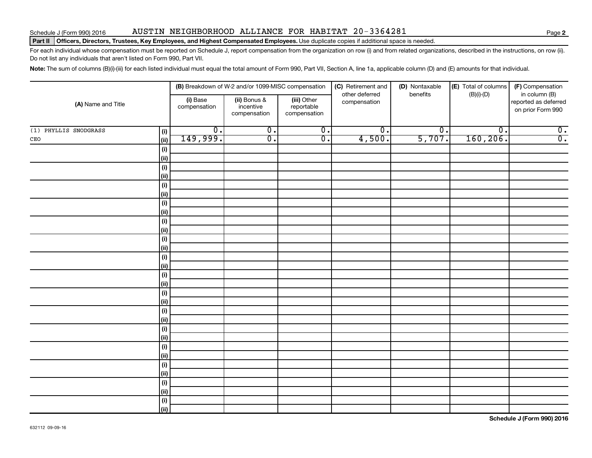### Schedule J (Form 990) 2016 Page AUSTIN NEIGHBORHOOD ALLIANCE FOR HABITAT 20-3364281

### Part II | Officers, Directors, Trustees, Key Employees, and Highest Compensated Employees. Use duplicate copies if additional space is needed.

For each individual whose compensation must be reported on Schedule J, report compensation from the organization on row (i) and from related organizations, described in the instructions, on row (ii). Do not list any individuals that aren't listed on Form 990, Part VII.

Note: The sum of columns (B)(i)-(iii) for each listed individual must equal the total amount of Form 990, Part VII, Section A, line 1a, applicable column (D) and (E) amounts for that individual.

|                              | (B) Breakdown of W-2 and/or 1099-MISC compensation |                                           | (C) Retirement and<br>(D) Nontaxable<br>other deferred<br>benefits |                  | (E) Total of columns        | (F) Compensation<br>in column (B) |                                           |
|------------------------------|----------------------------------------------------|-------------------------------------------|--------------------------------------------------------------------|------------------|-----------------------------|-----------------------------------|-------------------------------------------|
| (A) Name and Title           | (i) Base<br>compensation                           | (ii) Bonus &<br>incentive<br>compensation | (iii) Other<br>reportable<br>compensation                          | compensation     |                             | $(B)(i)-(D)$                      | reported as deferred<br>on prior Form 990 |
| (1) PHYLLIS SNODGRASS<br>(i) | $\overline{0}$ .                                   | $\overline{0}$ .                          | $\overline{\mathbf{0}}$ .                                          | $\overline{0}$ . | $\overline{\mathfrak{o}}$ . | $\overline{\mathfrak{o}}$ .       | $\overline{0}$ .                          |
| $_{\tt CEO}$<br>(i)          | 149,999.                                           | $\overline{0}$ .                          | $\overline{0}$ .                                                   | 4,500.           | 5,707.                      | 160, 206.                         | $\overline{0}$ .                          |
| (i)                          |                                                    |                                           |                                                                    |                  |                             |                                   |                                           |
| (ii)                         |                                                    |                                           |                                                                    |                  |                             |                                   |                                           |
| (i)                          |                                                    |                                           |                                                                    |                  |                             |                                   |                                           |
| $\vert$ (ii)                 |                                                    |                                           |                                                                    |                  |                             |                                   |                                           |
| (i)                          |                                                    |                                           |                                                                    |                  |                             |                                   |                                           |
| $\vert$ (ii)                 |                                                    |                                           |                                                                    |                  |                             |                                   |                                           |
| (i)                          |                                                    |                                           |                                                                    |                  |                             |                                   |                                           |
| $\vert$ (ii)                 |                                                    |                                           |                                                                    |                  |                             |                                   |                                           |
| (i)                          |                                                    |                                           |                                                                    |                  |                             |                                   |                                           |
| $\vert$ (ii)                 |                                                    |                                           |                                                                    |                  |                             |                                   |                                           |
| (i)                          |                                                    |                                           |                                                                    |                  |                             |                                   |                                           |
| (ii)                         |                                                    |                                           |                                                                    |                  |                             |                                   |                                           |
| (i)                          |                                                    |                                           |                                                                    |                  |                             |                                   |                                           |
| (ii)                         |                                                    |                                           |                                                                    |                  |                             |                                   |                                           |
| (i)                          |                                                    |                                           |                                                                    |                  |                             |                                   |                                           |
| (ii)                         |                                                    |                                           |                                                                    |                  |                             |                                   |                                           |
| (i)                          |                                                    |                                           |                                                                    |                  |                             |                                   |                                           |
| (i)                          |                                                    |                                           |                                                                    |                  |                             |                                   |                                           |
| (i)                          |                                                    |                                           |                                                                    |                  |                             |                                   |                                           |
| (i)                          |                                                    |                                           |                                                                    |                  |                             |                                   |                                           |
| (i)                          |                                                    |                                           |                                                                    |                  |                             |                                   |                                           |
| (ii)                         |                                                    |                                           |                                                                    |                  |                             |                                   |                                           |
| (i)<br>(ii)                  |                                                    |                                           |                                                                    |                  |                             |                                   |                                           |
| (i)                          |                                                    |                                           |                                                                    |                  |                             |                                   |                                           |
| $\vert$ (ii)                 |                                                    |                                           |                                                                    |                  |                             |                                   |                                           |
| (i)                          |                                                    |                                           |                                                                    |                  |                             |                                   |                                           |
| (ii)                         |                                                    |                                           |                                                                    |                  |                             |                                   |                                           |
| (i)                          |                                                    |                                           |                                                                    |                  |                             |                                   |                                           |
| (ii)                         |                                                    |                                           |                                                                    |                  |                             |                                   |                                           |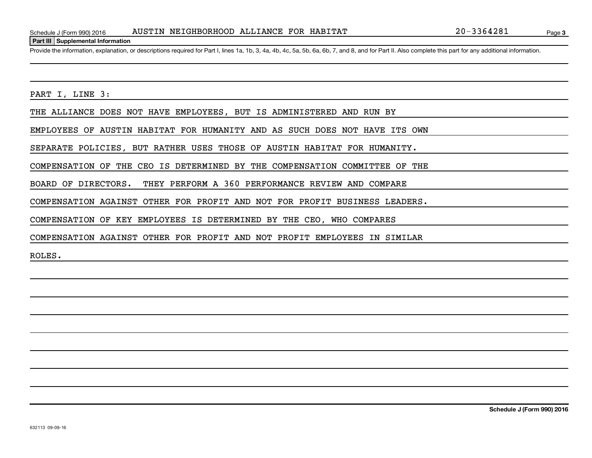### **Part III Supplemental Information**

Provide the information, explanation, or descriptions required for Part I, lines 1a, 1b, 3, 4a, 4b, 4c, 5a, 5b, 6a, 6b, 7, and 8, and for Part II. Also complete this part for any additional information.

PART I, LINE 3:

THE ALLIANCE DOES NOT HAVE EMPLOYEES, BUT IS ADMINISTERED AND RUN BY

EMPLOYEES OF AUSTIN HABITAT FOR HUMANITY AND AS SUCH DOES NOT HAVE ITS OWN

SEPARATE POLICIES, BUT RATHER USES THOSE OF AUSTIN HABITAT FOR HUMANITY.

COMPENSATION OF THE CEO IS DETERMINED BY THE COMPENSATION COMMITTEE OF THE

BOARD OF DIRECTORS. THEY PERFORM A 360 PERFORMANCE REVIEW AND COMPARE

COMPENSATION AGAINST OTHER FOR PROFIT AND NOT FOR PROFIT BUSINESS LEADERS.

COMPENSATION OF KEY EMPLOYEES IS DETERMINED BY THE CEO, WHO COMPARES

COMPENSATION AGAINST OTHER FOR PROFIT AND NOT PROFIT EMPLOYEES IN SIMILAR

ROLES.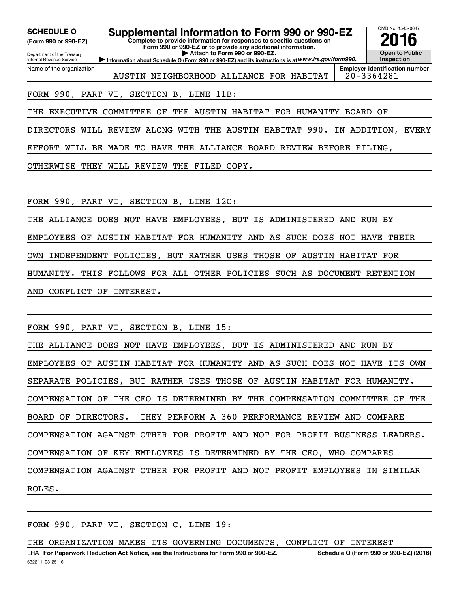**(Form 990 or 990-EZ)**

Department of the Treasury Internal Revenue Service

Name of the organization

# **SCHEDULE O Supplemental Information to Form 990 or 990-EZ 2016**

**Complete to provide information for responses to specific questions on Form 990 or 990-EZ or to provide any additional information. | Attach to Form 990 or 990-EZ.**

**Information about Schedule O (Form 990 or 990-EZ) and its instructions is at WWW.irs.gov/form990.** 

AUSTIN NEIGHBORHOOD ALLIANCE FOR HABITAT | 20-3364281

OMB No. 1545-0047

**Open to Public Inspection Employer identification number**

FORM 990, PART VI, SECTION B, LINE 11B:

THE EXECUTIVE COMMITTEE OF THE AUSTIN HABITAT FOR HUMANITY BOARD OF

DIRECTORS WILL REVIEW ALONG WITH THE AUSTIN HABITAT 990. IN ADDITION, EVERY

EFFORT WILL BE MADE TO HAVE THE ALLIANCE BOARD REVIEW BEFORE FILING,

OTHERWISE THEY WILL REVIEW THE FILED COPY.

FORM 990, PART VI, SECTION B, LINE 12C:

THE ALLIANCE DOES NOT HAVE EMPLOYEES, BUT IS ADMINISTERED AND RUN BY EMPLOYEES OF AUSTIN HABITAT FOR HUMANITY AND AS SUCH DOES NOT HAVE THEIR OWN INDEPENDENT POLICIES, BUT RATHER USES THOSE OF AUSTIN HABITAT FOR HUMANITY. THIS FOLLOWS FOR ALL OTHER POLICIES SUCH AS DOCUMENT RETENTION AND CONFLICT OF INTEREST.

FORM 990, PART VI, SECTION B, LINE 15:

THE ALLIANCE DOES NOT HAVE EMPLOYEES, BUT IS ADMINISTERED AND RUN BY EMPLOYEES OF AUSTIN HABITAT FOR HUMANITY AND AS SUCH DOES NOT HAVE ITS OWN SEPARATE POLICIES, BUT RATHER USES THOSE OF AUSTIN HABITAT FOR HUMANITY. COMPENSATION OF THE CEO IS DETERMINED BY THE COMPENSATION COMMITTEE OF THE BOARD OF DIRECTORS. THEY PERFORM A 360 PERFORMANCE REVIEW AND COMPARE COMPENSATION AGAINST OTHER FOR PROFIT AND NOT FOR PROFIT BUSINESS LEADERS. COMPENSATION OF KEY EMPLOYEES IS DETERMINED BY THE CEO, WHO COMPARES COMPENSATION AGAINST OTHER FOR PROFIT AND NOT PROFIT EMPLOYEES IN SIMILAR ROLES.

FORM 990, PART VI, SECTION C, LINE 19:

THE ORGANIZATION MAKES ITS GOVERNING DOCUMENTS, CONFLICT OF INTEREST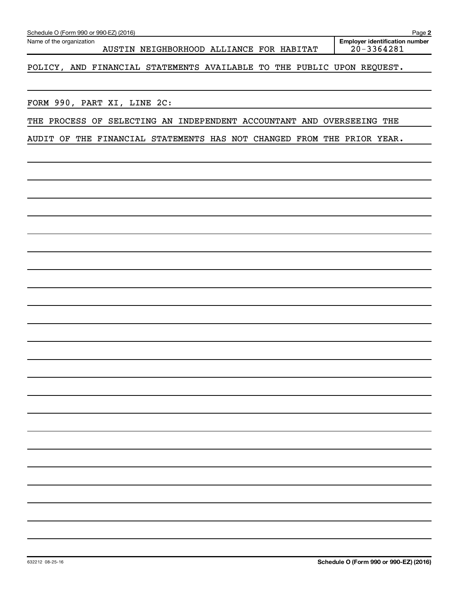| Schedule O (Form 990 or 990-EZ) (2016)                                 | Page 2                                                  |
|------------------------------------------------------------------------|---------------------------------------------------------|
| Name of the organization<br>AUSTIN NEIGHBORHOOD ALLIANCE FOR HABITAT   | <b>Employer identification number</b><br>$20 - 3364281$ |
| POLICY, AND FINANCIAL STATEMENTS AVAILABLE TO THE PUBLIC UPON REQUEST. |                                                         |
| FORM 990, PART XI, LINE 2C:                                            |                                                         |
| THE PROCESS OF SELECTING AN INDEPENDENT ACCOUNTANT AND OVERSEEING THE  |                                                         |
| AUDIT OF THE FINANCIAL STATEMENTS HAS NOT CHANGED FROM THE PRIOR YEAR. |                                                         |
|                                                                        |                                                         |
|                                                                        |                                                         |
|                                                                        |                                                         |
|                                                                        |                                                         |
|                                                                        |                                                         |
|                                                                        |                                                         |
|                                                                        |                                                         |
|                                                                        |                                                         |
|                                                                        |                                                         |
|                                                                        |                                                         |
|                                                                        |                                                         |
|                                                                        |                                                         |
|                                                                        |                                                         |
|                                                                        |                                                         |
|                                                                        |                                                         |
|                                                                        |                                                         |
|                                                                        |                                                         |
|                                                                        |                                                         |
|                                                                        |                                                         |
|                                                                        |                                                         |
| 632212 08-25-16                                                        | Schedule O (Form 990 or 990-EZ) (2016)                  |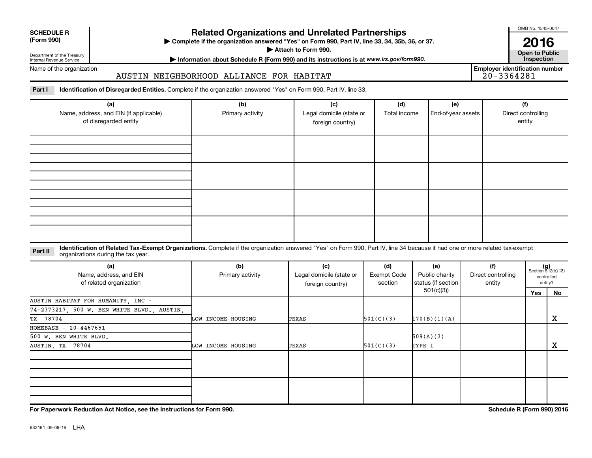| <b>SCHEDULE R</b> |  |
|-------------------|--|
|                   |  |

Department of the Treasury Internal Revenue Service

# **Related Organizations and Unrelated Partnerships**

**(Form 990) Complete if the organization answered "Yes" on Form 990, Part IV, line 33, 34, 35b, 36, or 37.** |

**Attach to Form 990. Contract to Public** 

**Most Information about Schedule R (Form 990) and its instructions is at www.irs.gov/form990.** This pection

Name of the organization

### AUSTIN NEIGHBORHOOD ALLIANCE FOR HABITAT

Part I ldentification of Disregarded Entities. Complete if the organization answered "Yes" on Form 990, Part IV, line 33.

| (a)<br>Name, address, and EIN (if applicable)<br>of disregarded entity | (b)<br>Primary activity | (c)<br>Legal domicile (state or<br>foreign country) | (d)<br>Total income | (e)<br>End-of-year assets | (f)<br>Direct controlling<br>entity |
|------------------------------------------------------------------------|-------------------------|-----------------------------------------------------|---------------------|---------------------------|-------------------------------------|
|                                                                        |                         |                                                     |                     |                           |                                     |
|                                                                        |                         |                                                     |                     |                           |                                     |
|                                                                        |                         |                                                     |                     |                           |                                     |
|                                                                        |                         |                                                     |                     |                           |                                     |

### **Part II** Identification of Related Tax-Exempt Organizations. Complete if the organization answered "Yes" on Form 990, Part IV, line 34 because it had one or more related tax-exempt<br>Complete it is a series of the two wears organizations during the tax year.

| (a)<br>Name, address, and EIN<br>of related organization | (b)<br>Primary activity | (d)<br><b>Exempt Code</b><br>section | (e)<br>Public charity<br>status (if section | (f)<br>Direct controlling<br>entity |  | $(g)$<br>Section 512(b)(13)<br>controlled<br>entity? |    |
|----------------------------------------------------------|-------------------------|--------------------------------------|---------------------------------------------|-------------------------------------|--|------------------------------------------------------|----|
|                                                          |                         |                                      |                                             | 501(c)(3))                          |  | Yes                                                  | No |
| AUSTIN HABITAT FOR HUMANITY, INC -                       |                         |                                      |                                             |                                     |  |                                                      |    |
| 74-2373217, 500 W. BEN WHITE BLVD., AUSTIN,              |                         |                                      |                                             |                                     |  |                                                      |    |
| TX 78704                                                 | LOW INCOME HOUSING      | TEXAS                                | 501(C)(3)                                   | 170(B)(1)(A)                        |  |                                                      | X  |
| HOMEBASE $-20-4467651$                                   |                         |                                      |                                             |                                     |  |                                                      |    |
| 500 W. BEN WHITE BLVD.                                   |                         |                                      |                                             | 509(A)(3)                           |  |                                                      |    |
| AUSTIN, TX 78704                                         | LOW INCOME HOUSING      | TEXAS                                | 501(C)(3)                                   | TYPE I                              |  |                                                      | х  |
|                                                          |                         |                                      |                                             |                                     |  |                                                      |    |
|                                                          |                         |                                      |                                             |                                     |  |                                                      |    |
|                                                          |                         |                                      |                                             |                                     |  |                                                      |    |
|                                                          |                         |                                      |                                             |                                     |  |                                                      |    |

**For Paperwork Reduction Act Notice, see the Instructions for Form 990. Schedule R (Form 990) 2016**

OMB No. 1545-0047

**2016**

|            | <b>Open to Public</b><br>Inspection   |
|------------|---------------------------------------|
|            | <b>Employer identification number</b> |
| 20-3364281 |                                       |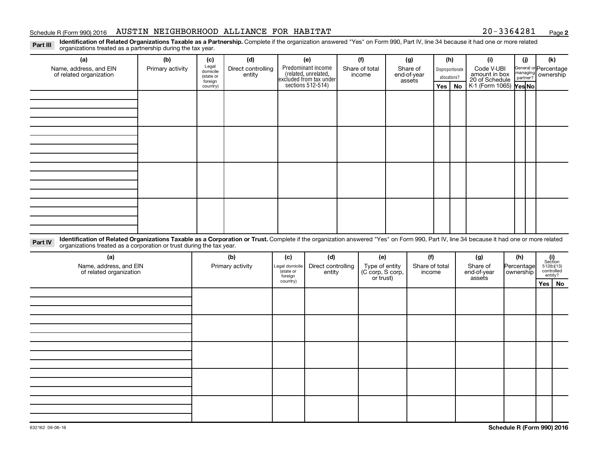### Schedule R (Form 990) 2016 AUSTIN NEIGHBORHOOD ALLIANCE FOR HABITAT  $20-3364281$  Page

**2**

Part III Identification of Related Organizations Taxable as a Partnership. Complete if the organization answered "Yes" on Form 990, Part IV, line 34 because it had one or more related<br>Read to the organizations tracted as a organizations treated as a partnership during the tax year.

| (a)                                                                                                                                                                                                                                                                        | (b)              | (c)                                                   | (d)                          |                      | (e)                                                                                        | (f)                      | (g)                               | (h)                                     |           | (i)                                                                     | (i)                                           | (k)                   |    |
|----------------------------------------------------------------------------------------------------------------------------------------------------------------------------------------------------------------------------------------------------------------------------|------------------|-------------------------------------------------------|------------------------------|----------------------|--------------------------------------------------------------------------------------------|--------------------------|-----------------------------------|-----------------------------------------|-----------|-------------------------------------------------------------------------|-----------------------------------------------|-----------------------|----|
| Name, address, and EIN<br>of related organization                                                                                                                                                                                                                          | Primary activity | Legal<br>domicile<br>(state or<br>foreign<br>country) | Direct controlling<br>entity |                      | Predominant income<br>(related, unrelated,<br>excluded from tax under<br>sections 512-514) | Share of total<br>income | Share of<br>end-of-year<br>assets | Disproportionate<br>allocations?<br>Yes | <b>No</b> | Code V-UBI<br>amount in box<br>20 of Schedule<br>K-1 (Form 1065) Yes No | General or Percentage<br>managing<br>partner? | ownership             |    |
|                                                                                                                                                                                                                                                                            |                  |                                                       |                              |                      |                                                                                            |                          |                                   |                                         |           |                                                                         |                                               |                       |    |
|                                                                                                                                                                                                                                                                            |                  |                                                       |                              |                      |                                                                                            |                          |                                   |                                         |           |                                                                         |                                               |                       |    |
|                                                                                                                                                                                                                                                                            |                  |                                                       |                              |                      |                                                                                            |                          |                                   |                                         |           |                                                                         |                                               |                       |    |
|                                                                                                                                                                                                                                                                            |                  |                                                       |                              |                      |                                                                                            |                          |                                   |                                         |           |                                                                         |                                               |                       |    |
|                                                                                                                                                                                                                                                                            |                  |                                                       |                              |                      |                                                                                            |                          |                                   |                                         |           |                                                                         |                                               |                       |    |
|                                                                                                                                                                                                                                                                            |                  |                                                       |                              |                      |                                                                                            |                          |                                   |                                         |           |                                                                         |                                               |                       |    |
|                                                                                                                                                                                                                                                                            |                  |                                                       |                              |                      |                                                                                            |                          |                                   |                                         |           |                                                                         |                                               |                       |    |
|                                                                                                                                                                                                                                                                            |                  |                                                       |                              |                      |                                                                                            |                          |                                   |                                         |           |                                                                         |                                               |                       |    |
|                                                                                                                                                                                                                                                                            |                  |                                                       |                              |                      |                                                                                            |                          |                                   |                                         |           |                                                                         |                                               |                       |    |
|                                                                                                                                                                                                                                                                            |                  |                                                       |                              |                      |                                                                                            |                          |                                   |                                         |           |                                                                         |                                               |                       |    |
|                                                                                                                                                                                                                                                                            |                  |                                                       |                              |                      |                                                                                            |                          |                                   |                                         |           |                                                                         |                                               |                       |    |
|                                                                                                                                                                                                                                                                            |                  |                                                       |                              |                      |                                                                                            |                          |                                   |                                         |           |                                                                         |                                               |                       |    |
|                                                                                                                                                                                                                                                                            |                  |                                                       |                              |                      |                                                                                            |                          |                                   |                                         |           |                                                                         |                                               |                       |    |
|                                                                                                                                                                                                                                                                            |                  |                                                       |                              |                      |                                                                                            |                          |                                   |                                         |           |                                                                         |                                               |                       |    |
|                                                                                                                                                                                                                                                                            |                  |                                                       |                              |                      |                                                                                            |                          |                                   |                                         |           |                                                                         |                                               |                       |    |
|                                                                                                                                                                                                                                                                            |                  |                                                       |                              |                      |                                                                                            |                          |                                   |                                         |           |                                                                         |                                               |                       |    |
|                                                                                                                                                                                                                                                                            |                  |                                                       |                              |                      |                                                                                            |                          |                                   |                                         |           |                                                                         |                                               |                       |    |
| Identification of Related Organizations Taxable as a Corporation or Trust. Complete if the organization answered "Yes" on Form 990, Part IV, line 34 because it had one or more related<br>Part IV<br>organizations treated as a corporation or trust during the tax year. |                  |                                                       |                              |                      |                                                                                            |                          |                                   |                                         |           |                                                                         |                                               |                       |    |
| (a)                                                                                                                                                                                                                                                                        |                  |                                                       | (b)                          | (c)                  | (d)                                                                                        | (e)                      | (f)                               |                                         |           | (g)                                                                     | (h)                                           | (i)<br>Section        |    |
| Name, address, and EIN                                                                                                                                                                                                                                                     |                  |                                                       | Primary activity             | Legal domicile       | Direct controlling                                                                         | Type of entity           | Share of total                    |                                         |           | Share of                                                                | Percentage                                    | 512(b)(13)            |    |
| of related organization                                                                                                                                                                                                                                                    |                  |                                                       |                              | (state or<br>foreign | entity                                                                                     | (C corp, S corp,         | income                            |                                         |           | end-of-year                                                             | ownership                                     | controlled<br>entity? |    |
|                                                                                                                                                                                                                                                                            |                  |                                                       |                              | country)             |                                                                                            | or trust)                |                                   |                                         |           | assets                                                                  |                                               | Yes                   | No |
|                                                                                                                                                                                                                                                                            |                  |                                                       |                              |                      |                                                                                            |                          |                                   |                                         |           |                                                                         |                                               |                       |    |
|                                                                                                                                                                                                                                                                            |                  |                                                       |                              |                      |                                                                                            |                          |                                   |                                         |           |                                                                         |                                               |                       |    |
|                                                                                                                                                                                                                                                                            |                  |                                                       |                              |                      |                                                                                            |                          |                                   |                                         |           |                                                                         |                                               |                       |    |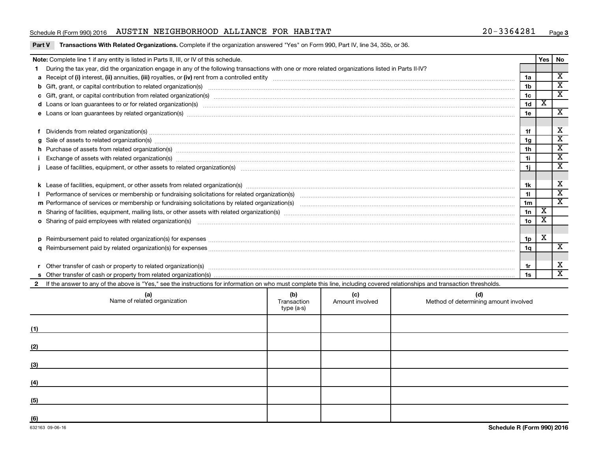### Schedule R (Form 990) 2016 AUSTIN NEIGHBORHOOD ALLIANCE FOR HABITAT  $20-3364281$  Page

### Part V Transactions With Related Organizations. Complete if the organization answered "Yes" on Form 990, Part IV, line 34, 35b, or 36.

|                                                                                                                                                                                                                                | Note: Complete line 1 if any entity is listed in Parts II, III, or IV of this schedule.                                                                                                                                              |                    |                        |                                              |                 | Yes                         | <b>No</b>               |  |
|--------------------------------------------------------------------------------------------------------------------------------------------------------------------------------------------------------------------------------|--------------------------------------------------------------------------------------------------------------------------------------------------------------------------------------------------------------------------------------|--------------------|------------------------|----------------------------------------------|-----------------|-----------------------------|-------------------------|--|
|                                                                                                                                                                                                                                | During the tax year, did the organization engage in any of the following transactions with one or more related organizations listed in Parts II-IV?                                                                                  |                    |                        |                                              |                 |                             |                         |  |
|                                                                                                                                                                                                                                |                                                                                                                                                                                                                                      |                    |                        |                                              | 1a              |                             | $\overline{\mathbf{x}}$ |  |
|                                                                                                                                                                                                                                |                                                                                                                                                                                                                                      |                    |                        |                                              | 1 <sub>b</sub>  |                             | $\overline{\mathbf{x}}$ |  |
|                                                                                                                                                                                                                                |                                                                                                                                                                                                                                      |                    |                        |                                              | 1 <sub>c</sub>  |                             | $\overline{\texttt{x}}$ |  |
| d Loans or loan guarantees to or for related organization(s) www.communities.com/www.communities.com/www.communities-                                                                                                          |                                                                                                                                                                                                                                      |                    |                        |                                              |                 |                             |                         |  |
|                                                                                                                                                                                                                                |                                                                                                                                                                                                                                      |                    |                        |                                              |                 |                             |                         |  |
|                                                                                                                                                                                                                                |                                                                                                                                                                                                                                      |                    |                        |                                              |                 |                             |                         |  |
| Dividends from related organization(s) manufactured and contract and contract or contract or contract and contract or contract or contract or contract or contract or contract or contract or contract or contract or contract |                                                                                                                                                                                                                                      |                    |                        |                                              |                 |                             |                         |  |
|                                                                                                                                                                                                                                | $g$ Sale of assets to related organization(s) with the contraction control of the control of the control of the control of the control of the control of the control of the control of the control of the control of the cont        |                    |                        |                                              | 1 <sub>g</sub>  |                             | $\overline{\textbf{X}}$ |  |
|                                                                                                                                                                                                                                | h Purchase of assets from related organization(s) manufactured and content to content the content of an architecture of assets from related organization(s) manufactured and content of the content of the content of the cont       |                    |                        |                                              | 1 <sub>h</sub>  |                             | $\overline{\texttt{x}}$ |  |
|                                                                                                                                                                                                                                | 11<br>Exchange of assets with related organization(s) manufactured and content to the content of the content of the content of the content of the content of the content of the content of the content of the content of the content |                    |                        |                                              |                 |                             |                         |  |
|                                                                                                                                                                                                                                |                                                                                                                                                                                                                                      |                    |                        |                                              |                 |                             | $\overline{\texttt{x}}$ |  |
|                                                                                                                                                                                                                                |                                                                                                                                                                                                                                      |                    |                        |                                              |                 |                             |                         |  |
|                                                                                                                                                                                                                                |                                                                                                                                                                                                                                      |                    |                        |                                              | 1k              |                             | х                       |  |
|                                                                                                                                                                                                                                |                                                                                                                                                                                                                                      |                    |                        |                                              | 11              |                             | $\overline{\texttt{x}}$ |  |
|                                                                                                                                                                                                                                |                                                                                                                                                                                                                                      |                    |                        |                                              | 1 <sub>m</sub>  |                             | $\overline{\mathtt{x}}$ |  |
|                                                                                                                                                                                                                                |                                                                                                                                                                                                                                      |                    |                        |                                              | 1n              | $\overline{\textnormal{x}}$ |                         |  |
|                                                                                                                                                                                                                                | <b>o</b> Sharing of paid employees with related organization(s)                                                                                                                                                                      |                    |                        |                                              | 10 <sub>o</sub> | X                           |                         |  |
|                                                                                                                                                                                                                                |                                                                                                                                                                                                                                      |                    |                        |                                              |                 |                             |                         |  |
|                                                                                                                                                                                                                                |                                                                                                                                                                                                                                      |                    |                        |                                              | 1p              | X                           |                         |  |
|                                                                                                                                                                                                                                |                                                                                                                                                                                                                                      |                    |                        |                                              | 1q              |                             | $\overline{\mathbf{X}}$ |  |
|                                                                                                                                                                                                                                |                                                                                                                                                                                                                                      |                    |                        |                                              |                 |                             |                         |  |
|                                                                                                                                                                                                                                |                                                                                                                                                                                                                                      |                    |                        |                                              | 1r              |                             | х                       |  |
|                                                                                                                                                                                                                                |                                                                                                                                                                                                                                      |                    |                        |                                              |                 |                             | $\overline{\mathbf{x}}$ |  |
|                                                                                                                                                                                                                                | If the answer to any of the above is "Yes," see the instructions for information on who must complete this line, including covered relationships and transaction thresholds.                                                         |                    |                        |                                              |                 |                             |                         |  |
|                                                                                                                                                                                                                                | (a)<br>Name of related organization                                                                                                                                                                                                  | (b)<br>Transaction | (c)<br>Amount involved | (d)<br>Method of determining amount involved |                 |                             |                         |  |

|     | Name of related organization                                | $\sim$<br>Transaction<br>type (a-s) | $\sqrt{2}$<br>Amount involved | $\sim$<br>Method of determining amount involved |
|-----|-------------------------------------------------------------|-------------------------------------|-------------------------------|-------------------------------------------------|
| (1) |                                                             |                                     |                               |                                                 |
| (2) |                                                             |                                     |                               |                                                 |
| (3) | <u> 1989 - Andrea Stadt Britain, amerikansk politiker (</u> |                                     |                               |                                                 |
| (4) |                                                             |                                     |                               |                                                 |
| (5) |                                                             |                                     |                               |                                                 |
| (6) |                                                             |                                     |                               |                                                 |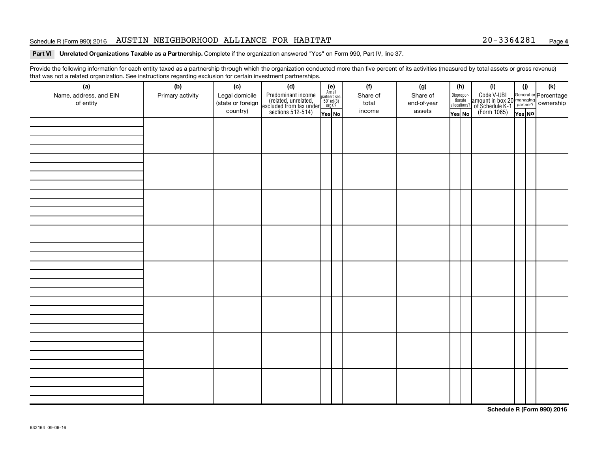### Schedule R (Form 990) 2016 AUSTIN NEIGHBORHOOD ALLIANCE FOR HABITAT  $20-3364281$  Page

### Part VI Unrelated Organizations Taxable as a Partnership. Complete if the organization answered "Yes" on Form 990, Part IV, line 37.

Provide the following information for each entity taxed as a partnership through which the organization conducted more than five percent of its activities (measured by total assets or gross revenue) that was not a related organization. See instructions regarding exclusion for certain investment partnerships.

| (e)<br>Are all<br>partners sec.<br>$501(c)(3)$<br>orgs.?<br>Code V-UBI<br>amount in box 20 managing<br><sup>22</sup> of Schedule K-1<br>(Form 1065)<br><b>Property Resolution</b><br>Predominant income<br>(related, unrelated,<br>excluded from tax under<br>sections 512-514)<br>Name, address, and EIN<br>Primary activity<br>Legal domicile<br>Share of<br>Share of<br>Disproportionate<br>allocations?<br>(state or foreign<br>of entity<br>total<br>end-of-year<br>country)<br>income<br>assets<br>Yes No<br>Yes No<br>Yes NO | that was not a related eigenization. Occ includitions regarding exclusion for cortain investment partnerships.<br>(a) | (b) | (c) | (d) |  | (f) | (g) | (h) | (i) | (i) | (k) |
|-------------------------------------------------------------------------------------------------------------------------------------------------------------------------------------------------------------------------------------------------------------------------------------------------------------------------------------------------------------------------------------------------------------------------------------------------------------------------------------------------------------------------------------|-----------------------------------------------------------------------------------------------------------------------|-----|-----|-----|--|-----|-----|-----|-----|-----|-----|
|                                                                                                                                                                                                                                                                                                                                                                                                                                                                                                                                     |                                                                                                                       |     |     |     |  |     |     |     |     |     |     |
|                                                                                                                                                                                                                                                                                                                                                                                                                                                                                                                                     |                                                                                                                       |     |     |     |  |     |     |     |     |     |     |
|                                                                                                                                                                                                                                                                                                                                                                                                                                                                                                                                     |                                                                                                                       |     |     |     |  |     |     |     |     |     |     |
|                                                                                                                                                                                                                                                                                                                                                                                                                                                                                                                                     |                                                                                                                       |     |     |     |  |     |     |     |     |     |     |
|                                                                                                                                                                                                                                                                                                                                                                                                                                                                                                                                     |                                                                                                                       |     |     |     |  |     |     |     |     |     |     |
|                                                                                                                                                                                                                                                                                                                                                                                                                                                                                                                                     |                                                                                                                       |     |     |     |  |     |     |     |     |     |     |
|                                                                                                                                                                                                                                                                                                                                                                                                                                                                                                                                     |                                                                                                                       |     |     |     |  |     |     |     |     |     |     |
|                                                                                                                                                                                                                                                                                                                                                                                                                                                                                                                                     |                                                                                                                       |     |     |     |  |     |     |     |     |     |     |
|                                                                                                                                                                                                                                                                                                                                                                                                                                                                                                                                     |                                                                                                                       |     |     |     |  |     |     |     |     |     |     |
|                                                                                                                                                                                                                                                                                                                                                                                                                                                                                                                                     |                                                                                                                       |     |     |     |  |     |     |     |     |     |     |
|                                                                                                                                                                                                                                                                                                                                                                                                                                                                                                                                     |                                                                                                                       |     |     |     |  |     |     |     |     |     |     |
|                                                                                                                                                                                                                                                                                                                                                                                                                                                                                                                                     |                                                                                                                       |     |     |     |  |     |     |     |     |     |     |
|                                                                                                                                                                                                                                                                                                                                                                                                                                                                                                                                     |                                                                                                                       |     |     |     |  |     |     |     |     |     |     |
|                                                                                                                                                                                                                                                                                                                                                                                                                                                                                                                                     |                                                                                                                       |     |     |     |  |     |     |     |     |     |     |
|                                                                                                                                                                                                                                                                                                                                                                                                                                                                                                                                     |                                                                                                                       |     |     |     |  |     |     |     |     |     |     |
|                                                                                                                                                                                                                                                                                                                                                                                                                                                                                                                                     |                                                                                                                       |     |     |     |  |     |     |     |     |     |     |
|                                                                                                                                                                                                                                                                                                                                                                                                                                                                                                                                     |                                                                                                                       |     |     |     |  |     |     |     |     |     |     |
|                                                                                                                                                                                                                                                                                                                                                                                                                                                                                                                                     |                                                                                                                       |     |     |     |  |     |     |     |     |     |     |
|                                                                                                                                                                                                                                                                                                                                                                                                                                                                                                                                     |                                                                                                                       |     |     |     |  |     |     |     |     |     |     |
|                                                                                                                                                                                                                                                                                                                                                                                                                                                                                                                                     |                                                                                                                       |     |     |     |  |     |     |     |     |     |     |
|                                                                                                                                                                                                                                                                                                                                                                                                                                                                                                                                     |                                                                                                                       |     |     |     |  |     |     |     |     |     |     |
|                                                                                                                                                                                                                                                                                                                                                                                                                                                                                                                                     |                                                                                                                       |     |     |     |  |     |     |     |     |     |     |
|                                                                                                                                                                                                                                                                                                                                                                                                                                                                                                                                     |                                                                                                                       |     |     |     |  |     |     |     |     |     |     |
|                                                                                                                                                                                                                                                                                                                                                                                                                                                                                                                                     |                                                                                                                       |     |     |     |  |     |     |     |     |     |     |
|                                                                                                                                                                                                                                                                                                                                                                                                                                                                                                                                     |                                                                                                                       |     |     |     |  |     |     |     |     |     |     |
|                                                                                                                                                                                                                                                                                                                                                                                                                                                                                                                                     |                                                                                                                       |     |     |     |  |     |     |     |     |     |     |
|                                                                                                                                                                                                                                                                                                                                                                                                                                                                                                                                     |                                                                                                                       |     |     |     |  |     |     |     |     |     |     |
|                                                                                                                                                                                                                                                                                                                                                                                                                                                                                                                                     |                                                                                                                       |     |     |     |  |     |     |     |     |     |     |
|                                                                                                                                                                                                                                                                                                                                                                                                                                                                                                                                     |                                                                                                                       |     |     |     |  |     |     |     |     |     |     |
|                                                                                                                                                                                                                                                                                                                                                                                                                                                                                                                                     |                                                                                                                       |     |     |     |  |     |     |     |     |     |     |

**Schedule R (Form 990) 2016**

**4**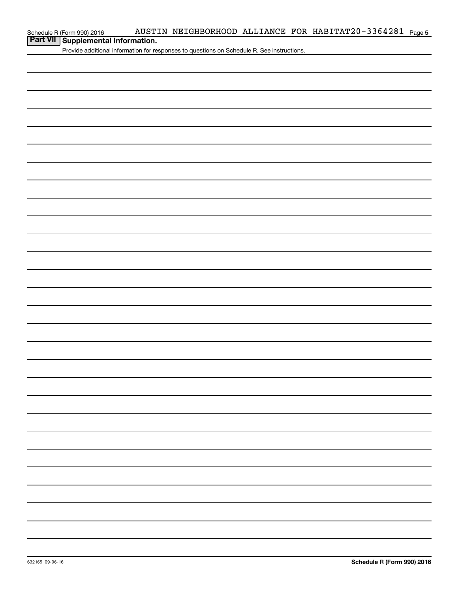# **Part VII Supplemental Information.**<br>**Part VII Supplemental Information.**

Provide additional information for responses to questions on Schedule R. See instructions.